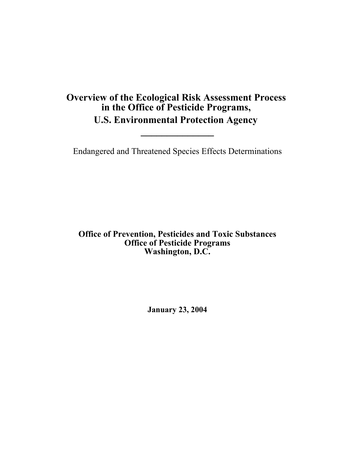# **\_\_\_\_\_\_\_\_\_\_\_\_\_\_ Overview of the Ecological Risk Assessment Process in the Office of Pesticide Programs, U.S. Environmental Protection Agency**

Endangered and Threatened Species Effects Determinations

**Office of Prevention, Pesticides and Toxic Substances Office of Pesticide Programs Washington, D.C.** 

**January 23, 2004**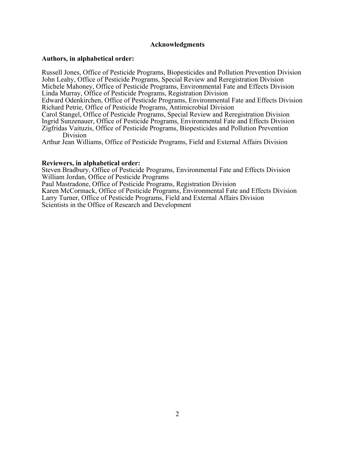### **Acknowledgments**

### **Authors, in alphabetical order:**

Russell Jones, Office of Pesticide Programs, Biopesticides and Pollution Prevention Division John Leahy, Office of Pesticide Programs, Special Review and Reregistration Division Michele Mahoney, Office of Pesticide Programs, Environmental Fate and Effects Division Linda Murray, Office of Pesticide Programs, Registration Division

Edward Odenkirchen, Office of Pesticide Programs, Environmental Fate and Effects Division Richard Petrie, Office of Pesticide Programs, Antimicrobial Division

Carol Stangel, Office of Pesticide Programs, Special Review and Reregistration Division Ingrid Sunzenauer, Office of Pesticide Programs, Environmental Fate and Effects Division Zigfridas Vaituzis, Office of Pesticide Programs, Biopesticides and Pollution Prevention Division

Arthur Jean Williams, Office of Pesticide Programs, Field and External Affairs Division

### **Reviewers, in alphabetical order:**

Steven Bradbury, Office of Pesticide Programs, Environmental Fate and Effects Division William Jordan, Office of Pesticide Programs

Paul Mastradone, Office of Pesticide Programs, Registration Division

Karen McCormack, Office of Pesticide Programs, Environmental Fate and Effects Division Larry Turner, Office of Pesticide Programs, Field and External Affairs Division Scientists in the Office of Research and Development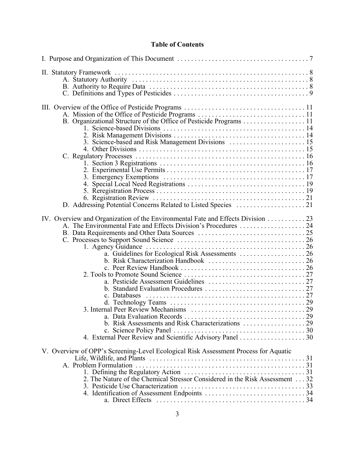# **Table of Contents**

| 3. Science-based and Risk Management Divisions  15                                  |  |
|-------------------------------------------------------------------------------------|--|
|                                                                                     |  |
|                                                                                     |  |
|                                                                                     |  |
|                                                                                     |  |
|                                                                                     |  |
|                                                                                     |  |
|                                                                                     |  |
| IV. Overview and Organization of the Environmental Fate and Effects Division 23     |  |
| A. The Environmental Fate and Effects Division's Procedures  24                     |  |
|                                                                                     |  |
|                                                                                     |  |
| 1. Agency Guidance                                                                  |  |
|                                                                                     |  |
|                                                                                     |  |
|                                                                                     |  |
|                                                                                     |  |
|                                                                                     |  |
| c. Databases                                                                        |  |
|                                                                                     |  |
|                                                                                     |  |
|                                                                                     |  |
|                                                                                     |  |
|                                                                                     |  |
| V. Overview of OPP's Screening-Level Ecological Risk Assessment Process for Aquatic |  |
|                                                                                     |  |
|                                                                                     |  |
|                                                                                     |  |
|                                                                                     |  |
|                                                                                     |  |
|                                                                                     |  |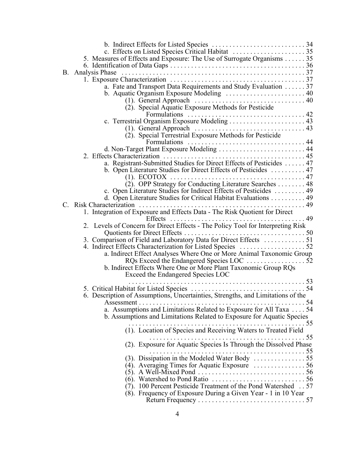|                             | 5. Measures of Effects and Exposure: The Use of Surrogate Organisms 35          |      |
|-----------------------------|---------------------------------------------------------------------------------|------|
|                             |                                                                                 |      |
| B. Analysis Phase           |                                                                                 |      |
|                             |                                                                                 |      |
|                             | a. Fate and Transport Data Requirements and Study Evaluation  37                |      |
|                             | b. Aquatic Organism Exposure Modeling  40                                       |      |
|                             |                                                                                 |      |
|                             | (2). Special Aquatic Exposure Methods for Pesticide                             |      |
|                             |                                                                                 |      |
|                             |                                                                                 |      |
|                             |                                                                                 |      |
|                             | (2). Special Terrestrial Exposure Methods for Pesticide                         |      |
|                             |                                                                                 |      |
|                             |                                                                                 |      |
| 2. Effects Characterization |                                                                                 |      |
|                             | a. Registrant-Submitted Studies for Direct Effects of Pesticides  47            |      |
|                             | b. Open Literature Studies for Direct Effects of Pesticides  47                 |      |
| $(1)$ . ECOTOX              | . 47                                                                            |      |
|                             | (2). OPP Strategy for Conducting Literature Searches 48                         |      |
|                             | c. Open Literature Studies for Indirect Effects of Pesticides 49                |      |
| Risk Characterization       | d. Open Literature Studies for Critical Habitat Evaluations 49<br>. 49          |      |
|                             | 1. Integration of Exposure and Effects Data - The Risk Quotient for Direct      |      |
|                             | Effects                                                                         | . 49 |
|                             | 2. Levels of Concern for Direct Effects - The Policy Tool for Interpreting Risk |      |
|                             | Quotients for Direct Effects<br>. 50                                            |      |
|                             | 3. Comparison of Field and Laboratory Data for Direct Effects  51               |      |
|                             |                                                                                 |      |
|                             | a. Indirect Effect Analyses Where One or More Animal Taxonomic Group            |      |
|                             |                                                                                 |      |
|                             | b. Indirect Effects Where One or More Plant Taxonomic Group RQs                 |      |
|                             | Exceed the Endangered Species LOC                                               |      |
|                             |                                                                                 |      |
|                             |                                                                                 |      |
|                             | 6. Description of Assumptions, Uncertainties, Strengths, and Limitations of the |      |
|                             |                                                                                 |      |
|                             | a. Assumptions and Limitations Related to Exposure for All Taxa  54             |      |
|                             | b. Assumptions and Limitations Related to Exposure for Aquatic Species          |      |
|                             | (1). Location of Species and Receiving Waters to Treated Field                  |      |
|                             |                                                                                 |      |
|                             |                                                                                 |      |
|                             | (2). Exposure for Aquatic Species Is Through the Dissolved Phase                |      |
|                             |                                                                                 |      |
|                             |                                                                                 |      |
|                             | (4). Averaging Times for Aquatic Exposure $\dots \dots \dots \dots 56$          |      |
|                             |                                                                                 |      |
|                             |                                                                                 |      |
|                             | (7). 100 Percent Pesticide Treatment of the Pond Watershed  57                  |      |
|                             | (8). Frequency of Exposure During a Given Year - 1 in 10 Year                   |      |
|                             |                                                                                 |      |
|                             |                                                                                 |      |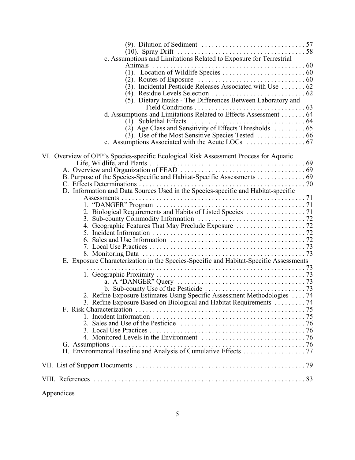| (9). Dilution of Sediment $\dots \dots \dots \dots \dots \dots \dots \dots \dots \dots 57$ |  |
|--------------------------------------------------------------------------------------------|--|
|                                                                                            |  |
| c. Assumptions and Limitations Related to Exposure for Terrestrial<br>Animals              |  |
|                                                                                            |  |
|                                                                                            |  |
| $(3)$ . Incidental Pesticide Releases Associated with Use  62                              |  |
|                                                                                            |  |
| (5). Dietary Intake - The Differences Between Laboratory and                               |  |
| d. Assumptions and Limitations Related to Effects Assessment 64                            |  |
| (1). Sublethal Effects                                                                     |  |
|                                                                                            |  |
|                                                                                            |  |
|                                                                                            |  |
|                                                                                            |  |
| VI. Overview of OPP's Species-specific Ecological Risk Assessment Process for Aquatic      |  |
|                                                                                            |  |
| B. Purpose of the Species-Specific and Habitat-Specific Assessments 69                     |  |
| C. Effects Determinations                                                                  |  |
| D. Information and Data Sources Used in the Species-specific and Habitat-specific          |  |
|                                                                                            |  |
|                                                                                            |  |
|                                                                                            |  |
|                                                                                            |  |
|                                                                                            |  |
|                                                                                            |  |
|                                                                                            |  |
| E. Exposure Characterization in the Species-Specific and Habitat-Specific Assessments      |  |
|                                                                                            |  |
|                                                                                            |  |
|                                                                                            |  |
|                                                                                            |  |
| 2. Refine Exposure Estimates Using Specific Assessment Methodologies  74                   |  |
| 3. Refine Exposure Based on Biological and Habitat Requirements  74                        |  |
|                                                                                            |  |
|                                                                                            |  |
|                                                                                            |  |
|                                                                                            |  |
|                                                                                            |  |
|                                                                                            |  |
|                                                                                            |  |
|                                                                                            |  |
|                                                                                            |  |
| Appendices                                                                                 |  |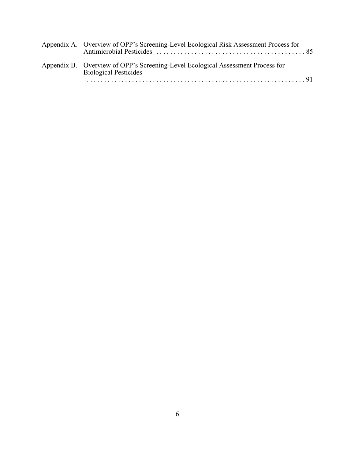| Appendix A. Overview of OPP's Screening-Level Ecological Risk Assessment Process for                            |
|-----------------------------------------------------------------------------------------------------------------|
| Appendix B. Overview of OPP's Screening-Level Ecological Assessment Process for<br><b>Biological Pesticides</b> |
|                                                                                                                 |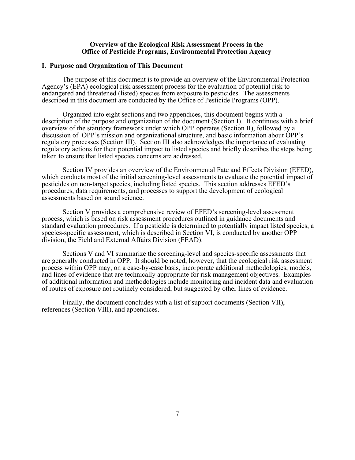### **Overview of the Ecological Risk Assessment Process in the Office of Pesticide Programs, Environmental Protection Agency**

### **I. Purpose and Organization of This Document**

The purpose of this document is to provide an overview of the Environmental Protection Agency's (EPA) ecological risk assessment process for the evaluation of potential risk to endangered and threatened (listed) species from exposure to pesticides. The assessments described in this document are conducted by the Office of Pesticide Programs (OPP).

Organized into eight sections and two appendices, this document begins with a description of the purpose and organization of the document (Section I). It continues with a brief overview of the statutory framework under which OPP operates (Section II), followed by a discussion of OPP's mission and organizational structure, and basic information about OPP's regulatory processes (Section III). Section III also acknowledges the importance of evaluating regulatory actions for their potential impact to listed species and briefly describes the steps being taken to ensure that listed species concerns are addressed.

Section IV provides an overview of the Environmental Fate and Effects Division (EFED), which conducts most of the initial screening-level assessments to evaluate the potential impact of pesticides on non-target species, including listed species. This section addresses EFED's procedures, data requirements, and processes to support the development of ecological assessments based on sound science.

Section V provides a comprehensive review of EFED's screening-level assessment process, which is based on risk assessment procedures outlined in guidance documents and standard evaluation procedures. If a pesticide is determined to potentially impact listed species, a species-specific assessment, which is described in Section VI, is conducted by another OPP division, the Field and External Affairs Division (FEAD).

Sections V and VI summarize the screening-level and species-specific assessments that are generally conducted in OPP. It should be noted, however, that the ecological risk assessment process within OPP may, on a case-by-case basis, incorporate additional methodologies, models, and lines of evidence that are technically appropriate for risk management objectives. Examples of additional information and methodologies include monitoring and incident data and evaluation of routes of exposure not routinely considered, but suggested by other lines of evidence.

Finally, the document concludes with a list of support documents (Section VII), references (Section VIII), and appendices.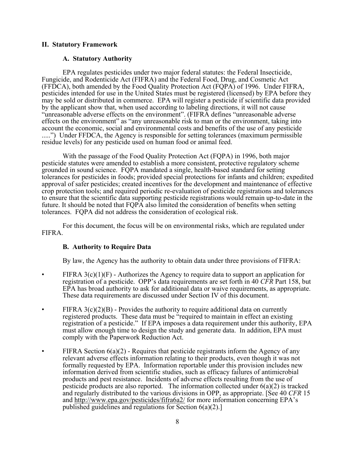### **II. Statutory Framework**

### **A. Statutory Authority**

EPA regulates pesticides under two major federal statutes: the Federal Insecticide, Fungicide, and Rodenticide Act (FIFRA) and the Federal Food, Drug, and Cosmetic Act (FFDCA), both amended by the Food Quality Protection Act (FQPA) of 1996. Under FIFRA, pesticides intended for use in the United States must be registered (licensed) by EPA before they may be sold or distributed in commerce. EPA will register a pesticide if scientific data provided by the applicant show that, when used according to labeling directions, it will not cause "unreasonable adverse effects on the environment". (FIFRA defines "unreasonable adverse effects on the environment" as "any unreasonable risk to man or the environment, taking into account the economic, social and environmental costs and benefits of the use of any pesticide .....") Under FFDCA, the Agency is responsible for setting tolerances (maximum permissible residue levels) for any pesticide used on human food or animal feed.

With the passage of the Food Quality Protection Act (FQPA) in 1996, both major pesticide statutes were amended to establish a more consistent, protective regulatory scheme grounded in sound science. FQPA mandated a single, health-based standard for setting tolerances for pesticides in foods; provided special protections for infants and children; expedited approval of safer pesticides; created incentives for the development and maintenance of effective crop protection tools; and required periodic re-evaluation of pesticide registrations and tolerances to ensure that the scientific data supporting pesticide registrations would remain up-to-date in the future. It should be noted that FQPA also limited the consideration of benefits when setting tolerances. FQPA did not address the consideration of ecological risk.

For this document, the focus will be on environmental risks, which are regulated under FIFRA.

### **B. Authority to Require Data**

By law, the Agency has the authority to obtain data under three provisions of FIFRA:

- FIFRA  $3(c)(1)(F)$  Authorizes the Agency to require data to support an application for registration of a pesticide. OPP's data requirements are set forth in 40 *CFR* Part 158, but EPA has broad authority to ask for additional data or waive requirements, as appropriate. These data requirements are discussed under Section IV of this document.
- FIFRA  $3(c)(2)(B)$  Provides the authority to require additional data on currently registered products. These data must be "required to maintain in effect an existing registration of a pesticide." If EPA imposes a data requirement under this authority, EPA must allow enough time to design the study and generate data. In addition, EPA must comply with the Paperwork Reduction Act.
- FIFRA Section  $6(a)(2)$  Requires that pesticide registrants inform the Agency of any relevant adverse effects information relating to their products, even though it was not formally requested by EPA. Information reportable under this provision includes new information derived from scientific studies, such as efficacy failures of antimicrobial products and pest resistance. Incidents of adverse effects resulting from the use of pesticide products are also reported. The information collected under  $6(a)(2)$  is tracked and regularly distributed to the various divisions in OPP, as appropriate. [See 40 *CFR* 15 and<http://www.epa.gov/pesticides/fifra6a2/> for more information concerning EPA's published guidelines and regulations for Section 6(a)(2).]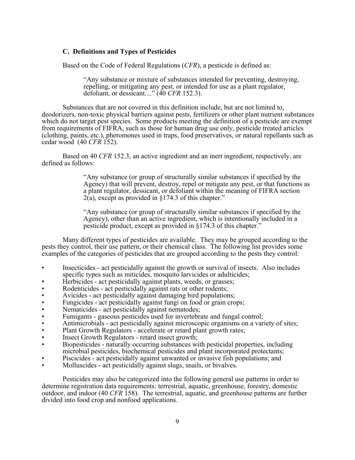### **C. Definitions and Types of Pesticides**

Based on the Code of Federal Regulations (*CFR*), a pesticide is defined as:

"Any substance or mixture of substances intended for preventing, destroying, repelling, or mitigating any pest, or intended for use as a plant regulator, defoliant, or dessicant...." (40 *CFR* 152.3).

Substances that are not covered in this definition include, but are not limited to, deodorizers, non-toxic physical barriers against pests, fertilizers or other plant nutrient substances which do not target pest species. Some products meeting the definition of a pesticide are exempt from requirements of FIFRA, such as those for human drug use only, pesticide treated articles (clothing, paints, etc.), pheromones used in traps, food preservatives, or natural repellants such as cedar wood (40 *CFR* 152).

Based on 40 *CFR* 152.3, an active ingredient and an inert ingredient, respectively, are defined as follows:

> "Any substance (or group of structurally similar substances if specified by the Agency) that will prevent, destroy, repel or mitigate any pest, or that functions as a plant regulator, dessicant, or defoliant within the meaning of FIFRA section 2(a), except as provided in §174.3 of this chapter."

"Any substance (or group of structurally similar substances if specified by the Agency), other than an active ingredient, which is intentionally included in a pesticide product, except as provided in §174.3 of this chapter."

Many different types of pesticides are available. They may be grouped according to the pests they control, their use pattern, or their chemical class. The following list provides some examples of the categories of pesticides that are grouped according to the pests they control:

- Insecticides act pesticidally against the growth or survival of insects. Also includes specific types such as miticides, mosquito larvicides or adulticides;
- Herbicides act pesticidally against plants, weeds, or grasses;
- Rodenticides act pesticidally against rats or other rodents;
- Avicides act pesticidally against damaging bird populations;
- Fungicides act pesticidally against fungi on food or grain crops;<br>• Nematicides act pesticidally against nematodes;
- 
- Fumigants gaseous pesticides used for invertebrate and fungal control;
- Antimicrobials act pesticidally against microscopic organisms on a variety of sites;
- Plant Growth Regulators accelerate or retard plant growth rates;
- Insect Growth Regulators retard insect growth;
- Biopesticides naturally occurring substances with pesticidal properties, including microbial pesticides, biochemical pesticides and plant incorporated protectants;
- Piscicides act pesticidally against unwanted or invasive fish populations; and
- Molluscides act pesticidally against slugs, snails, or bivalves.

Pesticides may also be categorized into the following general use patterns in order to determine registration data requirements: terrestrial, aquatic, greenhouse, forestry, domestic outdoor, and indoor (40 *CFR* 158). The terrestrial, aquatic, and greenhouse patterns are further divided into food crop and nonfood applications.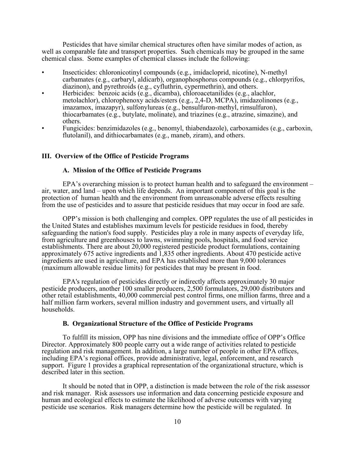Pesticides that have similar chemical structures often have similar modes of action, as well as comparable fate and transport properties. Such chemicals may be grouped in the same chemical class. Some examples of chemical classes include the following:

- Insecticides: chloronicotinyl compounds (e.g., imidacloprid, nicotine), N-methyl carbamates (e.g., carbaryl, aldicarb), organophosphorus compounds (e.g., chlorpyrifos, diazinon), and pyrethroids (e.g., cyfluthrin, cypermethrin), and others.
- Herbicides: benzoic acids (e.g., dicamba), chloroacetanilides (e.g., alachlor, metolachlor), chlorophenoxy acids/esters (e.g., 2,4-D, MCPA), imidazolinones (e.g., imazamox, imazapyr), sulfonylureas (e.g., bensulfuron-methyl, rimsulfuron), thiocarbamates (e.g., butylate, molinate), and triazines (e.g., atrazine, simazine), and others.
- Fungicides: benzimidazoles (e.g., benomyl, thiabendazole), carboxamides (e.g., carboxin, flutolanil), and dithiocarbamates (e.g., maneb, ziram), and others.

### **III. Overview of the Office of Pesticide Programs**

### **A. Mission of the Office of Pesticide Programs**

EPA's overarching mission is to protect human health and to safeguard the environment – air, water, and land – upon which life depends. An important component of this goal is the protection of human health and the environment from unreasonable adverse effects resulting from the use of pesticides and to assure that pesticide residues that may occur in food are safe.

OPP's mission is both challenging and complex. OPP regulates the use of all pesticides in the United States and establishes maximum levels for pesticide residues in food, thereby safeguarding the nation's food supply. Pesticides play a role in many aspects of everyday life, from agriculture and greenhouses to lawns, swimming pools, hospitals, and food service establishments. There are about 20,000 registered pesticide product formulations, containing approximately 675 active ingredients and 1,835 other ingredients. About 470 pesticide active ingredients are used in agriculture, and EPA has established more than 9,000 tolerances (maximum allowable residue limits) for pesticides that may be present in food.

EPA's regulation of pesticides directly or indirectly affects approximately 30 major pesticide producers, another 100 smaller producers, 2,500 formulators, 29,000 distributors and other retail establishments, 40,000 commercial pest control firms, one million farms, three and a half million farm workers, several million industry and government users, and virtually all households.

### **B. Organizational Structure of the Office of Pesticide Programs**

To fulfill its mission, OPP has nine divisions and the immediate office of OPP's Office Director. Approximately 800 people carry out a wide range of activities related to pesticide regulation and risk management. In addition, a large number of people in other EPA offices, including EPA's regional offices, provide administrative, legal, enforcement, and research support. Figure 1 provides a graphical representation of the organizational structure, which is described later in this section.

It should be noted that in OPP, a distinction is made between the role of the risk assessor and risk manager. Risk assessors use information and data concerning pesticide exposure and human and ecological effects to estimate the likelihood of adverse outcomes with varying pesticide use scenarios. Risk managers determine how the pesticide will be regulated. In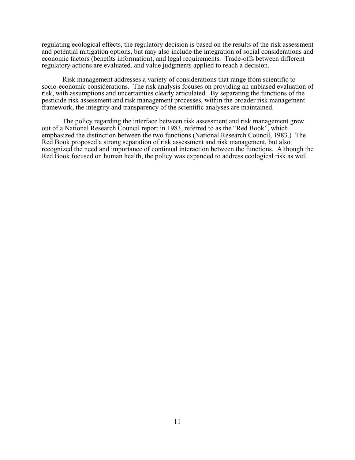regulating ecological effects, the regulatory decision is based on the results of the risk assessment and potential mitigation options, but may also include the integration of social considerations and economic factors (benefits information), and legal requirements. Trade-offs between different regulatory actions are evaluated, and value judgments applied to reach a decision.

Risk management addresses a variety of considerations that range from scientific to socio-economic considerations. The risk analysis focuses on providing an unbiased evaluation of risk, with assumptions and uncertainties clearly articulated. By separating the functions of the pesticide risk assessment and risk management processes, within the broader risk management framework, the integrity and transparency of the scientific analyses are maintained.

The policy regarding the interface between risk assessment and risk management grew out of a National Research Council report in 1983, referred to as the "Red Book", which emphasized the distinction between the two functions (National Research Council, 1983.) The Red Book proposed a strong separation of risk assessment and risk management, but also recognized the need and importance of continual interaction between the functions. Although the Red Book focused on human health, the policy was expanded to address ecological risk as well.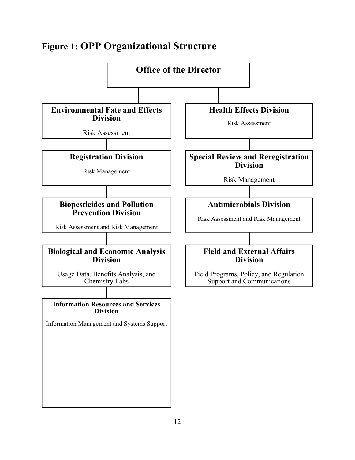# **Figure 1: OPP Organizational Structure**

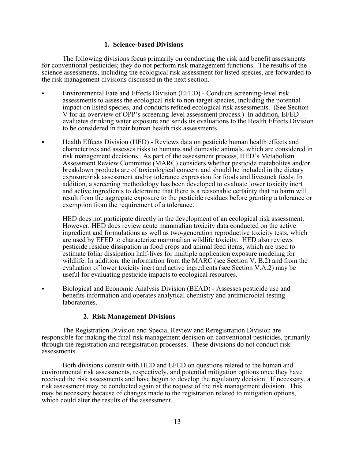### **1. Science-based Divisions**

The following divisions focus primarily on conducting the risk and benefit assessments for conventional pesticides; they do not perform risk management functions. The results of the science assessments, including the ecological risk assessment for listed species, are forwarded to the risk management divisions discussed in the next section.

- Environmental Fate and Effects Division (EFED) Conducts screening-level risk assessments to assess the ecological risk to non-target species, including the potential impact on listed species, and conducts refined ecological risk assessments. (See Section V for an overview of OPP's screening-level assessment process.) In addition, EFED evaluates drinking water exposure and sends its evaluations to the Health Effects Division to be considered in their human health risk assessments.
- Health Effects Division (HED) Reviews data on pesticide human health effects and characterizes and assesses risks to humans and domestic animals, which are considered in risk management decisions. As part of the assessment process, HED's Metabolism Assessment Review Committee (MARC) considers whether pesticide metabolites and/or breakdown products are of toxicological concern and should be included in the dietary exposure/risk assessment and/or tolerance expression for foods and livestock feeds. In addition, a screening methodology has been developed to evaluate lower toxicity inert and active ingredients to determine that there is a reasonable certainty that no harm will result from the aggregate exposure to the pesticide residues before granting a tolerance or exemption from the requirement of a tolerance.

HED does not participate directly in the development of an ecological risk assessment. However, HED does review acute mammalian toxicity data conducted on the active ingredient and formulations as well as two-generation reproductive toxicity tests, which are used by EFED to characterize mammalian wildlife toxicity. HED also reviews pesticide residue dissipation in food crops and animal feed items, which are used to estimate foliar dissipation half-lives for multiple application exposure modeling for wildlife. In addition, the information from the MARC (see Section V. B.2) and from the evaluation of lower toxicity inert and active ingredients (see Section V.A.2) may be useful for evaluating pesticide impacts to ecological resources.

C Biological and Economic Analysis Division (BEAD) - Assesses pesticide use and benefits information and operates analytical chemistry and antimicrobial testing laboratories.

### **2. Risk Management Divisions**

The Registration Division and Special Review and Reregistration Division are responsible for making the final risk management decision on conventional pesticides, primarily through the registration and reregistration processes. These divisions do not conduct risk assessments.

Both divisions consult with HED and EFED on questions related to the human and environmental risk assessments, respectively, and potential mitigation options once they have received the risk assessments and have begun to develop the regulatory decision. If necessary, a risk assessment may be conducted again at the request of the risk management division. This may be necessary because of changes made to the registration related to mitigation options, which could alter the results of the assessment.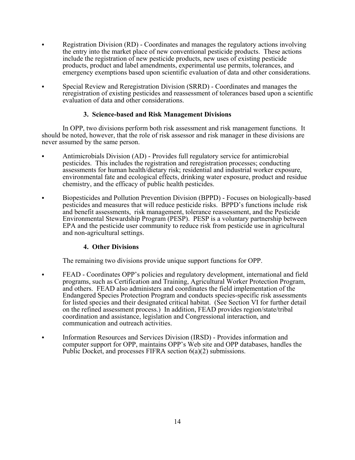- Registration Division (RD) Coordinates and manages the regulatory actions involving the entry into the market place of new conventional pesticide products. These actions include the registration of new pesticide products, new uses of existing pesticide products, product and label amendments, experimental use permits, tolerances, and emergency exemptions based upon scientific evaluation of data and other considerations.
- Special Review and Reregistration Division (SRRD) Coordinates and manages the reregistration of existing pesticides and reassessment of tolerances based upon a scientific evaluation of data and other considerations.

# **3. Science-based and Risk Management Divisions**

In OPP, two divisions perform both risk assessment and risk management functions. It should be noted, however, that the role of risk assessor and risk manager in these divisions are never assumed by the same person.

- Antimicrobials Division (AD) Provides full regulatory service for antimicrobial pesticides. This includes the registration and reregistration processes; conducting assessments for human health/dietary risk; residential and industrial worker exposure, environmental fate and ecological effects, drinking water exposure, product and residue chemistry, and the efficacy of public health pesticides.
- Biopesticides and Pollution Prevention Division (BPPD) Focuses on biologically-based pesticides and measures that will reduce pesticide risks. BPPD's functions include risk and benefit assessments, risk management, tolerance reassessment, and the Pesticide Environmental Stewardship Program (PESP). PESP is a voluntary partnership between EPA and the pesticide user community to reduce risk from pesticide use in agricultural and non-agricultural settings.

# **4. Other Divisions**

The remaining two divisions provide unique support functions for OPP.

- FEAD Coordinates OPP's policies and regulatory development, international and field programs, such as Certification and Training, Agricultural Worker Protection Program, and others. FEAD also administers and coordinates the field implementation of the Endangered Species Protection Program and conducts species-specific risk assessments for listed species and their designated critical habitat. (See Section VI for further detail on the refined assessment process.) In addition, FEAD provides region/state/tribal coordination and assistance, legislation and Congressional interaction, and communication and outreach activities.
- Information Resources and Services Division (IRSD) Provides information and computer support for OPP, maintains OPP's Web site and OPP databases, handles the Public Docket, and processes FIFRA section 6(a)(2) submissions.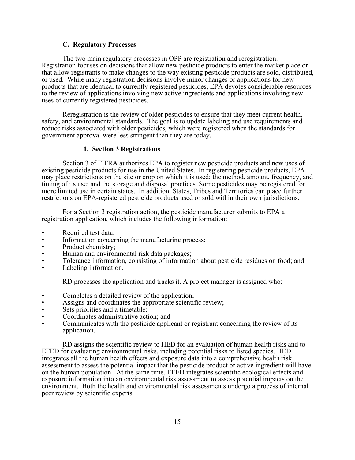### **C. Regulatory Processes**

The two main regulatory processes in OPP are registration and reregistration. Registration focuses on decisions that allow new pesticide products to enter the market place or that allow registrants to make changes to the way existing pesticide products are sold, distributed, or used. While many registration decisions involve minor changes or applications for new products that are identical to currently registered pesticides, EPA devotes considerable resources to the review of applications involving new active ingredients and applications involving new uses of currently registered pesticides.

Reregistration is the review of older pesticides to ensure that they meet current health, safety, and environmental standards. The goal is to update labeling and use requirements and reduce risks associated with older pesticides, which were registered when the standards for government approval were less stringent than they are today.

### **1. Section 3 Registrations**

Section 3 of FIFRA authorizes EPA to register new pesticide products and new uses of existing pesticide products for use in the United States. In registering pesticide products, EPA may place restrictions on the site or crop on which it is used; the method, amount, frequency, and timing of its use; and the storage and disposal practices. Some pesticides may be registered for more limited use in certain states. In addition, States, Tribes and Territories can place further restrictions on EPA-registered pesticide products used or sold within their own jurisdictions.

For a Section 3 registration action, the pesticide manufacturer submits to EPA a registration application, which includes the following information:

- 
- 
- 
- 
- Required test data;<br>
Information concerning the manufacturing process;<br>
Product chemistry;<br>
Human and environmental risk data packages;<br>
Tolerance information, consisting of information about pesticide residues o
- 

RD processes the application and tracks it. A project manager is assigned who:

- 
- Completes a detailed review of the application;<br>• Assigns and coordinates the appropriate scientific review;
- Sets priorities and a timetable;
- Coordinates administrative action; and
- Communicates with the pesticide applicant or registrant concerning the review of its application.

RD assigns the scientific review to HED for an evaluation of human health risks and to EFED for evaluating environmental risks, including potential risks to listed species. HED integrates all the human health effects and exposure data into a comprehensive health risk assessment to assess the potential impact that the pesticide product or active ingredient will have on the human population. At the same time, EFED integrates scientific ecological effects and exposure information into an environmental risk assessment to assess potential impacts on the environment. Both the health and environmental risk assessments undergo a process of internal peer review by scientific experts.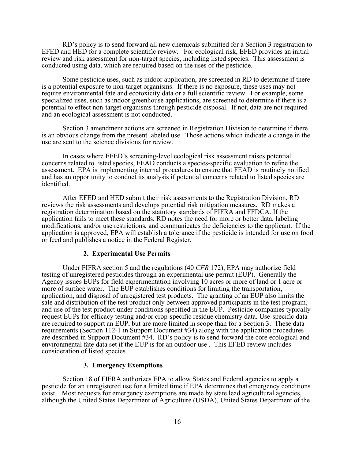RD's policy is to send forward all new chemicals submitted for a Section 3 registration to EFED and HED for a complete scientific review. For ecological risk, EFED provides an initial review and risk assessment for non-target species, including listed species. This assessment is conducted using data, which are required based on the uses of the pesticide.

Some pesticide uses, such as indoor application, are screened in RD to determine if there is a potential exposure to non-target organisms. If there is no exposure, these uses may not require environmental fate and ecotoxicity data or a full scientific review. For example, some specialized uses, such as indoor greenhouse applications, are screened to determine if there is a potential to effect non-target organisms through pesticide disposal. If not, data are not required and an ecological assessment is not conducted.

Section 3 amendment actions are screened in Registration Division to determine if there is an obvious change from the present labeled use. Those actions which indicate a change in the use are sent to the science divisions for review.

In cases where EFED's screening-level ecological risk assessment raises potential concerns related to listed species, FEAD conducts a species-specific evaluation to refine the assessment. EPA is implementing internal procedures to ensure that FEAD is routinely notified and has an opportunity to conduct its analysis if potential concerns related to listed species are identified.

After EFED and HED submit their risk assessments to the Registration Division, RD reviews the risk assessments and develops potential risk mitigation measures. RD makes a registration determination based on the statutory standards of FIFRA and FFDCA. If the application fails to meet these standards, RD notes the need for more or better data, labeling modifications, and/or use restrictions, and communicates the deficiencies to the applicant. If the application is approved, EPA will establish a tolerance if the pesticide is intended for use on food or feed and publishes a notice in the Federal Register.

### **2. Experimental Use Permits**

Under FIFRA section 5 and the regulations (40 *CFR* 172), EPA may authorize field testing of unregistered pesticides through an experimental use permit (EUP). Generally the Agency issues EUPs for field experimentation involving 10 acres or more of land or 1 acre or more of surface water. The EUP establishes conditions for limiting the transportation, application, and disposal of unregistered test products. The granting of an EUP also limits the sale and distribution of the test product only between approved participants in the test program, and use of the test product under conditions specified in the EUP. Pesticide companies typically request EUPs for efficacy testing and/or crop-specific residue chemistry data. Use-specific data are required to support an EUP, but are more limited in scope than for a Section 3. These data requirements (Section 112-1 in Support Document #34) along with the application procedures are described in Support Document #34. RD's policy is to send forward the core ecological and environmental fate data set if the EUP is for an outdoor use . This EFED review includes consideration of listed species.

### **3. Emergency Exemptions**

Section 18 of FIFRA authorizes EPA to allow States and Federal agencies to apply a pesticide for an unregistered use for a limited time if EPA determines that emergency conditions exist. Most requests for emergency exemptions are made by state lead agricultural agencies, although the United States Department of Agriculture (USDA), United States Department of the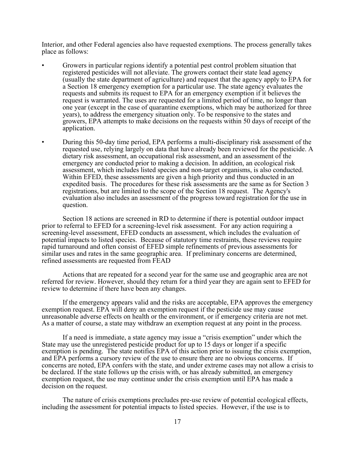Interior, and other Federal agencies also have requested exemptions. The process generally takes place as follows:

- Growers in particular regions identify a potential pest control problem situation that registered pesticides will not alleviate. The growers contact their state lead agency (usually the state department of agriculture) and request that the agency apply to EPA for a Section 18 emergency exemption for a particular use. The state agency evaluates the requests and submits its request to EPA for an emergency exemption if it believes the request is warranted. The uses are requested for a limited period of time, no longer than one year (except in the case of quarantine exemptions, which may be authorized for three years), to address the emergency situation only. To be responsive to the states and growers, EPA attempts to make decisions on the requests within 50 days of receipt of the application.
- During this 50-day time period, EPA performs a multi-disciplinary risk assessment of the requested use, relying largely on data that have already been reviewed for the pesticide. A dietary risk assessment, an occupational risk assessment, and an assessment of the emergency are conducted prior to making a decision. In addition, an ecological risk assessment, which includes listed species and non-target organisms, is also conducted. Within EFED, these assessments are given a high priority and thus conducted in an expedited basis. The procedures for these risk assessments are the same as for Section 3 registrations, but are limited to the scope of the Section 18 request. The Agency's evaluation also includes an assessment of the progress toward registration for the use in question.

Section 18 actions are screened in RD to determine if there is potential outdoor impact prior to referral to EFED for a screening-level risk assessment. For any action requiring a screening-level assessment, EFED conducts an assessment, which includes the evaluation of potential impacts to listed species. Because of statutory time restraints, these reviews require rapid turnaround and often consist of EFED simple refinements of previous assessments for similar uses and rates in the same geographic area. If preliminary concerns are determined, refined assessments are requested from FEAD

Actions that are repeated for a second year for the same use and geographic area are not referred for review. However, should they return for a third year they are again sent to EFED for review to determine if there have been any changes.

If the emergency appears valid and the risks are acceptable, EPA approves the emergency exemption request. EPA will deny an exemption request if the pesticide use may cause unreasonable adverse effects on health or the environment, or if emergency criteria are not met. As a matter of course, a state may withdraw an exemption request at any point in the process.

If a need is immediate, a state agency may issue a "crisis exemption" under which the State may use the unregistered pesticide product for up to 15 days or longer if a specific exemption is pending. The state notifies EPA of this action prior to issuing the crisis exemption, and EPA performs a cursory review of the use to ensure there are no obvious concerns. If concerns are noted, EPA confers with the state, and under extreme cases may not allow a crisis to be declared. If the state follows up the crisis with, or has already submitted, an emergency exemption request, the use may continue under the crisis exemption until EPA has made a decision on the request.

The nature of crisis exemptions precludes pre-use review of potential ecological effects, including the assessment for potential impacts to listed species. However, if the use is to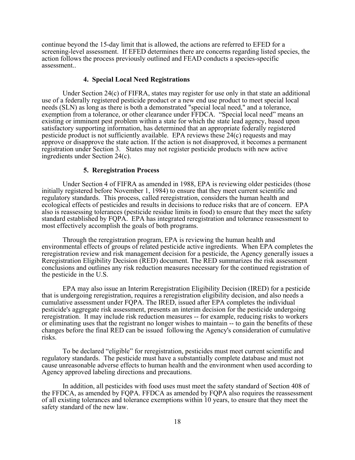continue beyond the 15-day limit that is allowed, the actions are referred to EFED for a screening-level assessment. If EFED determines there are concerns regarding listed species, the action follows the process previously outlined and FEAD conducts a species-specific assessment..

### **4. Special Local Need Registrations**

Under Section 24(c) of FIFRA, states may register for use only in that state an additional use of a federally registered pesticide product or a new end use product to meet special local needs (SLN) as long as there is both a demonstrated "special local need," and a tolerance, exemption from a tolerance, or other clearance under FFDCA. "Special local need" means an existing or imminent pest problem within a state for which the state lead agency, based upon satisfactory supporting information, has determined that an appropriate federally registered pesticide product is not sufficiently available. EPA reviews these 24(c) requests and may approve or disapprove the state action. If the action is not disapproved, it becomes a permanent registration under Section 3. States may not register pesticide products with new active ingredients under Section 24(c).

#### **5. Reregistration Process**

Under Section 4 of FIFRA as amended in 1988, EPA is reviewing older pesticides (those initially registered before November 1, 1984) to ensure that they meet current scientific and regulatory standards. This process, called reregistration, considers the human health and ecological effects of pesticides and results in decisions to reduce risks that are of concern. EPA also is reassessing tolerances (pesticide residue limits in food) to ensure that they meet the safety standard established by FQPA. EPA has integrated reregistration and tolerance reassessment to most effectively accomplish the goals of both programs.

Through the reregistration program, EPA is reviewing the human health and environmental effects of groups of related pesticide active ingredients. When EPA completes the reregistration review and risk management decision for a pesticide, the Agency generally issues a Reregistration Eligibility Decision (RED) document. The RED summarizes the risk assessment conclusions and outlines any risk reduction measures necessary for the continued registration of the pesticide in the U.S.

EPA may also issue an Interim Reregistration Eligibility Decision (IRED) for a pesticide that is undergoing reregistration, requires a reregistration eligibility decision, and also needs a cumulative assessment under FQPA. The IRED, issued after EPA completes the individual pesticide's aggregate risk assessment, presents an interim decision for the pesticide undergoing reregistration. It may include risk reduction measures -- for example, reducing risks to workers or eliminating uses that the registrant no longer wishes to maintain -- to gain the benefits of these changes before the final RED can be issued following the Agency's consideration of cumulative risks.

To be declared "eligible" for reregistration, pesticides must meet current scientific and regulatory standards. The pesticide must have a substantially complete database and must not cause unreasonable adverse effects to human health and the environment when used according to Agency approved labeling directions and precautions.

In addition, all pesticides with food uses must meet the safety standard of Section 408 of the FFDCA, as amended by FQPA. FFDCA as amended by FQPA also requires the reassessment of all existing tolerances and tolerance exemptions within 10 years, to ensure that they meet the safety standard of the new law.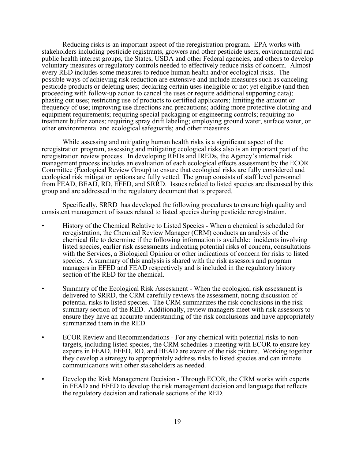Reducing risks is an important aspect of the reregistration program. EPA works with stakeholders including pesticide registrants, growers and other pesticide users, environmental and public health interest groups, the States, USDA and other Federal agencies, and others to develop voluntary measures or regulatory controls needed to effectively reduce risks of concern. Almost every RED includes some measures to reduce human health and/or ecological risks. The possible ways of achieving risk reduction are extensive and include measures such as canceling pesticide products or deleting uses; declaring certain uses ineligible or not yet eligible (and then proceeding with follow-up action to cancel the uses or require additional supporting data); phasing out uses; restricting use of products to certified applicators; limiting the amount or frequency of use; improving use directions and precautions; adding more protective clothing and equipment requirements; requiring special packaging or engineering controls; requiring notreatment buffer zones; requiring spray drift labeling; employing ground water, surface water, or other environmental and ecological safeguards; and other measures.

While assessing and mitigating human health risks is a significant aspect of the reregistration program, assessing and mitigating ecological risks also is an important part of the reregistration review process. In developing REDs and IREDs, the Agency's internal risk management process includes an evaluation of each ecological effects assessment by the ECOR Committee (Ecological Review Group) to ensure that ecological risks are fully considered and ecological risk mitigation options are fully vetted. The group consists of staff level personnel from FEAD, BEAD, RD, EFED, and SRRD. Issues related to listed species are discussed by this group and are addressed in the regulatory document that is prepared.

Specifically, SRRD has developed the following procedures to ensure high quality and consistent management of issues related to listed species during pesticide reregistration.

- History of the Chemical Relative to Listed Species When a chemical is scheduled for reregistration, the Chemical Review Manager (CRM) conducts an analysis of the chemical file to determine if the following information is available: incidents involving listed species, earlier risk assessments indicating potential risks of concern, consultations with the Services, a Biological Opinion or other indications of concern for risks to listed species. A summary of this analysis is shared with the risk assessors and program managers in EFED and FEAD respectively and is included in the regulatory history section of the RED for the chemical.
- Summary of the Ecological Risk Assessment When the ecological risk assessment is delivered to SRRD, the CRM carefully reviews the assessment, noting discussion of potential risks to listed species. The CRM summarizes the risk conclusions in the risk summary section of the RED. Additionally, review managers meet with risk assessors to ensure they have an accurate understanding of the risk conclusions and have appropriately summarized them in the RED.
- ECOR Review and Recommendations For any chemical with potential risks to nontargets, including listed species, the CRM schedules a meeting with ECOR to ensure key experts in FEAD, EFED, RD, and BEAD are aware of the risk picture. Working together they develop a strategy to appropriately address risks to listed species and can initiate communications with other stakeholders as needed.
- Develop the Risk Management Decision Through ECOR, the CRM works with experts in FEAD and EFED to develop the risk management decision and language that reflects the regulatory decision and rationale sections of the RED.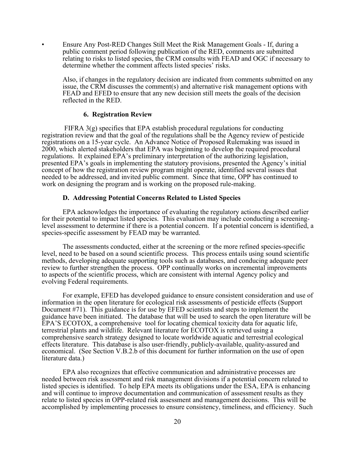• Ensure Any Post-RED Changes Still Meet the Risk Management Goals - If, during a public comment period following publication of the RED, comments are submitted relating to risks to listed species, the CRM consults with FEAD and OGC if necessary to determine whether the comment affects listed species' risks.

Also, if changes in the regulatory decision are indicated from comments submitted on any issue, the CRM discusses the comment(s) and alternative risk management options with FEAD and EFED to ensure that any new decision still meets the goals of the decision reflected in the RED.

### **6. Registration Review**

FIFRA  $3(g)$  specifies that EPA establish procedural regulations for conducting registration review and that the goal of the regulations shall be the Agency review of pesticide registrations on a 15-year cycle. An Advance Notice of Proposed Rulemaking was issued in 2000, which alerted stakeholders that EPA was beginning to develop the required procedural regulations. It explained EPA's preliminary interpretation of the authorizing legislation, presented EPA's goals in implementing the statutory provisions, presented the Agency's initial concept of how the registration review program might operate, identified several issues that needed to be addressed, and invited public comment. Since that time, OPP has continued to work on designing the program and is working on the proposed rule-making.

### **D. Addressing Potential Concerns Related to Listed Species**

EPA acknowledges the importance of evaluating the regulatory actions described earlier for their potential to impact listed species. This evaluation may include conducting a screeninglevel assessment to determine if there is a potential concern. If a potential concern is identified, a species-specific assessment by FEAD may be warranted.

The assessments conducted, either at the screening or the more refined species-specific level, need to be based on a sound scientific process. This process entails using sound scientific methods, developing adequate supporting tools such as databases, and conducing adequate peer review to further strengthen the process. OPP continually works on incremental improvements to aspects of the scientific process, which are consistent with internal Agency policy and evolving Federal requirements.

For example, EFED has developed guidance to ensure consistent consideration and use of information in the open literature for ecological risk assessments of pesticide effects (Support Document #71). This guidance is for use by EFED scientists and steps to implement the guidance have been initiated. The database that will be used to search the open literature will be EPA'S ECOTOX, a comprehensive tool for locating chemical toxicity data for aquatic life, terrestrial plants and wildlife. Relevant literature for ECOTOX is retrieved using a comprehensive search strategy designed to locate worldwide aquatic and terrestrial ecological effects literature. This database is also user-friendly, publicly-available, quality-assured and economical. (See Section V.B.2.b of this document for further information on the use of open literature data.)

EPA also recognizes that effective communication and administrative processes are needed between risk assessment and risk management divisions if a potential concern related to listed species is identified. To help EPA meets its obligations under the ESA, EPA is enhancing and will continue to improve documentation and communication of assessment results as they relate to listed species in OPP-related risk assessment and management decisions. This will be accomplished by implementing processes to ensure consistency, timeliness, and efficiency. Such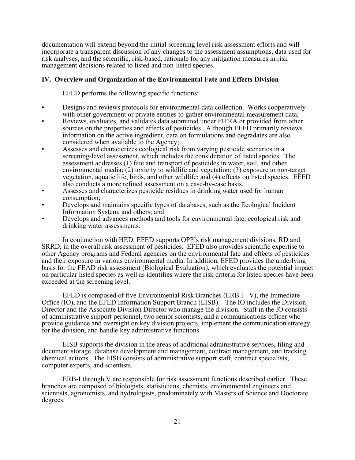documentation will extend beyond the initial screening level risk assessment efforts and will incorporate a transparent discussion of any changes to the assessment assumptions, data used for risk analyses, and the scientific, risk-based, rationale for any mitigation measures in risk management decisions related to listed and non-listed species.

## **IV. Overview and Organization of the Environmental Fate and Effects Division**

EFED performs the following specific functions:

- Designs and reviews protocols for environmental data collection. Works cooperatively with other government or private entities to gather environmental measurement data;
- Reviews, evaluates, and validates data submitted under FIFRA or provided from other sources on the properties and effects of pesticides. Although EFED primarily reviews information on the active ingredient, data on formulations and degradates are also considered when available to the Agency;
- Assesses and characterizes ecological risk from varying pesticide scenarios in a screening-level assessment, which includes the consideration of listed species. The assessment addresses (1) fate and transport of pesticides in water, soil, and other environmental media; (2) toxicity to wildlife and vegetation; (3) exposure to non-target vegetation, aquatic life, birds, and other wildlife; and (4) effects on listed species. EFED also conducts a more refined assessment on a case-by-case basis.
- Assesses and characterizes pesticide residues in drinking water used for human consumption;
- Develops and maintains specific types of databases, such as the Ecological Incident Information System, and others; and
- Develops and advances methods and tools for environmental fate, ecological risk and drinking water assessments.

In conjunction with HED, EFED supports OPP's risk management divisions, RD and SRRD, in the overall risk assessment of pesticides. EFED also provides scientific expertise to other Agency programs and Federal agencies on the environmental fate and effects of pesticides and their exposure in various environmental media. In addition, EFED provides the underlying basis for the FEAD risk assessment (Biological Evaluation), which evaluates the potential impact on particular listed species as well as identifies where the risk criteria for listed species have been exceeded at the screening level.

EFED is composed of five Environmental Risk Branches (ERB I - V), the Immediate Office (IO), and the EFED Information Support Branch (EISB). The IO includes the Division Director and the Associate Division Director who manage the division. Staff in the IO consists of administrative support personnel, two senior scientists, and a communications officer who provide guidance and oversight on key division projects, implement the communication strategy for the division, and handle key administrative functions.

EISB supports the division in the areas of additional administrative services, filing and document storage, database development and management, contract management, and tracking chemical actions. The EISB consists of administrative support staff, contract specialists, computer experts, and scientists.

ERB-I through V are responsible for risk assessment functions described earlier. These branches are composed of biologists, statisticians, chemists, environmental engineers and scientists, agronomists, and hydrologists, predominately with Masters of Science and Doctorate degrees.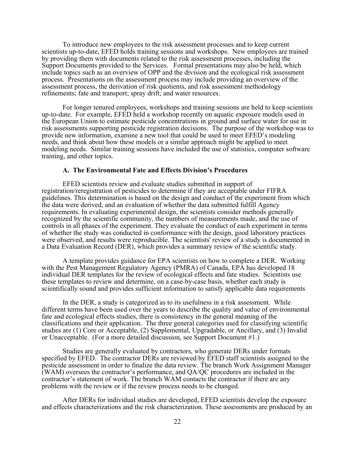To introduce new employees to the risk assessment processes and to keep current scientists up-to-date, EFED holds training sessions and workshops. New employees are trained by providing them with documents related to the risk assessment processes, including the Support Documents provided to the Services. Formal presentations may also be held, which include topics such as an overview of OPP and the division and the ecological risk assessment process. Presentations on the assessment process may include providing an overview of the assessment process, the derivation of risk quotients, and risk assessment methodology refinements; fate and transport; spray drift; and water resources.

For longer tenured employees, workshops and training sessions are held to keep scientists up-to-date. For example, EFED held a workshop recently on aquatic exposure models used in the European Union to estimate pesticide concentrations in ground and surface water for use in risk assessments supporting pesticide registration decisions. The purpose of the workshop was to provide new information, examine a new tool that could be used to meet EFED's modeling needs, and think about how these models or a similar approach might be applied to meet modeling needs. Similar training sessions have included the use of statistics, computer software training, and other topics.

### **A. The Environmental Fate and Effects Division's Procedures**

EFED scientists review and evaluate studies submitted in support of registration/reregistration of pesticides to determine if they are acceptable under FIFRA guidelines. This determination is based on the design and conduct of the experiment from which the data were derived, and an evaluation of whether the data submitted fulfill Agency requirements. In evaluating experimental design, the scientists consider methods generally recognized by the scientific community, the numbers of measurements made, and the use of controls in all phases of the experiment. They evaluate the conduct of each experiment in terms of whether the study was conducted in conformance with the design, good laboratory practices were observed, and results were reproducible. The scientists' review of a study is documented in a Data Evaluation Record (DER), which provides a summary review of the scientific study.

A template provides guidance for EPA scientists on how to complete a DER. Working with the Pest Management Regulatory Agency (PMRA) of Canada, EPA has developed 18 individual DER templates for the review of ecological effects and fate studies. Scientists use these templates to review and determine, on a case-by-case basis, whether each study is scientifically sound and provides sufficient information to satisfy applicable data requirements

In the DER, a study is categorized as to its usefulness in a risk assessment. While different terms have been used over the years to describe the quality and value of environmental fate and ecological effects studies, there is consistency in the general meaning of the classifications and their application. The three general categories used for classifying scientific studies are (1) Core or Acceptable, (2) Supplemental, Upgradable, or Ancillary, and (3) Invalid or Unacceptable. (For a more detailed discussion, see Support Document #1.)

Studies are generally evaluated by contractors, who generate DERs under formats specified by EFED. The contractor DERs are reviewed by EFED staff scientists assigned to the pesticide assessment in order to finalize the data review. The branch Work Assignment Manager (WAM) oversees the contractor's performance, and QA/QC procedures are included in the contractor's statement of work. The branch WAM contacts the contractor if there are any problems with the review or if the review process needs to be changed.

After DERs for individual studies are developed, EFED scientists develop the exposure and effects characterizations and the risk characterization. These assessments are produced by an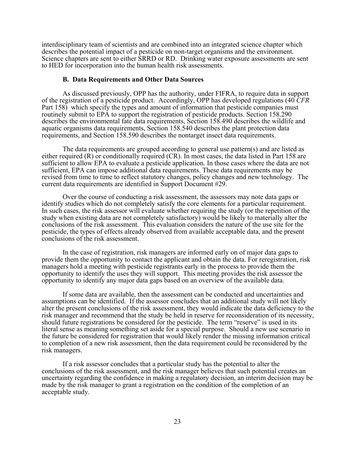interdisciplinary team of scientists and are combined into an integrated science chapter which describes the potential impact of a pesticide on non-target organisms and the environment. Science chapters are sent to either SRRD or RD. Drinking water exposure assessments are sent to HED for incorporation into the human health risk assessments.

#### **B. Data Requirements and Other Data Sources**

As discussed previously, OPP has the authority, under FIFRA, to require data in support of the registration of a pesticide product. Accordingly, OPP has developed regulations (40 *CFR*  Part 158) which specify the types and amount of information that pesticide companies must routinely submit to EPA to support the registration of pesticide products. Section 158.290 describes the environmental fate data requirements, Section 158.490 describes the wildlife and aquatic organisms data requirements, Section 158.540 describes the plant protection data requirements, and Section 158.590 describes the nontarget insect data requirements.

The data requirements are grouped according to general use pattern(s) and are listed as either required (R) or conditionally required (CR). In most cases, the data listed in Part 158 are sufficient to allow EPA to evaluate a pesticide application. In those cases where the data are not sufficient, EPA can impose additional data requirements. These data requirements may be revised from time to time to reflect statutory changes, policy changes and new technology. The current data requirements are identified in Support Document #29.

Over the course of conducting a risk assessment, the assessors may note data gaps or identify studies which do not completely satisfy the core elements for a particular requirement. In such cases, the risk assessor will evaluate whether requiring the study (or the repetition of the study when existing data are not completely satisfactory) would be likely to materially alter the conclusions of the risk assessment. This evaluation considers the nature of the use site for the pesticide, the types of effects already observed from available acceptable data, and the present conclusions of the risk assessment.

In the case of registration, risk managers are informed early on of major data gaps to provide them the opportunity to contact the applicant and obtain the data. For reregistration, risk managers hold a meeting with pesticide registrants early in the process to provide them the opportunity to identify the uses they will support. This meeting provides the risk assessor the opportunity to identify any major data gaps based on an overview of the available data.

If some data are available, then the assessment can be conducted and uncertainties and assumptions can be identified. If the assessor concludes that an additional study will not likely alter the present conclusions of the risk assessment, they would indicate the data deficiency to the risk manager and recommend that the study be held in reserve for reconsideration of its necessity, should future registrations be considered for the pesticide. The term "reserve" is used in its literal sense as meaning something set aside for a special purpose. Should a new use scenario in the future be considered for registration that would likely render the missing information critical to completion of a new risk assessment, then the data requirement could be reconsidered by the risk managers.

If a risk assessor concludes that a particular study has the potential to alter the conclusions of the risk assessment, and the risk manager believes that such potential creates an uncertainty regarding the confidence in making a regulatory decision, an interim decision may be made by the risk manager to grant a registration on the condition of the completion of an acceptable study.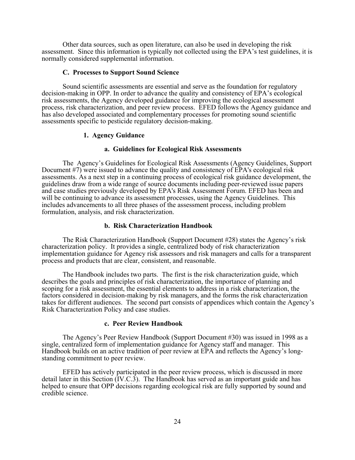Other data sources, such as open literature, can also be used in developing the risk assessment. Since this information is typically not collected using the EPA's test guidelines, it is normally considered supplemental information.

#### **C. Processes to Support Sound Science**

Sound scientific assessments are essential and serve as the foundation for regulatory decision-making in OPP. In order to advance the quality and consistency of EPA's ecological risk assessments, the Agency developed guidance for improving the ecological assessment process, risk characterization, and peer review process. EFED follows the Agency guidance and has also developed associated and complementary processes for promoting sound scientific assessments specific to pesticide regulatory decision-making.

### **1. Agency Guidance**

### **a. Guidelines for Ecological Risk Assessments**

The Agency's Guidelines for Ecological Risk Assessments (Agency Guidelines, Support Document #7) were issued to advance the quality and consistency of EPA's ecological risk assessments. As a next step in a continuing process of ecological risk guidance development, the guidelines draw from a wide range of source documents including peer-reviewed issue papers and case studies previously developed by EPA's Risk Assessment Forum. EFED has been and will be continuing to advance its assessment processes, using the Agency Guidelines. This includes advancements to all three phases of the assessment process, including problem formulation, analysis, and risk characterization.

#### **b. Risk Characterization Handbook**

The Risk Characterization Handbook (Support Document #28) states the Agency's risk characterization policy. It provides a single, centralized body of risk characterization implementation guidance for Agency risk assessors and risk managers and calls for a transparent process and products that are clear, consistent, and reasonable.

The Handbook includes two parts. The first is the risk characterization guide, which describes the goals and principles of risk characterization, the importance of planning and scoping for a risk assessment, the essential elements to address in a risk characterization, the factors considered in decision-making by risk managers, and the forms the risk characterization takes for different audiences. The second part consists of appendices which contain the Agency's Risk Characterization Policy and case studies.

#### **c. Peer Review Handbook**

The Agency's Peer Review Handbook (Support Document #30) was issued in 1998 as a single, centralized form of implementation guidance for Agency staff and manager. This Handbook builds on an active tradition of peer review at EPA and reflects the Agency's longstanding commitment to peer review.

EFED has actively participated in the peer review process, which is discussed in more detail later in this Section (IV.C.3). The Handbook has served as an important guide and has helped to ensure that OPP decisions regarding ecological risk are fully supported by sound and credible science.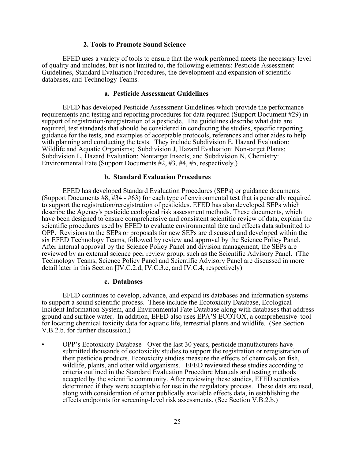### **2. Tools to Promote Sound Science**

EFED uses a variety of tools to ensure that the work performed meets the necessary level of quality and includes, but is not limited to, the following elements: Pesticide Assessment Guidelines, Standard Evaluation Procedures, the development and expansion of scientific databases, and Technology Teams.

### **a. Pesticide Assessment Guidelines**

EFED has developed Pesticide Assessment Guidelines which provide the performance requirements and testing and reporting procedures for data required (Support Document #29) in support of registration/reregistration of a pesticide. The guidelines describe what data are required, test standards that should be considered in conducting the studies, specific reporting guidance for the tests, and examples of acceptable protocols, references and other aides to help with planning and conducting the tests. They include Subdivision E, Hazard Evaluation: Wildlife and Aquatic Organisms; Subdivision J, Hazard Evaluation: Non-target Plants; Subdivision L, Hazard Evaluation: Nontarget Insects; and Subdivision N, Chemistry: Environmental Fate (Support Documents  $\frac{1}{2}$ ,  $\frac{1}{3}$ ,  $\frac{1}{4}$ ,  $\frac{1}{4}$ ,  $\frac{1}{4}$ ,  $\frac{1}{4}$ , respectively.)

### **b. Standard Evaluation Procedures**

EFED has developed Standard Evaluation Procedures (SEPs) or guidance documents (Support Documents #8, #34 - #63) for each type of environmental test that is generally required to support the registration/reregistration of pesticides. EFED has also developed SEPs which describe the Agency's pesticide ecological risk assessment methods. These documents, which have been designed to ensure comprehensive and consistent scientific review of data, explain the scientific procedures used by EFED to evaluate environmental fate and effects data submitted to OPP. Revisions to the SEPs or proposals for new SEPs are discussed and developed within the six EFED Technology Teams, followed by review and approval by the Science Policy Panel. After internal approval by the Science Policy Panel and division management, the SEPs are reviewed by an external science peer review group, such as the Scientific Advisory Panel. (The Technology Teams, Science Policy Panel and Scientific Advisory Panel are discussed in more detail later in this Section [IV.C.2.d, IV.C.3.c, and IV.C.4, respectively)

#### **c. Databases**

EFED continues to develop, advance, and expand its databases and information systems to support a sound scientific process. These include the Ecotoxicity Database, Ecological Incident Information System, and Environmental Fate Database along with databases that address ground and surface water. In addition, EFED also uses EPA'S ECOTOX, a comprehensive tool for locating chemical toxicity data for aquatic life, terrestrial plants and wildlife. (See Section V.B.2.b. for further discussion.)

• OPP's Ecotoxicity Database - Over the last 30 years, pesticide manufacturers have submitted thousands of ecotoxicity studies to support the registration or reregistration of their pesticide products. Ecotoxicity studies measure the effects of chemicals on fish, wildlife, plants, and other wild organisms. EFED reviewed these studies according to criteria outlined in the Standard Evaluation Procedure Manuals and testing methods accepted by the scientific community. After reviewing these studies, EFED scientists determined if they were acceptable for use in the regulatory process. These data are used, along with consideration of other publically available effects data, in establishing the effects endpoints for screening-level risk assessments. (See Section V.B.2.b.)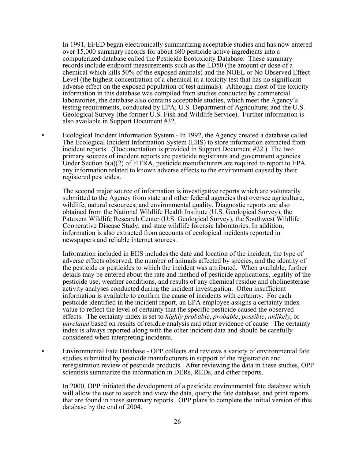In 1991, EFED began electronically summarizing acceptable studies and has now entered over 15,000 summary records for about 680 pesticide active ingredients into a computerized database called the Pesticide Ecotoxicity Database. These summary records include endpoint measurements such as the LD50 (the amount or dose of a chemical which kills 50% of the exposed animals) and the NOEL or No Observed Effect Level (the highest concentration of a chemical in a toxicity test that has no significant adverse effect on the exposed population of test animals). Although most of the toxicity information in this database was compiled from studies conducted by commercial laboratories, the database also contains acceptable studies, which meet the Agency's testing requirements, conducted by EPA; U.S. Department of Agriculture; and the U.S. Geological Survey (the former U.S. Fish and Wildlife Service). Further information is also available in Support Document #32.

• Ecological Incident Information System - In 1992, the Agency created a database called The Ecological Incident Information System (EIIS) to store information extracted from incident reports. (Documentation is provided in Support Document #22.) The two primary sources of incident reports are pesticide registrants and government agencies. Under Section  $6(a)(2)$  of FIFRA, pesticide manufacturers are required to report to EPA any information related to known adverse effects to the environment caused by their registered pesticides.

The second major source of information is investigative reports which are voluntarily submitted to the Agency from state and other federal agencies that oversee agriculture, wildlife, natural resources, and environmental quality. Diagnostic reports are also obtained from the National Wildlife Health Institute (U.S. Geological Survey), the Patuxent Wildlife Research Center (U.S. Geological Survey), the Southwest Wildlife Cooperative Disease Study, and state wildlife forensic laboratories. In addition, information is also extracted from accounts of ecological incidents reported in newspapers and reliable internet sources.

Information included in EIIS includes the date and location of the incident, the type of adverse effects observed, the number of animals affected by species, and the identity of the pesticide or pesticides to which the incident was attributed. When available, further details may be entered about the rate and method of pesticide applications, legality of the pesticide use, weather conditions, and results of any chemical residue and cholinesterase activity analyses conducted during the incident investigation. Often insufficient information is available to confirm the cause of incidents with certainty. For each pesticide identified in the incident report, an EPA employee assigns a certainty index value to reflect the level of certainty that the specific pesticide caused the observed effects. The certainty index is set to *highly probable*, *probable*, *possible*, *unlikely*, or *unrelated* based on results of residue analysis and other evidence of cause. The certainty index is always reported along with the other incident data and should be carefully considered when interpreting incidents.

• Environmental Fate Database - OPP collects and reviews a variety of environmental fate studies submitted by pesticide manufacturers in support of the registration and reregistration review of pesticide products. After reviewing the data in these studies, OPP scientists summarize the information in DERs, REDs, and other reports.

In 2000, OPP initiated the development of a pesticide environmental fate database which will allow the user to search and view the data, query the fate database, and print reports that are found in these summary reports. OPP plans to complete the initial version of this database by the end of 2004.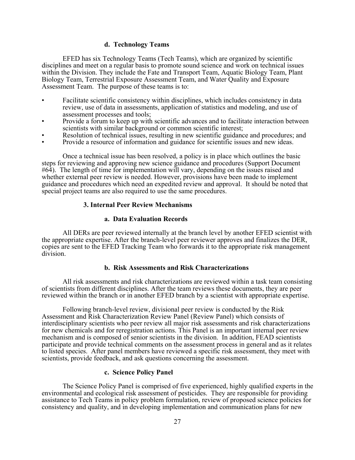### **d. Technology Teams**

EFED has six Technology Teams (Tech Teams), which are organized by scientific disciplines and meet on a regular basis to promote sound science and work on technical issues within the Division. They include the Fate and Transport Team, Aquatic Biology Team, Plant Biology Team, Terrestrial Exposure Assessment Team, and Water Quality and Exposure Assessment Team. The purpose of these teams is to:

- Facilitate scientific consistency within disciplines, which includes consistency in data review, use of data in assessments, application of statistics and modeling, and use of assessment processes and tools;
- Provide a forum to keep up with scientific advances and to facilitate interaction between scientists with similar background or common scientific interest;
- Resolution of technical issues, resulting in new scientific guidance and procedures; and
- Provide a resource of information and guidance for scientific issues and new ideas.

Once a technical issue has been resolved, a policy is in place which outlines the basic steps for reviewing and approving new science guidance and procedures (Support Document #64). The length of time for implementation will vary, depending on the issues raised and whether external peer review is needed. However, provisions have been made to implement guidance and procedures which need an expedited review and approval. It should be noted that special project teams are also required to use the same procedures.

### **3. Internal Peer Review Mechanisms**

### **a. Data Evaluation Records**

All DERs are peer reviewed internally at the branch level by another EFED scientist with the appropriate expertise. After the branch-level peer reviewer approves and finalizes the DER, copies are sent to the EFED Tracking Team who forwards it to the appropriate risk management division.

### **b. Risk Assessments and Risk Characterizations**

All risk assessments and risk characterizations are reviewed within a task team consisting of scientists from different disciplines. After the team reviews these documents, they are peer reviewed within the branch or in another EFED branch by a scientist with appropriate expertise.

Following branch-level review, divisional peer review is conducted by the Risk Assessment and Risk Characterization Review Panel (Review Panel) which consists of interdisciplinary scientists who peer review all major risk assessments and risk characterizations for new chemicals and for reregistration actions. This Panel is an important internal peer review mechanism and is composed of senior scientists in the division. In addition, FEAD scientists participate and provide technical comments on the assessment process in general and as it relates to listed species. After panel members have reviewed a specific risk assessment, they meet with scientists, provide feedback, and ask questions concerning the assessment.

### **c. Science Policy Panel**

The Science Policy Panel is comprised of five experienced, highly qualified experts in the environmental and ecological risk assessment of pesticides. They are responsible for providing assistance to Tech Teams in policy problem formulation, review of proposed science policies for consistency and quality, and in developing implementation and communication plans for new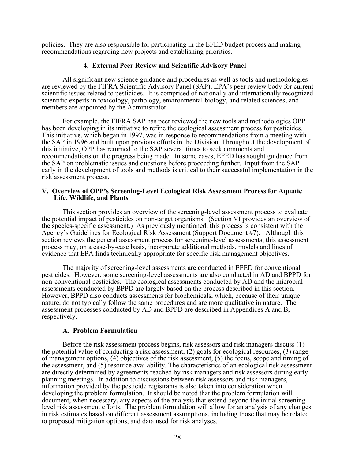policies. They are also responsible for participating in the EFED budget process and making recommendations regarding new projects and establishing priorities.

### **4. External Peer Review and Scientific Advisory Panel**

All significant new science guidance and procedures as well as tools and methodologies are reviewed by the FIFRA Scientific Advisory Panel (SAP), EPA's peer review body for current scientific issues related to pesticides. It is comprised of nationally and internationally recognized scientific experts in toxicology, pathology, environmental biology, and related sciences; and members are appointed by the Administrator.

For example, the FIFRA SAP has peer reviewed the new tools and methodologies OPP has been developing in its initiative to refine the ecological assessment process for pesticides. This initiative, which began in 1997, was in response to recommendations from a meeting with the SAP in 1996 and built upon previous efforts in the Division. Throughout the development of this initiative, OPP has returned to the SAP several times to seek comments and recommendations on the progress being made. In some cases, EFED has sought guidance from the SAP on problematic issues and questions before proceeding further. Input from the SAP early in the development of tools and methods is critical to their successful implementation in the risk assessment process.

### **V. Overview of OPP's Screening-Level Ecological Risk Assessment Process for Aquatic Life, Wildlife, and Plants**

This section provides an overview of the screening-level assessment process to evaluate the potential impact of pesticides on non-target organisms. (Section VI provides an overview of the species-specific assessment.) As previously mentioned, this process is consistent with the Agency's Guidelines for Ecological Risk Assessment (Support Document #7). Although this section reviews the general assessment process for screening-level assessments, this assessment process may, on a case-by-case basis, incorporate additional methods, models and lines of evidence that EPA finds technically appropriate for specific risk management objectives.

The majority of screening-level assessments are conducted in EFED for conventional pesticides. However, some screening-level assessments are also conducted in AD and BPPD for non-conventional pesticides. The ecological assessments conducted by AD and the microbial assessments conducted by BPPD are largely based on the process described in this section. However, BPPD also conducts assessments for biochemicals, which, because of their unique nature, do not typically follow the same procedures and are more qualitative in nature. The assessment processes conducted by AD and BPPD are described in Appendices A and B, respectively.

### **A. Problem Formulation**

Before the risk assessment process begins, risk assessors and risk managers discuss (1) the potential value of conducting a risk assessment, (2) goals for ecological resources, (3) range of management options, (4) objectives of the risk assessment, (5) the focus, scope and timing of the assessment, and (5) resource availability. The characteristics of an ecological risk assessment are directly determined by agreements reached by risk managers and risk assessors during early planning meetings. In addition to discussions between risk assessors and risk managers, information provided by the pesticide registrants is also taken into consideration when developing the problem formulation. It should be noted that the problem formulation will document, when necessary, any aspects of the analysis that extend beyond the initial screening level risk assessment efforts. The problem formulation will allow for an analysis of any changes in risk estimates based on different assessment assumptions, including those that may be related to proposed mitigation options, and data used for risk analyses.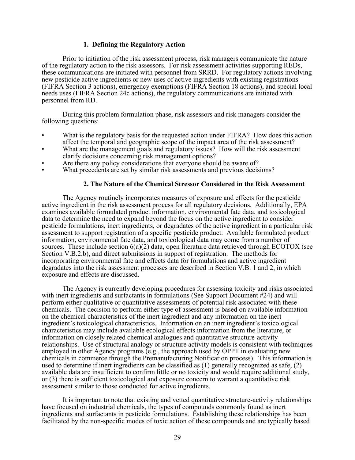## **1. Defining the Regulatory Action**

Prior to initiation of the risk assessment process, risk managers communicate the nature of the regulatory action to the risk assessors. For risk assessment activities supporting REDs, these communications are initiated with personnel from SRRD. For regulatory actions involving new pesticide active ingredients or new uses of active ingredients with existing registrations (FIFRA Section 3 actions), emergency exemptions (FIFRA Section 18 actions), and special local needs uses (FIFRA Section 24c actions), the regulatory communications are initiated with personnel from RD.

During this problem formulation phase, risk assessors and risk managers consider the following questions:

- What is the regulatory basis for the requested action under FIFRA? How does this action affect the temporal and geographic scope of the impact area of the risk assessment?
- What are the management goals and regulatory issues? How will the risk assessment clarify decisions concerning risk management options?
- Are there any policy considerations that everyone should be aware of?
- What precedents are set by similar risk assessments and previous decisions?

### **2. The Nature of the Chemical Stressor Considered in the Risk Assessment**

The Agency routinely incorporates measures of exposure and effects for the pesticide active ingredient in the risk assessment process for all regulatory decisions. Additionally, EPA examines available formulated product information, environmental fate data, and toxicological data to determine the need to expand beyond the focus on the active ingredient to consider pesticide formulations, inert ingredients, or degradates of the active ingredient in a particular risk assessment to support registration of a specific pesticide product. Available formulated product information, environmental fate data, and toxicological data may come from a number of sources. These include section  $6(a)(2)$  data, open literature data retrieved through ECOTOX (see Section V.B.2.b), and direct submissions in support of registration. The methods for incorporating environmental fate and effects data for formulations and active ingredient degradates into the risk assessment processes are described in Section V.B. 1 and 2, in which exposure and effects are discussed.

The Agency is currently developing procedures for assessing toxicity and risks associated with inert ingredients and surfactants in formulations (See Support Document #24) and will perform either qualitative or quantitative assessments of potential risk associated with these chemicals. The decision to perform either type of assessment is based on available information on the chemical characteristics of the inert ingredient and any information on the inert ingredient's toxicological characteristics. Information on an inert ingredient's toxicological characteristics may include available ecological effects information from the literature, or information on closely related chemical analogues and quantitative structure-activity relationships. Use of structural analogy or structure activity models is consistent with techniques employed in other Agency programs (e.g., the approach used by OPPT in evaluating new chemicals in commerce through the Premanufacturing Notification process). This information is used to determine if inert ingredients can be classified as (1) generally recognized as safe, (2) available data are insufficient to confirm little or no toxicity and would require additional study, or (3) there is sufficient toxicological and exposure concern to warrant a quantitative risk assessment similar to those conducted for active ingredients.

It is important to note that existing and vetted quantitative structure-activity relationships have focused on industrial chemicals, the types of compounds commonly found as inert ingredients and surfactants in pesticide formulations. Establishing these relationships has been facilitated by the non-specific modes of toxic action of these compounds and are typically based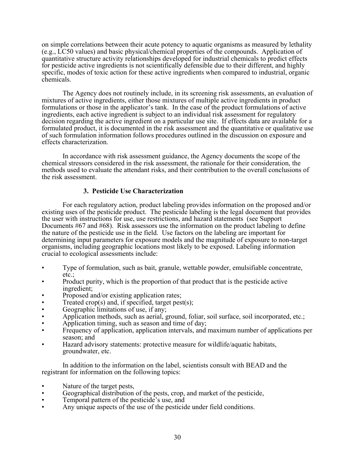on simple correlations between their acute potency to aquatic organisms as measured by lethality (e.g., LC50 values) and basic physical/chemical properties of the compounds. Application of quantitative structure activity relationships developed for industrial chemicals to predict effects for pesticide active ingredients is not scientifically defensible due to their different, and highly specific, modes of toxic action for these active ingredients when compared to industrial, organic chemicals.

The Agency does not routinely include, in its screening risk assessments, an evaluation of mixtures of active ingredients, either those mixtures of multiple active ingredients in product formulations or those in the applicator's tank. In the case of the product formulations of active ingredients, each active ingredient is subject to an individual risk assessment for regulatory decision regarding the active ingredient on a particular use site. If effects data are available for a formulated product, it is documented in the risk assessment and the quantitative or qualitative use of such formulation information follows procedures outlined in the discussion on exposure and effects characterization.

In accordance with risk assessment guidance, the Agency documents the scope of the chemical stressors considered in the risk assessment, the rationale for their consideration, the methods used to evaluate the attendant risks, and their contribution to the overall conclusions of the risk assessment.

# **3. Pesticide Use Characterization**

For each regulatory action, product labeling provides information on the proposed and/or existing uses of the pesticide product. The pesticide labeling is the legal document that provides the user with instructions for use, use restrictions, and hazard statements (see Support Documents #67 and #68). Risk assessors use the information on the product labeling to define the nature of the pesticide use in the field. Use factors on the labeling are important for determining input parameters for exposure models and the magnitude of exposure to non-target organisms, including geographic locations most likely to be exposed. Labeling information crucial to ecological assessments include:

- Type of formulation, such as bait, granule, wettable powder, emulsifiable concentrate, etc.;
- Product purity, which is the proportion of that product that is the pesticide active ingredient;
- Proposed and/or existing application rates;
- Treated crop(s) and, if specified, target pest(s); Geographic limitations of use, if any;
- 
- Application methods, such as aerial, ground, foliar, soil surface, soil incorporated, etc.;
- Application timing, such as season and time of day;
- Frequency of application, application intervals, and maximum number of applications per season; and
- Hazard advisory statements: protective measure for wildlife/aquatic habitats, groundwater, etc.

In addition to the information on the label, scientists consult with BEAD and the registrant for information on the following topics:

- Nature of the target pests,
- Geographical distribution of the pests, crop, and market of the pesticide,
- Temporal pattern of the pesticide's use, and
- Any unique aspects of the use of the pesticide under field conditions.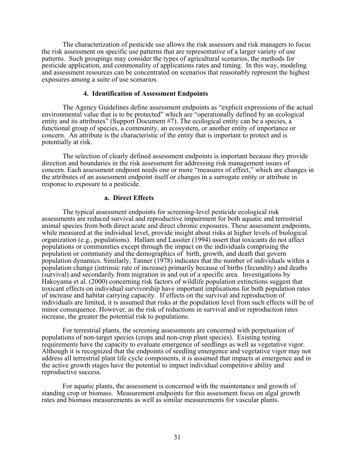The characterization of pesticide use allows the risk assessors and risk managers to focus the risk assessment on specific use patterns that are representative of a larger variety of use patterns. Such groupings may consider the types of agricultural scenarios, the methods for pesticide application, and commonality of applications rates and timing. In this way, modeling and assessment resources can be concentrated on scenarios that reasonably represent the highest exposures among a suite of use scenarios.

### **4. Identification of Assessment Endpoints**

The Agency Guidelines define assessment endpoints as "explicit expressions of the actual environmental value that is to be protected" which are "operationally defined by an ecological entity and its attributes" (Support Document #7). The ecological entity can be a species, a functional group of species, a community, an ecosystem, or another entity of importance or concern. An attribute is the characteristic of the entity that is important to protect and is potentially at risk.

The selection of clearly defined assessment endpoints is important because they provide direction and boundaries in the risk assessment for addressing risk management issues of concern. Each assessment endpoint needs one or more "measures of effect," which are changes in the attributes of an assessment endpoint itself or changes in a surrogate entity or attribute in response to exposure to a pesticide.

### **a. Direct Effects**

The typical assessment endpoints for screening-level pesticide ecological risk assessments are reduced survival and reproductive impairment for both aquatic and terrestrial animal species from both direct acute and direct chronic exposures. These assessment endpoints, while measured at the individual level, provide insight about risks at higher levels of biological organization (e.g., populations). Hallam and Lassiter (1994) assert that toxicants do not affect populations or communities except through the impact on the individuals comprising the population or community and the demographics of birth, growth, and death that govern population dynamics. Similarly, Tanner (1978) indicates that the number of individuals within a population change (intrinsic rate of increase) primarily because of births (fecundity) and deaths (survival) and secondarily from migration in and out of a specific area. Investigations by Hakoyama et al. (2000) concerning risk factors of wildlife population extinctions suggest that toxicant effects on individual survivorship have important implications for both population rates of increase and habitat carrying capacity. If effects on the survival and reproduction of individuals are limited, it is assumed that risks at the population level from such effects will be of minor consequence. However, as the risk of reductions in survival and/or reproduction rates increase, the greater the potential risk to populations.

For terrestrial plants, the screening assessments are concerned with perpetuation of populations of non-target species (crops and non-crop plant species). Existing testing requirements have the capacity to evaluate emergence of seedlings as well as vegetative vigor. Although it is recognized that the endpoints of seedling emergence and vegetative vigor may not address all terrestrial plant life cycle components, it is assumed that impacts at emergence and in the active growth stages have the potential to impact individual competitive ability and reproductive success.

For aquatic plants, the assessment is concerned with the maintenance and growth of standing crop or biomass. Measurement endpoints for this assessment focus on algal growth rates and biomass measurements as well as similar measurements for vascular plants.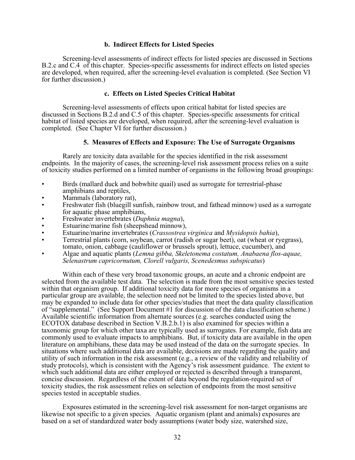### **b. Indirect Effects for Listed Species**

Screening-level assessments of indirect effects for listed species are discussed in Sections B.2.c and C.4 of this chapter. Species-specific assessments for indirect effects on listed species are developed, when required, after the screening-level evaluation is completed. (See Section VI for further discussion.)

## **c. Effects on Listed Species Critical Habitat**

Screening-level assessments of effects upon critical habitat for listed species are discussed in Sections B.2.d and C.5 of this chapter. Species-specific assessments for critical habitat of listed species are developed, when required, after the screening-level evaluation is completed. (See Chapter VI for further discussion.)

## **5. Measures of Effects and Exposure: The Use of Surrogate Organisms**

Rarely are toxicity data available for the species identified in the risk assessment endpoints. In the majority of cases, the screening-level risk assessment process relies on a suite of toxicity studies performed on a limited number of organisms in the following broad groupings:

- Birds (mallard duck and bobwhite quail) used as surrogate for terrestrial-phase amphibians and reptiles,
- Mammals (laboratory rat),
- Freshwater fish (bluegill sunfish, rainbow trout, and fathead minnow) used as a surrogate for aquatic phase amphibians,
- Freshwater invertebrates (*Daphnia magna*),
- Estuarine/marine fish (sheepshead minnow),
- Estuarine/marine invertebrates (*Crassostrea virginica* and *Mysidopsis bahia*),
- Terrestrial plants (corn, soybean, carrot (radish or sugar beet), oat (wheat or ryegrass), tomato, onion, cabbage (cauliflower or brussels sprout), lettuce, cucumber), and
- Algae and aquatic plants (*Lemna gibba, Skeletonema costatum, Anabaena flos-aquae, Selenastrum capricornutum, Clorell vulgaris, Scenedesmus subspicatus*)

Within each of these very broad taxonomic groups, an acute and a chronic endpoint are selected from the available test data. The selection is made from the most sensitive species tested within that organism group. If additional toxicity data for more species of organisms in a particular group are available, the selection need not be limited to the species listed above, but may be expanded to include data for other species/studies that meet the data quality classification of "supplemental." (See Support Document #1 for discussion of the data classification scheme.) Available scientific information from alternate sources (e.g. searches conducted using the ECOTOX database described in Section V.B.2.b.1) is also examined for species within a taxonomic group for which other taxa are typically used as surrogates. For example, fish data are commonly used to evaluate impacts to amphibians. But, if toxicity data are available in the open literature on amphibians, these data may be used instead of the data on the surrogate species. In situations where such additional data are available, decisions are made regarding the quality and utility of such information in the risk assessment (e.g., a review of the validity and reliability of study protocols), which is consistent with the Agency's risk assessment guidance. The extent to which such additional data are either employed or rejected is described through a transparent, concise discussion. Regardless of the extent of data beyond the regulation-required set of toxicity studies, the risk assessment relies on selection of endpoints from the most sensitive species tested in acceptable studies.

Exposures estimated in the screening-level risk assessment for non-target organisms are likewise not specific to a given species. Aquatic organism (plant and animals) exposures are based on a set of standardized water body assumptions (water body size, watershed size,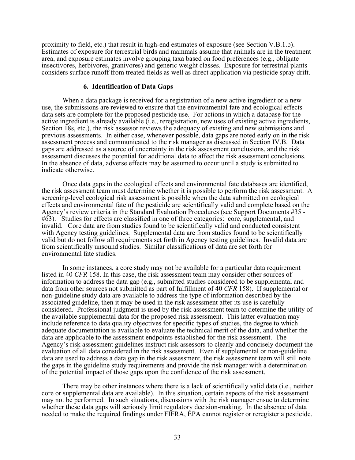proximity to field, etc.) that result in high-end estimates of exposure (see Section V.B.1.b). Estimates of exposure for terrestrial birds and mammals assume that animals are in the treatment area, and exposure estimates involve grouping taxa based on food preferences (e.g., obligate insectivores, herbivores, granivores) and generic weight classes. Exposure for terrestrial plants considers surface runoff from treated fields as well as direct application via pesticide spray drift.

### **6. Identification of Data Gaps**

When a data package is received for a registration of a new active ingredient or a new use, the submissions are reviewed to ensure that the environmental fate and ecological effects data sets are complete for the proposed pesticide use. For actions in which a database for the active ingredient is already available (i.e., reregistration, new uses of existing active ingredients, Section 18s, etc.), the risk assessor reviews the adequacy of existing and new submissions and previous assessments. In either case, whenever possible, data gaps are noted early on in the risk assessment process and communicated to the risk manager as discussed in Section IV.B. Data gaps are addressed as a source of uncertainty in the risk assessment conclusions, and the risk assessment discusses the potential for additional data to affect the risk assessment conclusions. In the absence of data, adverse effects may be assumed to occur until a study is submitted to indicate otherwise.

Once data gaps in the ecological effects and environmental fate databases are identified, the risk assessment team must determine whether it is possible to perform the risk assessment. A screening-level ecological risk assessment is possible when the data submitted on ecological effects and environmental fate of the pesticide are scientifically valid and complete based on the Agency's review criteria in the Standard Evaluation Procedures (see Support Documents #35 - #63). Studies for effects are classified in one of three categories: core, supplemental, and invalid. Core data are from studies found to be scientifically valid and conducted consistent with Agency testing guidelines. Supplemental data are from studies found to be scientifically valid but do not follow all requirements set forth in Agency testing guidelines. Invalid data are from scientifically unsound studies. Similar classifications of data are set forth for environmental fate studies.

In some instances, a core study may not be available for a particular data requirement listed in 40 *CFR* 158. In this case, the risk assessment team may consider other sources of information to address the data gap (e.g., submitted studies considered to be supplemental and data from other sources not submitted as part of fulfillment of 40 *CFR* 158). If supplemental or non-guideline study data are available to address the type of information described by the associated guideline, then it may be used in the risk assessment after its use is carefully considered. Professional judgment is used by the risk assessment team to determine the utility of the available supplemental data for the proposed risk assessment. This latter evaluation may include reference to data quality objectives for specific types of studies, the degree to which adequate documentation is available to evaluate the technical merit of the data, and whether the data are applicable to the assessment endpoints established for the risk assessment. The Agency's risk assessment guidelines instruct risk assessors to clearly and concisely document the evaluation of all data considered in the risk assessment. Even if supplemental or non-guideline data are used to address a data gap in the risk assessment, the risk assessment team will still note the gaps in the guideline study requirements and provide the risk manager with a determination of the potential impact of those gaps upon the confidence of the risk assessment.

There may be other instances where there is a lack of scientifically valid data (i.e., neither core or supplemental data are available). In this situation, certain aspects of the risk assessment may not be performed. In such situations, discussions with the risk manager ensue to determine whether these data gaps will seriously limit regulatory decision-making. In the absence of data needed to make the required findings under FIFRA, EPA cannot register or reregister a pesticide.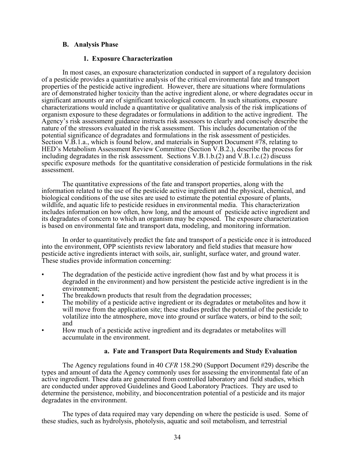## **B. Analysis Phase**

### **1. Exposure Characterization**

In most cases, an exposure characterization conducted in support of a regulatory decision of a pesticide provides a quantitative analysis of the critical environmental fate and transport properties of the pesticide active ingredient. However, there are situations where formulations are of demonstrated higher toxicity than the active ingredient alone, or where degradates occur in significant amounts or are of significant toxicological concern. In such situations, exposure characterizations would include a quantitative or qualitative analysis of the risk implications of organism exposure to these degradates or formulations in addition to the active ingredient. The Agency's risk assessment guidance instructs risk assessors to clearly and concisely describe the nature of the stressors evaluated in the risk assessment. This includes documentation of the potential significance of degradates and formulations in the risk assessment of pesticides. Section V.B.1.a., which is found below, and materials in Support Document #78, relating to HED's Metabolism Assessment Review Committee (Section V.B.2.), describe the process for including degradates in the risk assessment. Sections V.B.1.b.(2) and V.B.1.c.(2) discuss specific exposure methods for the quantitative consideration of pesticide formulations in the risk assessment.

The quantitative expressions of the fate and transport properties, along with the information related to the use of the pesticide active ingredient and the physical, chemical, and biological conditions of the use sites are used to estimate the potential exposure of plants, wildlife, and aquatic life to pesticide residues in environmental media. This characterization includes information on how often, how long, and the amount of pesticide active ingredient and its degradates of concern to which an organism may be exposed. The exposure characterization is based on environmental fate and transport data, modeling, and monitoring information.

In order to quantitatively predict the fate and transport of a pesticide once it is introduced into the environment, OPP scientists review laboratory and field studies that measure how pesticide active ingredients interact with soils, air, sunlight, surface water, and ground water. These studies provide information concerning:

- The degradation of the pesticide active ingredient (how fast and by what process it is degraded in the environment) and how persistent the pesticide active ingredient is in the environment;
- The breakdown products that result from the degradation processes;
- The mobility of a pesticide active ingredient or its degradates or metabolites and how it will move from the application site; these studies predict the potential of the pesticide to volatilize into the atmosphere, move into ground or surface waters, or bind to the soil; and<br>How much of a pesticide active ingredient and its degradates or metabolites will
- accumulate in the environment.

# **a. Fate and Transport Data Requirements and Study Evaluation**

The Agency regulations found in 40 *CFR* 158.290 (Support Document #29) describe the types and amount of data the Agency commonly uses for assessing the environmental fate of an active ingredient. These data are generated from controlled laboratory and field studies, which are conducted under approved Guidelines and Good Laboratory Practices. They are used to determine the persistence, mobility, and bioconcentration potential of a pesticide and its major degradates in the environment.

The types of data required may vary depending on where the pesticide is used. Some of these studies, such as hydrolysis, photolysis, aquatic and soil metabolism, and terrestrial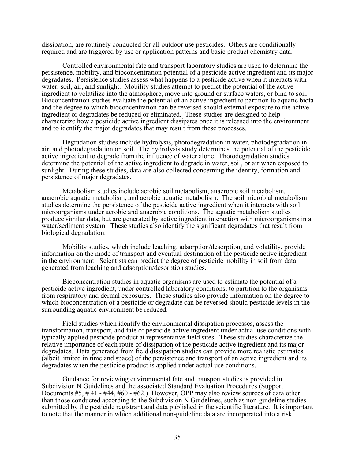dissipation, are routinely conducted for all outdoor use pesticides. Others are conditionally required and are triggered by use or application patterns and basic product chemistry data.

Controlled environmental fate and transport laboratory studies are used to determine the persistence, mobility, and bioconcentration potential of a pesticide active ingredient and its major degradates. Persistence studies assess what happens to a pesticide active when it interacts with water, soil, air, and sunlight. Mobility studies attempt to predict the potential of the active ingredient to volatilize into the atmosphere, move into ground or surface waters, or bind to soil. Bioconcentration studies evaluate the potential of an active ingredient to partition to aquatic biota and the degree to which bioconcentration can be reversed should external exposure to the active ingredient or degradates be reduced or eliminated. These studies are designed to help characterize how a pesticide active ingredient dissipates once it is released into the environment and to identify the major degradates that may result from these processes.

Degradation studies include hydrolysis, photodegradation in water, photodegradation in air, and photodegradation on soil. The hydrolysis study determines the potential of the pesticide active ingredient to degrade from the influence of water alone. Photodegradation studies determine the potential of the active ingredient to degrade in water, soil, or air when exposed to sunlight. During these studies, data are also collected concerning the identity, formation and persistence of major degradates.

Metabolism studies include aerobic soil metabolism, anaerobic soil metabolism, anaerobic aquatic metabolism, and aerobic aquatic metabolism. The soil microbial metabolism studies determine the persistence of the pesticide active ingredient when it interacts with soil microorganisms under aerobic and anaerobic conditions. The aquatic metabolism studies produce similar data, but are generated by active ingredient interaction with microorganisms in a water/sediment system. These studies also identify the significant degradates that result from biological degradation.

Mobility studies, which include leaching, adsorption/desorption, and volatility, provide information on the mode of transport and eventual destination of the pesticide active ingredient in the environment. Scientists can predict the degree of pesticide mobility in soil from data generated from leaching and adsorption/desorption studies.

Bioconcentration studies in aquatic organisms are used to estimate the potential of a pesticide active ingredient, under controlled laboratory conditions, to partition to the organisms from respiratory and dermal exposures. These studies also provide information on the degree to which bioconcentration of a pesticide or degradate can be reversed should pesticide levels in the surrounding aquatic environment be reduced.

Field studies which identify the environmental dissipation processes, assess the transformation, transport, and fate of pesticide active ingredient under actual use conditions with typically applied pesticide product at representative field sites. These studies characterize the relative importance of each route of dissipation of the pesticide active ingredient and its major degradates. Data generated from field dissipation studies can provide more realistic estimates (albeit limited in time and space) of the persistence and transport of an active ingredient and its degradates when the pesticide product is applied under actual use conditions.

Guidance for reviewing environmental fate and transport studies is provided in Subdivision N Guidelines and the associated Standard Evaluation Procedures (Support Documents #5, # 41 - #44, #60 - #62.). However, OPP may also review sources of data other than those conducted according to the Subdivision N Guidelines, such as non-guideline studies submitted by the pesticide registrant and data published in the scientific literature. It is important to note that the manner in which additional non-guideline data are incorporated into a risk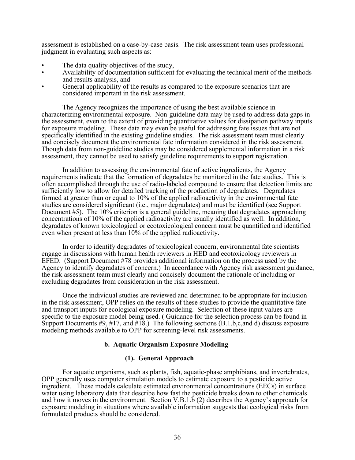assessment is established on a case-by-case basis. The risk assessment team uses professional judgment in evaluating such aspects as:

- The data quality objectives of the study,
- Availability of documentation sufficient for evaluating the technical merit of the methods and results analysis, and
- General applicability of the results as compared to the exposure scenarios that are considered important in the risk assessment.

The Agency recognizes the importance of using the best available science in characterizing environmental exposure. Non-guideline data may be used to address data gaps in the assessment, even to the extent of providing quantitative values for dissipation pathway inputs for exposure modeling. These data may even be useful for addressing fate issues that are not specifically identified in the existing guideline studies. The risk assessment team must clearly and concisely document the environmental fate information considered in the risk assessment. Though data from non-guideline studies may be considered supplemental information in a risk assessment, they cannot be used to satisfy guideline requirements to support registration.

In addition to assessing the environmental fate of active ingredients, the Agency requirements indicate that the formation of degradates be monitored in the fate studies. This is often accomplished through the use of radio-labeled compound to ensure that detection limits are sufficiently low to allow for detailed tracking of the production of degradates. Degradates formed at greater than or equal to 10% of the applied radioactivity in the environmental fate studies are considered significant (i.e., major degradates) and must be identified (see Support Document #5). The 10% criterion is a general guideline, meaning that degradates approaching concentrations of 10% of the applied radioactivity are usually identified as well. In addition, degradates of known toxicological or ecotoxicological concern must be quantified and identified even when present at less than 10% of the applied radioactivity.

In order to identify degradates of toxicological concern, environmental fate scientists engage in discussions with human health reviewers in HED and ecotoxicology reviewers in EFED. (Support Document #78 provides additional information on the process used by the Agency to identify degradates of concern.) In accordance with Agency risk assessment guidance, the risk assessment team must clearly and concisely document the rationale of including or excluding degradates from consideration in the risk assessment.

Once the individual studies are reviewed and determined to be appropriate for inclusion in the risk assessment, OPP relies on the results of these studies to provide the quantitative fate and transport inputs for ecological exposure modeling. Selection of these input values are specific to the exposure model being used. ( Guidance for the selection process can be found in Support Documents  $\#9, \#17, \text{ and } \#18$ .) The following sections (B.1.b,c,and d) discuss exposure modeling methods available to OPP for screening-level risk assessments.

# **b. Aquatic Organism Exposure Modeling**

### **(1). General Approach**

For aquatic organisms, such as plants, fish, aquatic-phase amphibians, and invertebrates, OPP generally uses computer simulation models to estimate exposure to a pesticide active ingredient. These models calculate estimated environmental concentrations (EECs) in surface water using laboratory data that describe how fast the pesticide breaks down to other chemicals and how it moves in the environment. Section V.B.1.b (2) describes the Agency's approach for exposure modeling in situations where available information suggests that ecological risks from formulated products should be considered.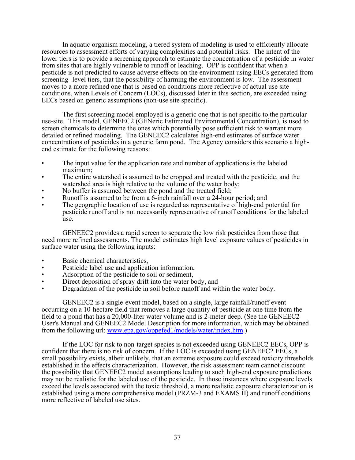In aquatic organism modeling, a tiered system of modeling is used to efficiently allocate resources to assessment efforts of varying complexities and potential risks. The intent of the lower tiers is to provide a screening approach to estimate the concentration of a pesticide in water from sites that are highly vulnerable to runoff or leaching. OPP is confident that when a pesticide is not predicted to cause adverse effects on the environment using EECs generated from screening- level tiers, that the possibility of harming the environment is low. The assessment moves to a more refined one that is based on conditions more reflective of actual use site conditions, when Levels of Concern (LOCs), discussed later in this section, are exceeded using EECs based on generic assumptions (non-use site specific).

The first screening model employed is a generic one that is not specific to the particular use-site. This model, GENEEC2 (GENeric Estimated Environmental Concentration), is used to screen chemicals to determine the ones which potentially pose sufficient risk to warrant more detailed or refined modeling. The GENEEC2 calculates high-end estimates of surface water concentrations of pesticides in a generic farm pond. The Agency considers this scenario a highend estimate for the following reasons:

- The input value for the application rate and number of applications is the labeled maximum;
- The entire watershed is assumed to be cropped and treated with the pesticide, and the watershed area is high relative to the volume of the water body;
- No buffer is assumed between the pond and the treated field;
- Runoff is assumed to be from a 6-inch rainfall over a 24-hour period; and
- The geographic location of use is regarded as representative of high-end potential for pesticide runoff and is not necessarily representative of runoff conditions for the labeled use.

GENEEC2 provides a rapid screen to separate the low risk pesticides from those that need more refined assessments. The model estimates high level exposure values of pesticides in surface water using the following inputs:

- Basic chemical characteristics,
- Pesticide label use and application information,
- Adsorption of the pesticide to soil or sediment,
- Direct deposition of spray drift into the water body, and
- Degradation of the pesticide in soil before runoff and within the water body.

GENEEC2 is a single-event model, based on a single, large rainfall/runoff event occurring on a 10-hectare field that removes a large quantity of pesticide at one time from the field to a pond that has a 20,000-liter water volume and is 2-meter deep. (See the GENEEC2 User's Manual and GENEEC2 Model Description for more information, which may be obtained from the following url: www.epa.gov/oppefed1/models/water/index.htm.)

If the LOC for risk to non-target species is not exceeded using GENEEC2 EECs, OPP is confident that there is no risk of concern. If the LOC is exceeded using GENEEC2 EECs, a small possibility exists, albeit unlikely, that an extreme exposure could exceed toxicity thresholds established in the effects characterization. However, the risk assessment team cannot discount the possibility that GENEEC2 model assumptions leading to such high-end exposure predictions may not be realistic for the labeled use of the pesticide. In those instances where exposure levels exceed the levels associated with the toxic threshold, a more realistic exposure characterization is established using a more comprehensive model (PRZM-3 and EXAMS II) and runoff conditions more reflective of labeled use sites.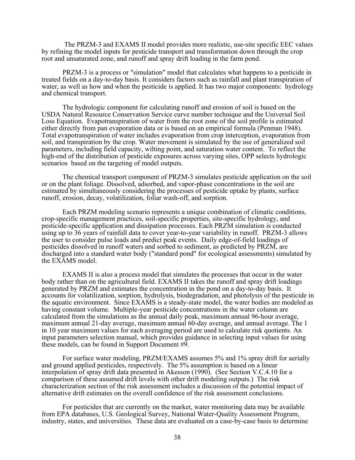The PRZM-3 and EXAMS II model provides more realistic, use-site specific EEC values by refining the model inputs for pesticide transport and transformation down through the crop root and unsaturated zone, and runoff and spray drift loading in the farm pond.

PRZM-3 is a process or "simulation" model that calculates what happens to a pesticide in treated fields on a day-to-day basis. It considers factors such as rainfall and plant transpiration of water, as well as how and when the pesticide is applied. It has two major components: hydrology and chemical transport.

The hydrologic component for calculating runoff and erosion of soil is based on the USDA Natural Resource Conservation Service curve number technique and the Universal Soil Loss Equation. Evapotranspiration of water from the root zone of the soil profile is estimated either directly from pan evaporation data or is based on an empirical formula (Penman 1948). Total evapotranspiration of water includes evaporation from crop interception, evaporation from soil, and transpiration by the crop. Water movement is simulated by the use of generalized soil parameters, including field capacity, wilting point, and saturation water content. To reflect the high-end of the distribution of pesticide exposures across varying sites, OPP selects hydrologic scenarios based on the targeting of model outputs.

The chemical transport component of PRZM-3 simulates pesticide application on the soil or on the plant foliage. Dissolved, adsorbed, and vapor-phase concentrations in the soil are estimated by simultaneously considering the processes of pesticide uptake by plants, surface runoff, erosion, decay, volatilization, foliar wash-off, and sorption.

Each PRZM modeling scenario represents a unique combination of climatic conditions, crop-specific management practices, soil-specific properties, site-specific hydrology, and pesticide-specific application and dissipation processes. Each PRZM simulation is conducted using up to 36 years of rainfall data to cover year-to-year variability in runoff. PRZM-3 allows the user to consider pulse loads and predict peak events. Daily edge-of-field loadings of pesticides dissolved in runoff waters and sorbed to sediment, as predicted by PRZM, are discharged into a standard water body ("standard pond" for ecological assessments) simulated by the EXAMS model.

EXAMS II is also a process model that simulates the processes that occur in the water body rather than on the agricultural field. EXAMS II takes the runoff and spray drift loadings generated by PRZM and estimates the concentration in the pond on a day-to-day basis. It accounts for volatilization, sorption, hydrolysis, biodegradation, and photolysis of the pesticide in the aquatic environment. Since EXAMS is a steady-state model, the water bodies are modeled as having constant volume. Multiple-year pesticide concentrations in the water column are calculated from the simulations as the annual daily peak, maximum annual 96-hour average, maximum annual 21-day average, maximum annual 60-day average, and annual average. The 1 in 10 year maximum values for each averaging period are used to calculate risk quotients. An input parameters selection manual, which provides guidance in selecting input values for using these models, can be found in Support Document #9.

For surface water modeling, PRZM/EXAMS assumes 5% and 1% spray drift for aerially and ground applied pesticides, respectively. The 5% assumption is based on a linear interpolation of spray drift data presented in Akesson (1990). (See Section V.C.4.10 for a comparison of these assumed drift levels with other drift modeling outputs.) The risk characterization section of the risk assessment includes a discussion of the potential impact of alternative drift estimates on the overall confidence of the risk assessment conclusions.

For pesticides that are currently on the market, water monitoring data may be available from EPA databases, U.S. Geological Survey, National Water-Quality Assessment Program, industry, states, and universities. These data are evaluated on a case-by-case basis to determine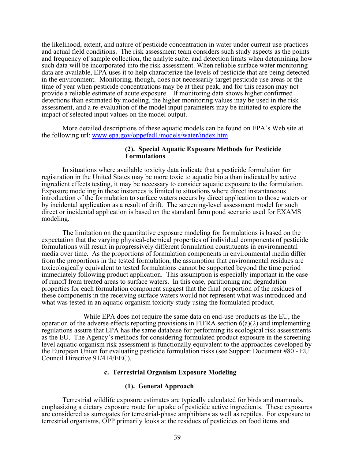the likelihood, extent, and nature of pesticide concentration in water under current use practices and actual field conditions. The risk assessment team considers such study aspects as the points and frequency of sample collection, the analyte suite, and detection limits when determining how such data will be incorporated into the risk assessment. When reliable surface water monitoring data are available, EPA uses it to help characterize the levels of pesticide that are being detected in the environment. Monitoring, though, does not necessarily target pesticide use areas or the time of year when pesticide concentrations may be at their peak, and for this reason may not provide a reliable estimate of acute exposure. If monitoring data shows higher confirmed detections than estimated by modeling, the higher monitoring values may be used in the risk assessment, and a re-evaluation of the model input parameters may be initiated to explore the impact of selected input values on the model output.

More detailed descriptions of these aquatic models can be found on EPA's Web site at the following url: www.epa.gov/oppefed1/models/water/index.htm

### **(2). Special Aquatic Exposure Methods for Pesticide Formulations**

In situations where available toxicity data indicate that a pesticide formulation for registration in the United States may be more toxic to aquatic biota than indicated by active ingredient effects testing, it may be necessary to consider aquatic exposure to the formulation. Exposure modeling in these instances is limited to situations where direct instantaneous introduction of the formulation to surface waters occurs by direct application to those waters or by incidental application as a result of drift. The screening-level assessment model for such direct or incidental application is based on the standard farm pond scenario used for EXAMS modeling.

The limitation on the quantitative exposure modeling for formulations is based on the expectation that the varying physical-chemical properties of individual components of pesticide formulations will result in progressively different formulation constituents in environmental media over time. As the proportions of formulation components in environmental media differ from the proportions in the tested formulation, the assumption that environmental residues are toxicologically equivalent to tested formulations cannot be supported beyond the time period immediately following product application. This assumption is especially important in the case of runoff from treated areas to surface waters. In this case, partitioning and degradation properties for each formulation component suggest that the final proportion of the residues of these components in the receiving surface waters would not represent what was introduced and what was tested in an aquatic organism toxicity study using the formulated product.

While EPA does not require the same data on end-use products as the EU, the operation of the adverse effects reporting provisions in FIFRA section  $6(a)(2)$  and implementing regulations assure that EPA has the same database for performing its ecological risk assessments as the EU. The Agency's methods for considering formulated product exposure in the screeninglevel aquatic organism risk assessment is functionally equivalent to the approaches developed by the European Union for evaluating pesticide formulation risks (see Support Document #80 - EU Council Directive 91/414/EEC).

## **c. Terrestrial Organism Exposure Modeling**

## **(1). General Approach**

Terrestrial wildlife exposure estimates are typically calculated for birds and mammals, emphasizing a dietary exposure route for uptake of pesticide active ingredients. These exposures are considered as surrogates for terrestrial-phase amphibians as well as reptiles. For exposure to terrestrial organisms, OPP primarily looks at the residues of pesticides on food items and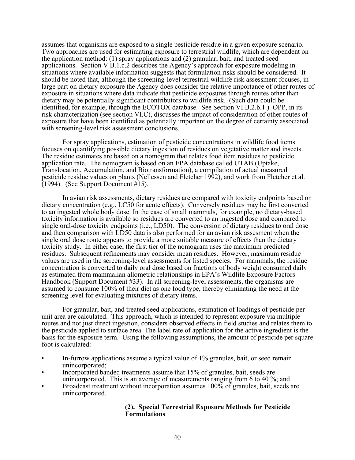assumes that organisms are exposed to a single pesticide residue in a given exposure scenario. Two approaches are used for estimating exposure to terrestrial wildlife, which are dependent on the application method: (1) spray applications and (2) granular, bait, and treated seed applications. Section V.B.1.c.2 describes the Agency's approach for exposure modeling in situations where available information suggests that formulation risks should be considered. It should be noted that, although the screening-level terrestrial wildlife risk assessment focuses, in large part on dietary exposure the Agency does consider the relative importance of other routes of exposure in situations where data indicate that pesticide exposures through routes other than dietary may be potentially significant contributors to wildlife risk. (Such data could be identified, for example, through the ECOTOX database. See Section VI.B.2.b.1.) OPP, in its risk characterization (see section VI.C), discusses the impact of consideration of other routes of exposure that have been identified as potentially important on the degree of certainty associated with screening-level risk assessment conclusions.

For spray applications, estimation of pesticide concentrations in wildlife food items focuses on quantifying possible dietary ingestion of residues on vegetative matter and insects. The residue estimates are based on a nomogram that relates food item residues to pesticide application rate. The nomogram is based on an EPA database called UTAB (Uptake, Translocation, Accumulation, and Biotransformation), a compilation of actual measured pesticide residue values on plants (Nellessen and Fletcher 1992), and work from Fletcher et al. (1994). (See Support Document #15).

In avian risk assessments, dietary residues are compared with toxicity endpoints based on dietary concentration (e.g., LC50 for acute effects). Conversely residues may be first converted to an ingested whole body dose. In the case of small mammals, for example, no dietary-based toxicity information is available so residues are converted to an ingested dose and compared to single oral-dose toxicity endpoints (i.e., LD50). The conversion of dietary residues to oral dose and then comparison with LD50 data is also performed for an avian risk assesment when the single oral dose route appears to provide a more suitable measure of effects than the dietary toxicity study. In either case, the first tier of the nomogram uses the maximum predicted residues. Subsequent refinements may consider mean residues. However, maximum residue values are used in the screening-level assessments for listed species. For mammals, the residue concentration is converted to daily oral dose based on fractions of body weight consumed daily as estimated from mammalian allometric relationships in EPA's Wildlife Exposure Factors Handbook (Support Document #33). In all screening-level assessments, the organisms are assumed to consume 100% of their diet as one food type, thereby eliminating the need at the screening level for evaluating mixtures of dietary items.

For granular, bait, and treated seed applications, estimation of loadings of pesticide per unit area are calculated. This approach, which is intended to represent exposure via multiple routes and not just direct ingestion, considers observed effects in field studies and relates them to the pesticide applied to surface area. The label rate of application for the active ingredient is the basis for the exposure term. Using the following assumptions, the amount of pesticide per square foot is calculated:

- In-furrow applications assume a typical value of 1% granules, bait, or seed remain unincorporated;
- Incorporated banded treatments assume that 15% of granules, bait, seeds are unincorporated. This is an average of measurements ranging from 6 to 40 %; and
- Broadcast treatment without incorporation assumes 100% of granules, bait, seeds are unincorporated.

# **(2). Special Terrestrial Exposure Methods for Pesticide Formulations**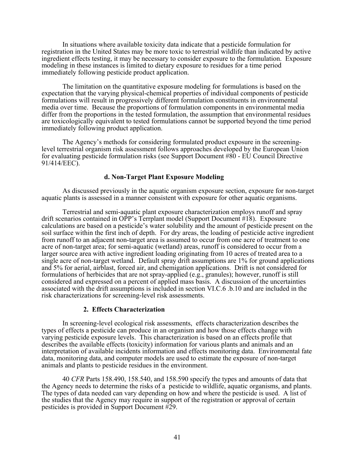In situations where available toxicity data indicate that a pesticide formulation for registration in the United States may be more toxic to terrestrial wildlife than indicated by active ingredient effects testing, it may be necessary to consider exposure to the formulation. Exposure modeling in these instances is limited to dietary exposure to residues for a time period immediately following pesticide product application.

The limitation on the quantitative exposure modeling for formulations is based on the expectation that the varying physical-chemical properties of individual components of pesticide formulations will result in progressively different formulation constituents in environmental media over time. Because the proportions of formulation components in environmental media differ from the proportions in the tested formulation, the assumption that environmental residues are toxicologically equivalent to tested formulations cannot be supported beyond the time period immediately following product application.

The Agency's methods for considering formulated product exposure in the screeninglevel terrestrial organism risk assessment follows approaches developed by the European Union for evaluating pesticide formulation risks (see Support Document #80 - EU Council Directive 91/414/EEC).

# **d. Non-Target Plant Exposure Modeling**

As discussed previously in the aquatic organism exposure section, exposure for non-target aquatic plants is assessed in a manner consistent with exposure for other aquatic organisms.

Terrestrial and semi-aquatic plant exposure characterization employs runoff and spray drift scenarios contained in OPP's Terrplant model (Support Document #18). Exposure calculations are based on a pesticide's water solubility and the amount of pesticide present on the soil surface within the first inch of depth. For dry areas, the loading of pesticide active ingredient from runoff to an adjacent non-target area is assumed to occur from one acre of treatment to one acre of non-target area; for semi-aquatic (wetland) areas, runoff is considered to occur from a larger source area with active ingredient loading originating from 10 acres of treated area to a single acre of non-target wetland. Default spray drift assumptions are 1% for ground applications and 5% for aerial, airblast, forced air, and chemigation applications. Drift is not considered for formulations of herbicides that are not spray-applied (e.g., granules); however, runoff is still considered and expressed on a percent of applied mass basis. A discussion of the uncertainties associated with the drift assumptions is included in section VI.C.6 .b.10 and are included in the risk characterizations for screening-level risk assessments.

## **2. Effects Characterization**

In screening-level ecological risk assessments, effects characterization describes the types of effects a pesticide can produce in an organism and how those effects change with varying pesticide exposure levels. This characterization is based on an effects profile that describes the available effects (toxicity) information for various plants and animals and an interpretation of available incidents information and effects monitoring data. Environmental fate data, monitoring data, and computer models are used to estimate the exposure of non-target animals and plants to pesticide residues in the environment.

40 *CFR* Parts 158.490, 158.540, and 158.590 specify the types and amounts of data that the Agency needs to determine the risks of a pesticide to wildlife, aquatic organisms, and plants. The types of data needed can vary depending on how and where the pesticide is used. A list of the studies that the Agency may require in support of the registration or approval of certain pesticides is provided in Support Document #29.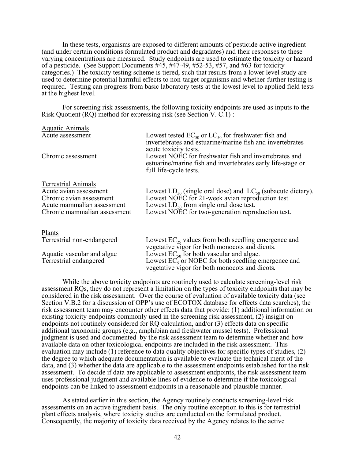In these tests, organisms are exposed to different amounts of pesticide active ingredient (and under certain conditions formulated product and degradates) and their responses to these varying concentrations are measured. Study endpoints are used to estimate the toxicity or hazard of a pesticide. (See Support Documents #45, #47-49, #52-53, #57, and #63 for toxicity categories.) The toxicity testing scheme is tiered, such that results from a lower level study are used to determine potential harmful effects to non-target organisms and whether further testing is required. Testing can progress from basic laboratory tests at the lowest level to applied field tests at the highest level.

For screening risk assessments, the following toxicity endpoints are used as inputs to the Risk Quotient (RQ) method for expressing risk (see Section V. C.1) :

| <b>Aquatic Animals</b>                                     |                                                                                                                                                    |
|------------------------------------------------------------|----------------------------------------------------------------------------------------------------------------------------------------------------|
| Acute assessment                                           | Lowest tested $EC_{50}$ or $LC_{50}$ for freshwater fish and<br>invertebrates and estuarine/marine fish and invertebrates<br>acute toxicity tests. |
| Chronic assessment                                         | Lowest NOEC for freshwater fish and invertebrates and<br>estuarine/marine fish and invertebrates early life-stage or<br>full life-cycle tests.     |
| <b>Terrestrial Animals</b>                                 |                                                                                                                                                    |
| Acute avian assessment                                     | Lowest $LD_{50}$ (single oral dose) and $LC_{50}$ (subacute dietary).                                                                              |
| Chronic avian assessment                                   | Lowest NOEC for 21-week avian reproduction test.                                                                                                   |
| Acute mammalian assessment<br>Chronic mammalian assessment | Lowest $LD_{50}$ from single oral dose test.<br>Lowest NOEC for two-generation reproduction test.                                                  |
| <b>Plants</b>                                              |                                                                                                                                                    |
| Terrestrial non-endangered                                 | Lowest $EC_{25}$ values from both seedling emergence and<br>vegetative vigor for both monocots and dicots.                                         |
| Aquatic vascular and algae                                 | Lowest $EC_{50}$ for both vascular and algae.                                                                                                      |
| Terrestrial endangered                                     | Lowest $EC5$ or NOEC for both seedling emergence and                                                                                               |

While the above toxicity endpoints are routinely used to calculate screening-level risk assessment RQs, they do not represent a limitation on the types of toxicity endpoints that may be considered in the risk assessment. Over the course of evaluation of available toxicity data (see Section V.B.2 for a discussion of OPP's use of ECOTOX database for effects data searches), the risk assessment team may encounter other effects data that provide: (1) additional information on existing toxicity endpoints commonly used in the screening risk assessment, (2) insight on endpoints not routinely considered for RQ calculation, and/or (3) effects data on specific additional taxonomic groups (e.g., amphibian and freshwater mussel tests). Professional judgment is used and documented by the risk assessment team to determine whether and how available data on other toxicological endpoints are included in the risk assessment. This evaluation may include (1) reference to data quality objectives for specific types of studies, (2) the degree to which adequate documentation is available to evaluate the technical merit of the data, and (3) whether the data are applicable to the assessment endpoints established for the risk assessment. To decide if data are applicable to assessment endpoints, the risk assessment team uses professional judgment and available lines of evidence to determine if the toxicological endpoints can be linked to assessment endpoints in a reasonable and plausible manner.

vegetative vigor for both monocots and dicots*.* 

As stated earlier in this section, the Agency routinely conducts screening-level risk assessments on an active ingredient basis. The only routine exception to this is for terrestrial plant effects analysis, where toxicity studies are conducted on the formulated product. Consequently, the majority of toxicity data received by the Agency relates to the active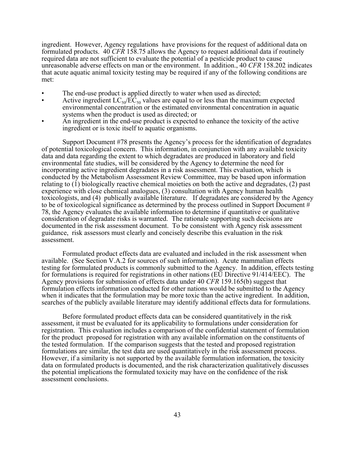ingredient. However, Agency regulations have provisions for the request of additional data on formulated products. 40 *CFR* 158.75 allows the Agency to request additional data if routinely required data are not sufficient to evaluate the potential of a pesticide product to cause unreasonable adverse effects on man or the environment. In addition., 40 *CFR* 158.202 indicates that acute aquatic animal toxicity testing may be required if any of the following conditions are met:

- The end-use product is applied directly to water when used as directed;
- Active ingredient  $LC_{50}/EC_{50}$  values are equal to or less than the maximum expected environmental concentration or the estimated environmental concentration in aquatic systems when the product is used as directed; or
- An ingredient in the end-use product is expected to enhance the toxicity of the active ingredient or is toxic itself to aquatic organisms.

Support Document #78 presents the Agency's process for the identification of degradates of potential toxicological concern. This information, in conjunction with any available toxicity data and data regarding the extent to which degradates are produced in laboratory and field environmental fate studies, will be considered by the Agency to determine the need for incorporating active ingredient degradates in a risk assessment. This evaluation, which is conducted by the Metabolism Assessment Review Committee, may be based upon information relating to (1) biologically reactive chemical moieties on both the active and degradates, (2) past experience with close chemical analogues, (3) consultation with Agency human health toxicologists, and (4) publically available literature. If degradates are considered by the Agency to be of toxicological significance as determined by the process outlined in Support Document # 78, the Agency evaluates the available information to determine if quantitative or qualitative consideration of degradate risks is warranted. The rationale supporting such decisions are documented in the risk assessment document. To be consistent with Agency risk assessment guidance, risk assessors must clearly and concisely describe this evaluation in the risk assessment.

Formulated product effects data are evaluated and included in the risk assessment when available. (See Section V.A.2 for sources of such information). Acute mammalian effects testing for formulated products is commonly submitted to the Agency. In addition, effects testing for formulations is required for registrations in other nations (EU Directive 91/414/EEC). The Agency provisions for submission of effects data under 40 *CFR* 159.165(b) suggest that formulation effects information conducted for other nations would be submitted to the Agency when it indicates that the formulation may be more toxic than the active ingredient. In addition, searches of the publicly available literature may identify additional effects data for formulations.

Before formulated product effects data can be considered quantitatively in the risk assessment, it must be evaluated for its applicability to formulations under consideration for registration. This evaluation includes a comparison of the confidential statement of formulation for the product proposed for registration with any available information on the constituents of the tested formulation. If the comparison suggests that the tested and proposed registration formulations are similar, the test data are used quantitatively in the risk assessment process. However, if a similarity is not supported by the available formulation information, the toxicity data on formulated products is documented, and the risk characterization qualitatively discusses the potential implications the formulated toxicity may have on the confidence of the risk assessment conclusions.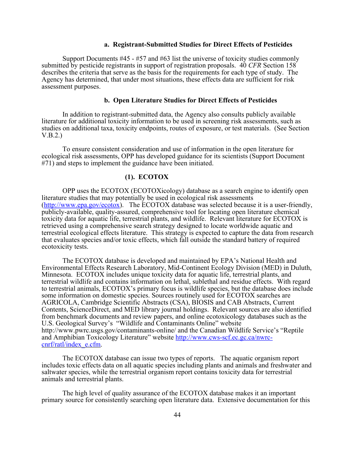### **a. Registrant-Submitted Studies for Direct Effects of Pesticides**

Support Documents #45 - #57 and #63 list the universe of toxicity studies commonly submitted by pesticide registrants in support of registration proposals. 40 *CFR* Section 158 describes the criteria that serve as the basis for the requirements for each type of study. The Agency has determined, that under most situations, these effects data are sufficient for risk assessment purposes.

## **b. Open Literature Studies for Direct Effects of Pesticides**

In addition to registrant-submitted data, the Agency also consults publicly available literature for additional toxicity information to be used in screening risk assessments, such as studies on additional taxa, toxicity endpoints, routes of exposure, or test materials. (See Section V.B.2.)

To ensure consistent consideration and use of information in the open literature for ecological risk assessments, OPP has developed guidance for its scientists (Support Document #71) and steps to implement the guidance have been initiated.

## **(1). ECOTOX**

OPP uses the ECOTOX (ECOTOXicology) database as a search engine to identify open literature studies that may potentially be used in ecological risk assessments (<http://www.epa.gov/ecotox>). The ECOTOX database was selected because it is a user-friendly, publicly-available, quality-assured, comprehensive tool for locating open literature chemical toxicity data for aquatic life, terrestrial plants, and wildlife. Relevant literature for ECOTOX is retrieved using a comprehensive search strategy designed to locate worldwide aquatic and terrestrial ecological effects literature. This strategy is expected to capture the data from research that evaluates species and/or toxic effects, which fall outside the standard battery of required ecotoxicity tests.

The ECOTOX database is developed and maintained by EPA's National Health and Environmental Effects Research Laboratory, Mid-Continent Ecology Division (MED) in Duluth, Minnesota. ECOTOX includes unique toxicity data for aquatic life, terrestrial plants, and terrestrial wildlife and contains information on lethal, sublethal and residue effects. With regard to terrestrial animals, ECOTOX's primary focus is wildlife species, but the database does include some information on domestic species. Sources routinely used for ECOTOX searches are AGRICOLA, Cambridge Scientific Abstracts (CSA), BIOSIS and CAB Abstracts, Current Contents, ScienceDirect, and MED library journal holdings. Relevant sources are also identified from benchmark documents and review papers, and online ecotoxicology databases such as the U.S. Geological Survey's "Wildlife and Contaminants Online" website <http://www.pwrc.usgs.gov/contaminants-online/>and the Canadian Wildlife Service's "Reptile [and Amphibian Toxicology Literature" website http://www.cws-scf.ec.gc.ca/nwrc](http://www.cws-scf.ec.gc.ca/nwrccnrf/ratl/index_e.cfm)cnrf/ratl/index\_e.cfm.

The ECOTOX database can issue two types of reports. The aquatic organism report includes toxic effects data on all aquatic species including plants and animals and freshwater and saltwater species, while the terrestrial organism report contains toxicity data for terrestrial animals and terrestrial plants.

The high level of quality assurance of the ECOTOX database makes it an important primary source for consistently searching open literature data. Extensive documentation for this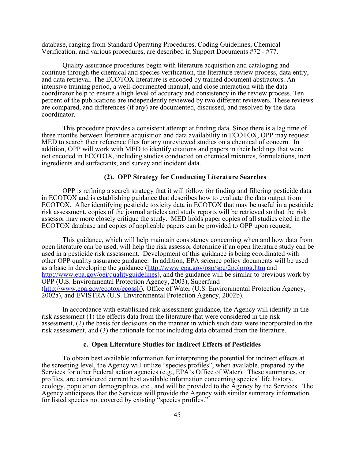database, ranging from Standard Operating Procedures, Coding Guidelines, Chemical Verification, and various procedures, are described in Support Documents #72 - #77.

Quality assurance procedures begin with literature acquisition and cataloging and continue through the chemical and species verification, the literature review process, data entry, and data retrieval. The ECOTOX literature is encoded by trained document abstractors. An intensive training period, a well-documented manual, and close interaction with the data coordinator help to ensure a high level of accuracy and consistency in the review process. Ten percent of the publications are independently reviewed by two different reviewers. These reviews are compared, and differences (if any) are documented, discussed, and resolved by the data coordinator.

This procedure provides a consistent attempt at finding data. Since there is a lag time of three months between literature acquisition and data availability in ECOTOX, OPP may request MED to search their reference files for any unreviewed studies on a chemical of concern. In addition, OPP will work with MED to identify citations and papers in their holdings that were not encoded in ECOTOX, including studies conducted on chemical mixtures, formulations, inert ingredients and surfactants, and survey and incident data.

## **(2). OPP Strategy for Conducting Literature Searches**

OPP is refining a search strategy that it will follow for finding and filtering pesticide data in ECOTOX and is establishing guidance that describes how to evaluate the data output from ECOTOX. After identifying pesticide toxicity data in ECOTOX that may be useful in a pesticide risk assessment, copies of the journal articles and study reports will be retrieved so that the risk assessor may more closely critique the study. MED holds paper copies of all studies cited in the ECOTOX database and copies of applicable papers can be provided to OPP upon request.

This guidance, which will help maintain consistency concerning when and how data from open literature can be used, will help the risk assessor determine if an open literature study can be used in a pesticide risk assessment. Development of this guidance is being coordinated with other OPP quality assurance guidance. In addition, EPA science policy documents will be used as a base in developing the guidance [\(http://www.epa.gov/osp/spc/2polprog.htm](http://www.epa.gov/osp/spc/2polprog.htm) and [http://www.epa.gov/oei/qualityguideline](http://www.epa.gov/oei/qualityguidelines)s), and the guidance will be similar to previous work by OPP (U.S. Environmental Protection Agency, 2003), Superfund ([http://www.epa.gov/ecotox/ecossl](http://www.epa.gov/ecotox/ecossl/)/), Office of Water (U.S. Environmental Protection Agency, 2002a), and EVISTRA (U.S. Environmental Protection Agency, 2002b).

In accordance with established risk assessment guidance, the Agency will identify in the risk assessment (1) the effects data from the literature that were considered in the risk assessment, (2) the basis for decisions on the manner in which such data were incorporated in the risk assessment, and (3) the rationale for not including data obtained from the literature.

### **c. Open Literature Studies for Indirect Effects of Pesticides**

To obtain best available information for interpreting the potential for indirect effects at the screening level, the Agency will utilize "species profiles", when available, prepared by the Services for other Federal action agencies (e.g., EPA's Office of Water). These summaries, or profiles, are considered current best available information concerning species' life history, ecology, population demographics, etc., and will be provided to the Agency by the Services. The Agency anticipates that the Services will provide the Agency with similar summary information for listed species not covered by existing "species profiles."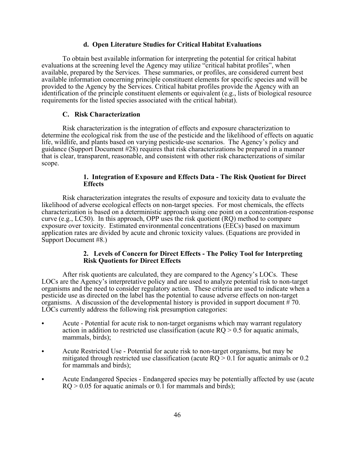### **d. Open Literature Studies for Critical Habitat Evaluations**

To obtain best available information for interpreting the potential for critical habitat evaluations at the screening level the Agency may utilize "critical habitat profiles", when available, prepared by the Services. These summaries, or profiles, are considered current best available information concerning principle constituent elements for specific species and will be provided to the Agency by the Services. Critical habitat profiles provide the Agency with an identification of the principle constituent elements or equivalent (e.g., lists of biological resource requirements for the listed species associated with the critical habitat).

## **C. Risk Characterization**

Risk characterization is the integration of effects and exposure characterization to determine the ecological risk from the use of the pesticide and the likelihood of effects on aquatic life, wildlife, and plants based on varying pesticide-use scenarios. The Agency's policy and guidance (Support Document #28) requires that risk characterizations be prepared in a manner that is clear, transparent, reasonable, and consistent with other risk characterizations of similar scope.

## **1. Integration of Exposure and Effects Data - The Risk Quotient for Direct Effects**

Risk characterization integrates the results of exposure and toxicity data to evaluate the likelihood of adverse ecological effects on non-target species. For most chemicals, the effects characterization is based on a deterministic approach using one point on a concentration-response curve (e.g., LC50). In this approach, OPP uses the risk quotient (RQ) method to compare exposure over toxicity. Estimated environmental concentrations (EECs) based on maximum application rates are divided by acute and chronic toxicity values. (Equations are provided in Support Document #8.)

## **2. Levels of Concern for Direct Effects - The Policy Tool for Interpreting Risk Quotients for Direct Effects**

After risk quotients are calculated, they are compared to the Agency's LOCs. These LOCs are the Agency's interpretative policy and are used to analyze potential risk to non-target organisms and the need to consider regulatory action. These criteria are used to indicate when a pesticide use as directed on the label has the potential to cause adverse effects on non-target organisms. A discussion of the developmental history is provided in support document # 70. LOCs currently address the following risk presumption categories:

- Acute Potential for acute risk to non-target organisms which may warrant regulatory action in addition to restricted use classification (acute  $RQ > 0.5$  for aquatic animals, mammals, birds);
- Acute Restricted Use Potential for acute risk to non-target organisms, but may be mitigated through restricted use classification (acute  $RQ > 0.1$  for aquatic animals or 0.2 for mammals and birds);
- Acute Endangered Species Endangered species may be potentially affected by use (acute  $RQ > 0.05$  for aquatic animals or 0.1 for mammals and birds);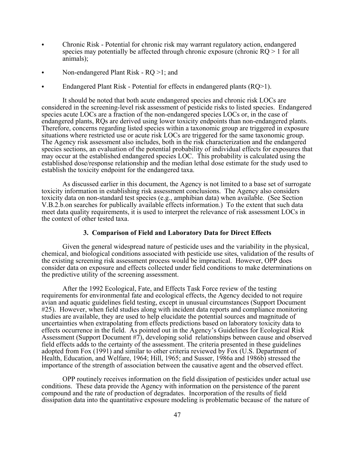- Chronic Risk Potential for chronic risk may warrant regulatory action, endangered species may potentially be affected through chronic exposure (chronic  $RQ > 1$  for all animals);
- Non-endangered Plant Risk RQ >1; and
- Endangered Plant Risk Potential for effects in endangered plants  $(RQ>1)$ .

It should be noted that both acute endangered species and chronic risk LOCs are considered in the screening-level risk assessment of pesticide risks to listed species. Endangered species acute LOCs are a fraction of the non-endangered species LOCs or, in the case of endangered plants, RQs are derived using lower toxicity endpoints than non-endangered plants. Therefore, concerns regarding listed species within a taxonomic group are triggered in exposure situations where restricted use or acute risk LOCs are triggered for the same taxonomic group. The Agency risk assessment also includes, both in the risk characterization and the endangered species sections, an evaluation of the potential probability of individual effects for exposures that may occur at the established endangered species LOC. This probability is calculated using the established dose/response relationship and the median lethal dose estimate for the study used to establish the toxicity endpoint for the endangered taxa.

As discussed earlier in this document, the Agency is not limited to a base set of surrogate toxicity information in establishing risk assessment conclusions. The Agency also considers toxicity data on non-standard test species (e.g., amphibian data) when available. (See Section V.B.2.b.on searches for publically available effects information.) To the extent that such data meet data quality requirements, it is used to interpret the relevance of risk assessment LOCs in the context of other tested taxa.

### **3. Comparison of Field and Laboratory Data for Direct Effects**

Given the general widespread nature of pesticide uses and the variability in the physical, chemical, and biological conditions associated with pesticide use sites, validation of the results of the existing screening risk assessment process would be impractical. However, OPP does consider data on exposure and effects collected under field conditions to make determinations on the predictive utility of the screening assessment.

After the 1992 Ecological, Fate, and Effects Task Force review of the testing requirements for environmental fate and ecological effects, the Agency decided to not require avian and aquatic guidelines field testing, except in unusual circumstances (Support Document #25). However, when field studies along with incident data reports and compliance monitoring studies are available, they are used to help elucidate the potential sources and magnitude of uncertainties when extrapolating from effects predictions based on laboratory toxicity data to effects occurrence in the field. As pointed out in the Agency's Guidelines for Ecological Risk Assessment (Support Document #7), developing solid relationships between cause and observed field effects adds to the certainty of the assessment. The criteria presented in these guidelines adopted from Fox (1991) and similar to other criteria reviewed by Fox (U.S. Department of Health, Education, and Welfare, 1964; Hill, 1965; and Susser, 1986a and 1986b) stressed the importance of the strength of association between the causative agent and the observed effect.

OPP routinely receives information on the field dissipation of pesticides under actual use conditions. These data provide the Agency with information on the persistence of the parent compound and the rate of production of degradates. Incorporation of the results of field dissipation data into the quantitative exposure modeling is problematic because of the nature of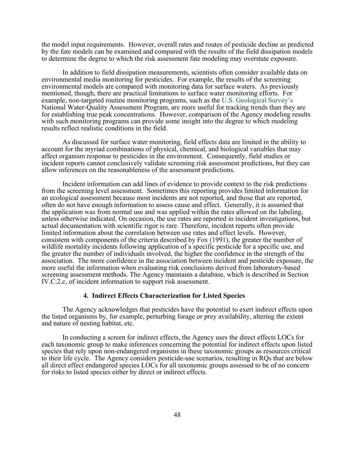the model input requirements. However, overall rates and routes of pesticide decline as predicted by the fate models can be examined and compared with the results of the field dissipation models to determine the degree to which the risk assessment fate modeling may overstate exposure.

In addition to field dissipation measurements, scientists often consider available data on environmental media monitoring for pesticides. For example, the results of the screening environmental models are compared with monitoring data for surface waters. As previously mentioned, though, there are practical limitations to surface water monitoring efforts. For example, non-targeted routine monitoring programs, such as the U.S. Geological Survey's National Water-Quality Assessment Program, are more useful for tracking trends than they are for establishing true peak concentrations. However, comparison of the Agency modeling results with such monitoring programs can provide some insight into the degree to which modeling results reflect realistic conditions in the field.

As discussed for surface water monitoring, field effects data are limited in the ability to account for the myriad combinations of physical, chemical, and biological variables that may affect organism response to pesticides in the environment. Consequently, field studies or incident reports cannot conclusively validate screening risk assessment predictions, but they can allow inferences on the reasonableness of the assessment predictions.

Incident information can add lines of evidence to provide context to the risk predictions from the screening level assessment. Sometimes this reporting provides limited information for an ecological assessment because most incidents are not reported, and those that are reported, often do not have enough information to assess cause and effect. Generally, it is assumed that the application was from normal use and was applied within the rates allowed on the labeling, unless otherwise indicated. On occasion, the use rates are reported in incident investigations, but actual documentation with scientific rigor is rare. Therefore, incident reports often provide limited information about the correlation between use rates and effect levels. However, consistent with components of the criteria described by Fox (1991), the greater the number of wildlife mortality incidents following application of a specific pesticide for a specific use, and the greater the number of individuals involved, the higher the confidence in the strength of the association. The more confidence in the association between incident and pesticide exposure, the more useful the information when evaluating risk conclusions derived from laboratory-based screening assessment methods. The Agency maintains a database, which is described in Section IV.C.2.c, of incident information to support risk assessment.

### **4. Indirect Effects Characterization for Listed Species**

The Agency acknowledges that pesticides have the potential to exert indirect effects upon the listed organisms by, for example, perturbing forage or prey availability, altering the extent and nature of nesting habitat, etc.

In conducting a screen for indirect effects, the Agency uses the direct effects LOCs for each taxonomic group to make inferences concerning the potential for indirect effects upon listed species that rely upon non-endangered organisms in these taxonomic groups as resources critical to their life cycle. The Agency considers pesticide-use scenarios, resulting in RQs that are below all direct effect endangered species LOCs for all taxonomic groups assessed to be of no concern for risks to listed species either by direct or indirect effects.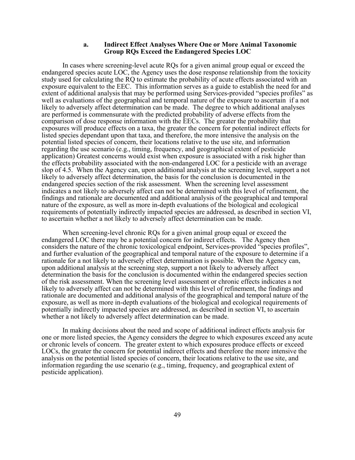### **a. Indirect Effect Analyses Where One or More Animal Taxonomic Group RQs Exceed the Endangered Species LOC**

In cases where screening-level acute RQs for a given animal group equal or exceed the endangered species acute LOC, the Agency uses the dose response relationship from the toxicity study used for calculating the RQ to estimate the probability of acute effects associated with an exposure equivalent to the EEC. This information serves as a guide to establish the need for and extent of additional analysis that may be performed using Services-provided "species profiles" as well as evaluations of the geographical and temporal nature of the exposure to ascertain if a not likely to adversely affect determination can be made. The degree to which additional analyses are performed is commensurate with the predicted probability of adverse effects from the comparison of dose response information with the EECs. The greater the probability that exposures will produce effects on a taxa, the greater the concern for potential indirect effects for listed species dependant upon that taxa, and therefore, the more intensive the analysis on the potential listed species of concern, their locations relative to the use site, and information regarding the use scenario (e.g., timing, frequency, and geographical extent of pesticide application) Greatest concerns would exist when exposure is associated with a risk higher than the effects probability associated with the non-endangered LOC for a pesticide with an average slop of 4.5. When the Agency can, upon additional analysis at the screening level, support a not likely to adversely affect determination, the basis for the conclusion is documented in the endangered species section of the risk assessment. When the screening level assessment indicates a not likely to adversely affect can not be determined with this level of refinement, the findings and rationale are documented and additional analysis of the geographical and temporal nature of the exposure, as well as more in-depth evaluations of the biological and ecological requirements of potentially indirectly impacted species are addressed, as described in section VI, to ascertain whether a not likely to adversely affect determination can be made.

When screening-level chronic RQs for a given animal group equal or exceed the endangered LOC there may be a potential concern for indirect effects. The Agency then considers the nature of the chronic toxicological endpoint, Services-provided "species profiles", and further evaluation of the geographical and temporal nature of the exposure to determine if a rationale for a not likely to adversely effect determination is possible. When the Agency can, upon additional analysis at the screening step, support a not likely to adversely affect determination the basis for the conclusion is documented within the endangered species section of the risk assessment. When the screening level assessment or chronic effects indicates a not likely to adversely affect can not be determined with this level of refinement, the findings and rationale are documented and additional analysis of the geographical and temporal nature of the exposure, as well as more in-depth evaluations of the biological and ecological requirements of potentially indirectly impacted species are addressed, as described in section VI, to ascertain whether a not likely to adversely affect determination can be made.

In making decisions about the need and scope of additional indirect effects analysis for one or more listed species, the Agency considers the degree to which exposures exceed any acute or chronic levels of concern. The greater extent to which exposures produce effects or exceed LOCs, the greater the concern for potential indirect effects and therefore the more intensive the analysis on the potential listed species of concern, their locations relative to the use site, and information regarding the use scenario (e.g., timing, frequency, and geographical extent of pesticide application).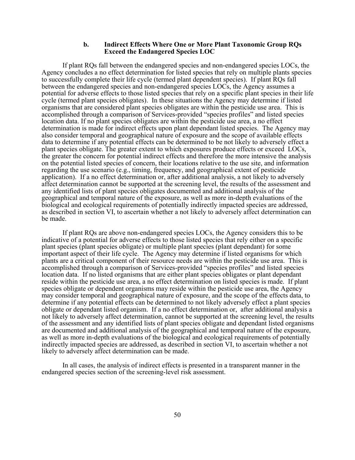### **b. Indirect Effects Where One or More Plant Taxonomic Group RQs Exceed the Endangered Species LOC**

If plant RQs fall between the endangered species and non-endangered species LOCs, the Agency concludes a no effect determination for listed species that rely on multiple plants species to successfully complete their life cycle (termed plant dependent species). If plant RQs fall between the endangered species and non-endangered species LOCs, the Agency assumes a potential for adverse effects to those listed species that rely on a specific plant species in their life cycle (termed plant species obligates). In these situations the Agency may determine if listed organisms that are considered plant species obligates are within the pesticide use area. This is accomplished through a comparison of Services-provided "species profiles" and listed species location data. If no plant species obligates are within the pesticide use area, a no effect determination is made for indirect effects upon plant dependant listed species. The Agency may also consider temporal and geographical nature of exposure and the scope of available effects data to determine if any potential effects can be determined to be not likely to adversely effect a plant species obligate. The greater extent to which exposures produce effects or exceed LOCs, the greater the concern for potential indirect effects and therefore the more intensive the analysis on the potential listed species of concern, their locations relative to the use site, and information regarding the use scenario (e.g., timing, frequency, and geographical extent of pesticide application). If a no effect determination or, after additional analysis, a not likely to adversely affect determination cannot be supported at the screening level, the results of the assessment and any identified lists of plant species obligates documented and additional analysis of the geographical and temporal nature of the exposure, as well as more in-depth evaluations of the biological and ecological requirements of potentially indirectly impacted species are addressed, as described in section VI, to ascertain whether a not likely to adversely affect determination can be made.

If plant RQs are above non-endangered species LOCs, the Agency considers this to be indicative of a potential for adverse effects to those listed species that rely either on a specific plant species (plant species obligate) or multiple plant species (plant dependant) for some important aspect of their life cycle. The Agency may determine if listed organisms for which plants are a critical component of their resource needs are within the pesticide use area. This is accomplished through a comparison of Services-provided "species profiles" and listed species location data. If no listed organisms that are either plant species obligates or plant dependant reside within the pesticide use area, a no effect determination on listed species is made. If plant species obligate or dependent organisms may reside within the pesticide use area, the Agency may consider temporal and geographical nature of exposure, and the scope of the effects data, to determine if any potential effects can be determined to not likely adversely effect a plant species obligate or dependant listed organism. If a no effect determination or, after additional analysis a not likely to adversely affect determination, cannot be supported at the screening level, the results of the assessment and any identified lists of plant species obligate and dependant listed organisms are documented and additional analysis of the geographical and temporal nature of the exposure, as well as more in-depth evaluations of the biological and ecological requirements of potentially indirectly impacted species are addressed, as described in section VI, to ascertain whether a not likely to adversely affect determination can be made.

In all cases, the analysis of indirect effects is presented in a transparent manner in the endangered species section of the screening-level risk assessment.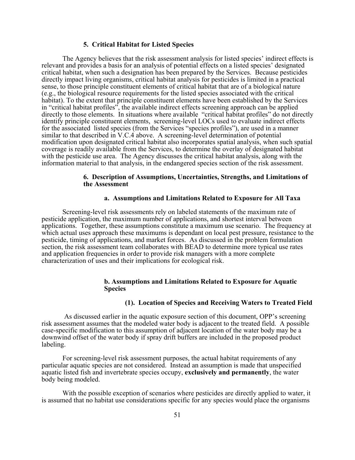## **5. Critical Habitat for Listed Species**

The Agency believes that the risk assessment analysis for listed species' indirect effects is relevant and provides a basis for an analysis of potential effects on a listed species' designated critical habitat, when such a designation has been prepared by the Services. Because pesticides directly impact living organisms, critical habitat analysis for pesticides is limited in a practical sense, to those principle constituent elements of critical habitat that are of a biological nature (e.g., the biological resource requirements for the listed species associated with the critical habitat). To the extent that principle constituent elements have been established by the Services in "critical habitat profiles", the available indirect effects screening approach can be applied directly to those elements. In situations where available "critical habitat profiles" do not directly identify principle constituent elements, screening-level LOCs used to evaluate indirect effects for the associated listed species (from the Services "species profiles"), are used in a manner similar to that described in V.C.4 above. A screening-level determination of potential modification upon designated critical habitat also incorporates spatial analysis, when such spatial coverage is readily available from the Services, to determine the overlay of designated habitat with the pesticide use area. The Agency discusses the critical habitat analysis, along with the information material to that analysis, in the endangered species section of the risk assessment.

## **6. Description of Assumptions, Uncertainties, Strengths, and Limitations of the Assessment**

## **a. Assumptions and Limitations Related to Exposure for All Taxa**

Screening-level risk assessments rely on labeled statements of the maximum rate of pesticide application, the maximum number of applications, and shortest interval between applications. Together, these assumptions constitute a maximum use scenario. The frequency at which actual uses approach these maximums is dependant on local pest pressure, resistance to the pesticide, timing of applications, and market forces. As discussed in the problem formulation section, the risk assessment team collaborates with BEAD to determine more typical use rates and application frequencies in order to provide risk managers with a more complete characterization of uses and their implications for ecological risk.

## **b. Assumptions and Limitations Related to Exposure for Aquatic Species**

## **(1). Location of Species and Receiving Waters to Treated Field**

 As discussed earlier in the aquatic exposure section of this document, OPP's screening risk assessment assumes that the modeled water body is adjacent to the treated field. A possible case-specific modification to this assumption of adjacent location of the water body may be a downwind offset of the water body if spray drift buffers are included in the proposed product labeling.

For screening-level risk assessment purposes, the actual habitat requirements of any particular aquatic species are not considered. Instead an assumption is made that unspecified aquatic listed fish and invertebrate species occupy, **exclusively and permanently**, the water body being modeled.

With the possible exception of scenarios where pesticides are directly applied to water, it is assumed that no habitat use considerations specific for any species would place the organisms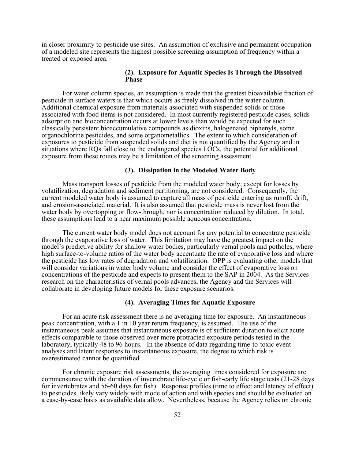in closer proximity to pesticide use sites. An assumption of exclusive and permanent occupation of a modeled site represents the highest possible screening assumption of frequency within a treated or exposed area.

## **(2). Exposure for Aquatic Species Is Through the Dissolved Phase**

For water column species, an assumption is made that the greatest bioavailable fraction of pesticide in surface waters is that which occurs as freely dissolved in the water column. Additional chemical exposure from materials associated with suspended solids or those associated with food items is not considered. In most currently registered pesticide cases, solids adsorption and bioconcentration occurs at lower levels than would be expected for such classically persistent bioaccumulative compounds as dioxins, halogenated biphenyls, some organochlorine pesticides, and some organometallics. The extent to which consideration of exposures to pesticide from suspended solids and diet is not quantified by the Agency and in situations where RQs fall close to the endangered species LOCs, the potential for additional exposure from these routes may be a limitation of the screening assessment.

## **(3). Dissipation in the Modeled Water Body**

Mass transport losses of pesticide from the modeled water body, except for losses by volatilization, degradation and sediment partitioning, are not considered. Consequently, the current modeled water body is assumed to capture all mass of pesticide entering as runoff, drift, and erosion-associated material. It is also assumed that pesticide mass is never lost from the water body by overtopping or flow-through, nor is concentration reduced by dilution. In total, these assumptions lead to a near maximum possible aqueous concentration.

The current water body model does not account for any potential to concentrate pesticide through the evaporative loss of water. This limitation may have the greatest impact on the model's predictive ability for shallow water bodies, particularly vernal pools and potholes, where high surface-to-volume ratios of the water body accentuate the rate of evaporative loss and where the pesticide has low rates of degradation and volatilization. OPP is evaluating other models that will consider variations in water body volume and consider the effect of evaporative loss on concentrations of the pesticide and expects to present them to the SAP in 2004. As the Services research on the characteristics of vernal pools advances, the Agency and the Services will collaborate in developing future models for these exposure scenarios.

### **(4). Averaging Times for Aquatic Exposure**

For an acute risk assessment there is no averaging time for exposure. An instantaneous peak concentration, with a 1 in 10 year return frequency, is assumed. The use of the instantaneous peak assumes that instantaneous exposure is of sufficient duration to elicit acute effects comparable to those observed over more protracted exposure periods tested in the laboratory, typically 48 to 96 hours. In the absence of data regarding time-to-toxic event analyses and latent responses to instantaneous exposure, the degree to which risk is overestimated cannot be quantified.

For chronic exposure risk assessments, the averaging times considered for exposure are commensurate with the duration of invertebrate life-cycle or fish-early life stage tests (21-28 days for invertebrates and 56-60 days for fish). Response profiles (time to effect and latency of effect) to pesticides likely vary widely with mode of action and with species and should be evaluated on a case-by-case basis as available data allow. Nevertheless, because the Agency relies on chronic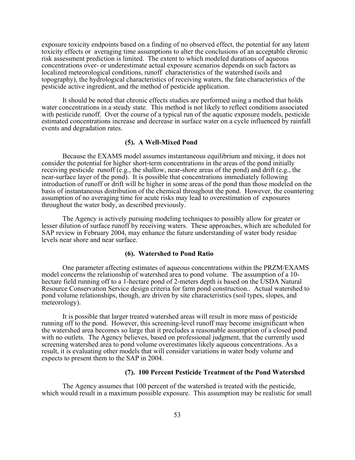exposure toxicity endpoints based on a finding of no observed effect, the potential for any latent toxicity effects or averaging time assumptions to alter the conclusions of an acceptable chronic risk assessment prediction is limited. The extent to which modeled durations of aqueous concentrations over- or underestimate actual exposure scenarios depends on such factors as localized meteorological conditions, runoff characteristics of the watershed (soils and topography), the hydrological characteristics of receiving waters, the fate characteristics of the pesticide active ingredient, and the method of pesticide application.

It should be noted that chronic effects studies are performed using a method that holds water concentrations in a steady state. This method is not likely to reflect conditions associated with pesticide runoff. Over the course of a typical run of the aquatic exposure models, pesticide estimated concentrations increase and decrease in surface water on a cycle influenced by rainfall events and degradation rates.

### **(5). A Well-Mixed Pond**

Because the EXAMS model assumes instantaneous equilibrium and mixing, it does not consider the potential for higher short-term concentrations in the areas of the pond initially receiving pesticide runoff (e.g., the shallow, near-shore areas of the pond) and drift (e.g., the near-surface layer of the pond). It is possible that concentrations immediately following introduction of runoff or drift will be higher in some areas of the pond than those modeled on the basis of instantaneous distribution of the chemical throughout the pond. However, the countering assumption of no averaging time for acute risks may lead to overestimation of exposures throughout the water body, as described previously.

The Agency is actively pursuing modeling techniques to possibly allow for greater or lesser dilution of surface runoff by receiving waters. These approaches, which are scheduled for SAP review in February 2004, may enhance the future understanding of water body residue levels near shore and near surface.

#### **(6). Watershed to Pond Ratio**

One parameter affecting estimates of aqueous concentrations within the PRZM/EXAMS model concerns the relationship of watershed area to pond volume. The assumption of a 10 hectare field running off to a 1-hectare pond of 2-meters depth is based on the USDA Natural Resource Conservation Service design criteria for farm pond construction.. Actual watershed to pond volume relationships, though, are driven by site characteristics (soil types, slopes, and meteorology).

It is possible that larger treated watershed areas will result in more mass of pesticide running off to the pond. However, this screening-level runoff may become insignificant when the watershed area becomes so large that it precludes a reasonable assumption of a closed pond with no outlets. The Agency believes, based on professional judgment, that the currently used screening watershed area to pond volume overestimates likely aqueous concentrations. As a result, it is evaluating other models that will consider variations in water body volume and expects to present them to the SAP in 2004.

## **(7). 100 Percent Pesticide Treatment of the Pond Watershed**

The Agency assumes that 100 percent of the watershed is treated with the pesticide, which would result in a maximum possible exposure. This assumption may be realistic for small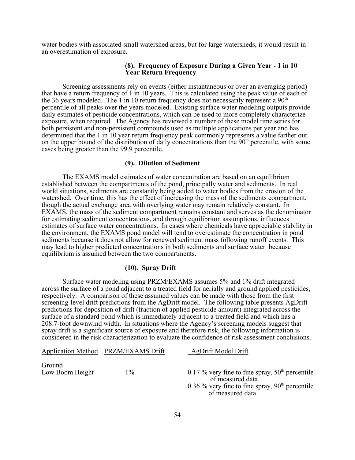water bodies with associated small watershed areas, but for large watersheds, it would result in an overestimation of exposure.

## **(8). Frequency of Exposure During a Given Year - 1 in 10 Year Return Frequency**

Screening assessments rely on events (either instantaneous or over an averaging period) that have a return frequency of 1 in 10 years. This is calculated using the peak value of each of the 36 years modeled. The 1 in 10 return frequency does not necessarily represent a  $90<sup>th</sup>$ percentile of all peaks over the years modeled. Existing surface water modeling outputs provide daily estimates of pesticide concentrations, which can be used to more completely characterize exposure, when required. The Agency has reviewed a number of these model time series for both persistent and non-persistent compounds used as multiple applications per year and has determined that the 1 in 10 year return frequency peak commonly represents a value farther out on the upper bound of the distribution of daily concentrations than the  $90<sup>th</sup>$  percentile, with some cases being greater than the 99.9 percentile.

## **(9). Dilution of Sediment**

The EXAMS model estimates of water concentration are based on an equilibrium established between the compartments of the pond, principally water and sediments. In real world situations, sediments are constantly being added to water bodies from the erosion of the watershed. Over time, this has the effect of increasing the mass of the sediments compartment, though the actual exchange area with overlying water may remain relatively constant. In EXAMS, the mass of the sediment compartment remains constant and serves as the denominator for estimating sediment concentrations, and through equilibrium assumptions, influences estimates of surface water concentrations. In cases where chemicals have appreciable stability in the environment, the EXAMS pond model will tend to overestimate the concentration in pond sediments because it does not allow for renewed sediment mass following runoff events. This may lead to higher predicted concentrations in both sediments and surface water because equilibrium is assumed between the two compartments.

# **(10). Spray Drift**

Surface water modeling using PRZM/EXAMS assumes 5% and 1% drift integrated across the surface of a pond adjacent to a treated field for aerially and ground applied pesticides, respectively. A comparison of these assumed values can be made with those from the first screening-level drift predictions from the AgDrift model. The following table presents AgDrift predictions for deposition of drift (fraction of applied pesticide amount) integrated across the surface of a standard pond which is immediately adjacent to a treated field and which has a 208.7-foot downwind width. In situations where the Agency's screening models suggest that spray drift is a significant source of exposure and therefore risk, the following information is considered in the risk characterization to evaluate the confidence of risk assessment conclusions.

Application Method PRZM/EXAMS Drift AgDrift Model Drift Ground Low Boom Height  $1\%$  1% 0.17 % very fine to fine spray,  $50<sup>th</sup>$  percentile of measured data 0.36 % very fine to fine spray,  $90<sup>th</sup>$  percentile of measured data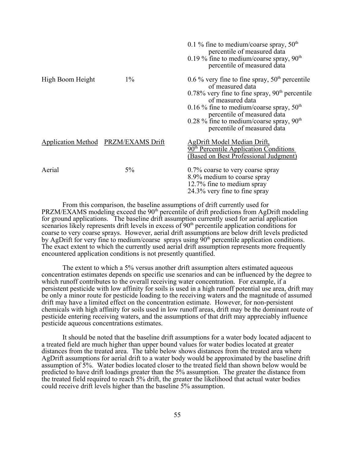|                  |                                     | 0.1 % fine to medium/coarse spray, $50th$<br>percentile of measured data<br>0.19 % fine to medium/coarse spray, $90th$<br>percentile of measured data                                                                                                                                                     |
|------------------|-------------------------------------|-----------------------------------------------------------------------------------------------------------------------------------------------------------------------------------------------------------------------------------------------------------------------------------------------------------|
| High Boom Height | $1\%$                               | 0.6 % very fine to fine spray, $50th$ percentile<br>of measured data<br>$0.78\%$ very fine to fine spray, $90th$ percentile<br>of measured data<br>0.16 % fine to medium/coarse spray, $50th$<br>percentile of measured data<br>0.28 % fine to medium/coarse spray, $90th$<br>percentile of measured data |
|                  | Application Method PRZM/EXAMS Drift | AgDrift Model Median Drift,<br>$90th$ Percentile Application Conditions<br>(Based on Best Professional Judgment)                                                                                                                                                                                          |
| Aerial           | $5\%$                               | 0.7% coarse to very coarse spray<br>8.9% medium to coarse spray<br>12.7% fine to medium spray<br>24.3% very fine to fine spray                                                                                                                                                                            |

From this comparison, the baseline assumptions of drift currently used for PRZM/EXAMS modeling exceed the 90<sup>th</sup> percentile of drift predictions from AgDrift modeling for ground applications. The baseline drift assumption currently used for aerial application scenarios likely represents drift levels in excess of 90<sup>th</sup> percentile application conditions for coarse to very coarse sprays. However, aerial drift assumptions are below drift levels predicted by AgDrift for very fine to medium/coarse sprays using  $90<sup>th</sup>$  percentile application conditions. The exact extent to which the currently used aerial drift assumption represents more frequently encountered application conditions is not presently quantified.

The extent to which a 5% versus another drift assumption alters estimated aqueous concentration estimates depends on specific use scenarios and can be influenced by the degree to which runoff contributes to the overall receiving water concentration. For example, if a persistent pesticide with low affinity for soils is used in a high runoff potential use area, drift may be only a minor route for pesticide loading to the receiving waters and the magnitude of assumed drift may have a limited effect on the concentration estimate. However, for non-persistent chemicals with high affinity for soils used in low runoff areas, drift may be the dominant route of pesticide entering receiving waters, and the assumptions of that drift may appreciably influence pesticide aqueous concentrations estimates.

It should be noted that the baseline drift assumptions for a water body located adjacent to a treated field are much higher than upper bound values for water bodies located at greater distances from the treated area. The table below shows distances from the treated area where AgDrift assumptions for aerial drift to a water body would be approximated by the baseline drift assumption of 5%. Water bodies located closer to the treated field than shown below would be predicted to have drift loadings greater than the 5% assumption. The greater the distance from the treated field required to reach 5% drift, the greater the likelihood that actual water bodies could receive drift levels higher than the baseline 5% assumption.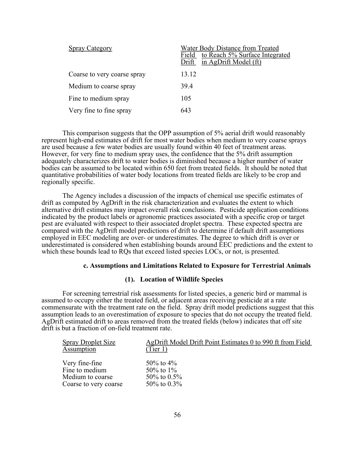| <b>Spray Category</b>       | Water Body Distance from Treated<br>Field to Reach 5% Surface Integrated<br>in AgDrift Model (ft)<br>Drift |
|-----------------------------|------------------------------------------------------------------------------------------------------------|
| Coarse to very coarse spray | 13.12                                                                                                      |
| Medium to coarse spray      | 394                                                                                                        |
| Fine to medium spray        | 105                                                                                                        |
| Very fine to fine spray     | 643                                                                                                        |

This comparison suggests that the OPP assumption of 5% aerial drift would reasonably represent high-end estimates of drift for most water bodies when medium to very coarse sprays are used because a few water bodies are usually found within 40 feet of treatment areas. However, for very fine to medium spray uses, the confidence that the 5% drift assumption adequately characterizes drift to water bodies is diminished because a higher number of water bodies can be assumed to be located within 650 feet from treated fields. It should be noted that quantitative probabilities of water body locations from treated fields are likely to be crop and regionally specific.

The Agency includes a discussion of the impacts of chemical use specific estimates of drift as computed by AgDrift in the risk characterization and evaluates the extent to which alternative drift estimates may impact overall risk conclusions. Pesticide application conditions indicated by the product labels or agronomic practices associated with a specific crop or target pest are evaluated with respect to their associated droplet spectra. These expected spectra are compared with the AgDrift model predictions of drift to determine if default drift assumptions employed in EEC modeling are over- or underestimates. The degree to which drift is over or underestimated is considered when establishing bounds around EEC predictions and the extent to which these bounds lead to RQs that exceed listed species LOCs, or not, is presented.

### **c. Assumptions and Limitations Related to Exposure for Terrestrial Animals**

## **(1). Location of Wildlife Species**

For screening terrestrial risk assessments for listed species, a generic bird or mammal is assumed to occupy either the treated field, or adjacent areas receiving pesticide at a rate commensurate with the treatment rate on the field. Spray drift model predictions suggest that this assumption leads to an overestimation of exposure to species that do not occupy the treated field. AgDrift estimated drift to areas removed from the treated fields (below) indicates that off site drift is but a fraction of on-field treatment rate.

| <b>Spray Droplet Size</b> | AgDrift Model Drift Point Estimates 0 to 990 ft from Field |
|---------------------------|------------------------------------------------------------|
| Assumption                | (Tier 1)                                                   |
|                           |                                                            |
| Very fine-fine            | 50\% to 4\%                                                |
| Fine to medium            | 50\% to 1\%                                                |
| Medium to coarse          | 50\% to $0.5\%$                                            |
| Coarse to very coarse     | 50\% to $0.3\%$                                            |
|                           |                                                            |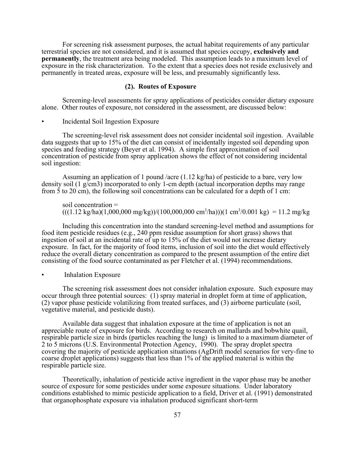For screening risk assessment purposes, the actual habitat requirements of any particular terrestrial species are not considered, and it is assumed that species occupy, **exclusively and permanently**, the treatment area being modeled. This assumption leads to a maximum level of exposure in the risk characterization. To the extent that a species does not reside exclusively and permanently in treated areas, exposure will be less, and presumably significantly less.

## **(2). Routes of Exposure**

Screening-level assessments for spray applications of pesticides consider dietary exposure alone. Other routes of exposure, not considered in the assessment, are discussed below:

• Incidental Soil Ingestion Exposure

The screening-level risk assessment does not consider incidental soil ingestion. Available data suggests that up to 15% of the diet can consist of incidentally ingested soil depending upon species and feeding strategy (Beyer et al. 1994). A simple first approximation of soil concentration of pesticide from spray application shows the effect of not considering incidental soil ingestion:

Assuming an application of 1 pound /acre (1.12 kg/ha) of pesticide to a bare, very low density soil (1 g/cm3) incorporated to only 1-cm depth (actual incorporation depths may range from 5 to 20 cm), the following soil concentrations can be calculated for a depth of 1 cm:

soil concentration =  $(((1.12 \text{ kg/ha})(1,000,000 \text{ mg/kg}))/((100,000,000 \text{ cm}^3/\text{ha}))(1 \text{ cm}^3/0.001 \text{ kg}) = 11.2 \text{ mg/kg}$ 

Including this concentration into the standard screening-level method and assumptions for food item pesticide residues (e.g., 240 ppm residue assumption for short grass) shows that ingestion of soil at an incidental rate of up to 15% of the diet would not increase dietary exposure. In fact, for the majority of food items, inclusion of soil into the diet would effectively reduce the overall dietary concentration as compared to the present assumption of the entire diet consisting of the food source contaminated as per Fletcher et al. (1994) recommendations.

• Inhalation Exposure

The screening risk assessment does not consider inhalation exposure. Such exposure may occur through three potential sources: (1) spray material in droplet form at time of application, (2) vapor phase pesticide volatilizing from treated surfaces, and (3) airborne particulate (soil, vegetative material, and pesticide dusts).

Available data suggest that inhalation exposure at the time of application is not an appreciable route of exposure for birds. According to research on mallards and bobwhite quail, respirable particle size in birds (particles reaching the lung) is limited to a maximum diameter of 2 to 5 microns (U.S. Environmental Protection Agency, 1990). The spray droplet spectra covering the majority of pesticide application situations (AgDrift model scenarios for very-fine to coarse droplet applications) suggests that less than 1% of the applied material is within the respirable particle size.

Theoretically, inhalation of pesticide active ingredient in the vapor phase may be another source of exposure for some pesticides under some exposure situations. Under laboratory conditions established to mimic pesticide application to a field, Driver et al. (1991) demonstrated that organophosphate exposure via inhalation produced significant short-term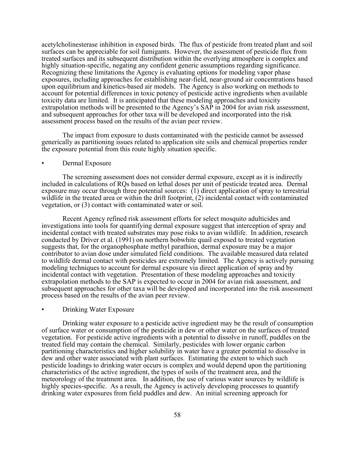acetylcholinesterase inhibition in exposed birds. The flux of pesticide from treated plant and soil surfaces can be appreciable for soil fumigants. However, the assessment of pesticide flux from treated surfaces and its subsequent distribution within the overlying atmosphere is complex and highly situation-specific, negating any confident generic assumptions regarding significance. Recognizing these limitations the Agency is evaluating options for modeling vapor phase exposures, including approaches for establishing near-field, near-ground air concentrations based upon equilibrium and kinetics-based air models. The Agency is also working on methods to account for potential differences in toxic potency of pesticide active ingredients when available toxicity data are limited. It is anticipated that these modeling approaches and toxicity extrapolation methods will be presented to the Agency's SAP in 2004 for avian risk assessment, and subsequent approaches for other taxa will be developed and incorporated into the risk assessment process based on the results of the avian peer review.

The impact from exposure to dusts contaminated with the pesticide cannot be assessed generically as partitioning issues related to application site soils and chemical properties render the exposure potential from this route highly situation specific.

## • Dermal Exposure

The screening assessment does not consider dermal exposure, except as it is indirectly included in calculations of RQs based on lethal doses per unit of pesticide treated area. Dermal exposure may occur through three potential sources: (1) direct application of spray to terrestrial wildlife in the treated area or within the drift footprint, (2) incidental contact with contaminated vegetation, or (3) contact with contaminated water or soil.

Recent Agency refined risk assessment efforts for select mosquito adulticides and investigations into tools for quantifying dermal exposure suggest that interception of spray and incidental contact with treated substrates may pose risks to avian wildlife. In addition, research conducted by Driver et al. (1991) on northern bobwhite quail exposed to treated vegetation suggests that, for the organophosphate methyl parathion, dermal exposure may be a major contributor to avian dose under simulated field conditions. The available measured data related to wildlife dermal contact with pesticides are extremely limited. The Agency is actively pursuing modeling techniques to account for dermal exposure via direct application of spray and by incidental contact with vegetation. Presentation of these modeling approaches and toxicity extrapolation methods to the SAP is expected to occur in 2004 for avian risk assessment, and subsequent approaches for other taxa will be developed and incorporated into the risk assessment process based on the results of the avian peer review.

### • Drinking Water Exposure

Drinking water exposure to a pesticide active ingredient may be the result of consumption of surface water or consumption of the pesticide in dew or other water on the surfaces of treated vegetation. For pesticide active ingredients with a potential to dissolve in runoff, puddles on the treated field may contain the chemical. Similarly, pesticides with lower organic carbon partitioning characteristics and higher solubility in water have a greater potential to dissolve in dew and other water associated with plant surfaces. Estimating the extent to which such pesticide loadings to drinking water occurs is complex and would depend upon the partitioning characteristics of the active ingredient, the types of soils of the treatment area, and the meteorology of the treatment area. In addition, the use of various water sources by wildlife is highly species-specific. As a result, the Agency is actively developing processes to quantify drinking water exposures from field puddles and dew. An initial screening approach for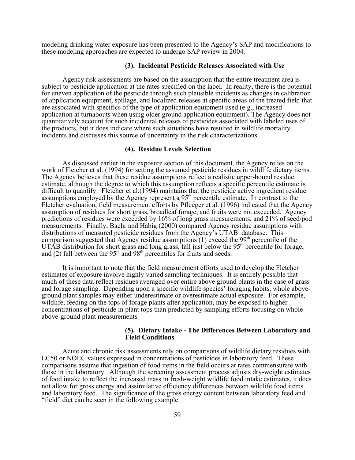modeling drinking water exposure has been presented to the Agency's SAP and modifications to these modeling approaches are expected to undergo SAP review in 2004.

#### **(3). Incidental Pesticide Releases Associated with Use**

Agency risk assessments are based on the assumption that the entire treatment area is subject to pesticide application at the rates specified on the label. In reality, there is the potential for uneven application of the pesticide through such plausible incidents as changes in calibration of application equipment, spillage, and localized releases at specific areas of the treated field that are associated with specifics of the type of application equipment used (e.g., increased application at turnabouts when using older ground application equipment). The Agency does not quantitatively account for such incidental releases of pesticides associated with labeled uses of the products, but it does indicate where such situations have resulted in wildlife mortality incidents and discusses this source of uncertainty in the risk characterizations.

### **(4). Residue Levels Selection**

As discussed earlier in the exposure section of this document, the Agency relies on the work of Fletcher et al. (1994) for setting the assumed pesticide residues in wildlife dietary items. The Agency believes that these residue assumptions reflect a realistic upper-bound residue estimate, although the degree to which this assumption reflects a specific percentile estimate is difficult to quantify. Fletcher et al.(1994) maintains that the pesticide active ingredient residue assumptions employed by the Agency represent a 95th percentile estimate. In contrast to the Fletcher evaluation, field measurement efforts by Pfleeger et al. (1996) indicated that the Agency assumption of residues for short grass, broadleaf forage, and fruits were not exceeded. Agency predictions of residues were exceeded by 16% of long grass measurements, and 21% of seed/pod measurements. Finally, Baehr and Habig (2000) compared Agency residue assumptions with distributions of measured pesticide residues from the Agency's UTAB database. This comparison suggested that Agency residue assumptions  $(1)$  exceed the 99<sup>th</sup> percentile of the UTAB distribution for short grass and long grass, fall just below the 95<sup>th</sup> percentile for forage, and (2) fall between the  $95<sup>th</sup>$  and  $98<sup>th</sup>$  percentiles for fruits and seeds.

It is important to note that the field measurement efforts used to develop the Fletcher estimates of exposure involve highly varied sampling techniques. It is entirely possible that much of these data reflect residues averaged over entire above ground plants in the case of grass and forage sampling. Depending upon a specific wildlife species' foraging habits, whole aboveground plant samples may either underestimate or overestimate actual exposure. For example, wildlife, feeding on the tops of forage plants after application, may be exposed to higher concentrations of pesticide in plant tops than predicted by sampling efforts focusing on whole above-ground plant measurements

### **(5). Dietary Intake - The Differences Between Laboratory and Field Conditions**

Acute and chronic risk assessments rely on comparisons of wildlife dietary residues with LC50 or NOEC values expressed in concentrations of pesticides in laboratory feed. These comparisons assume that ingestion of food items in the field occurs at rates commensurate with those in the laboratory. Although the screening assessment process adjusts dry-weight estimates of food intake to reflect the increased mass in fresh-weight wildlife food intake estimates, it does not allow for gross energy and assimilative efficiency differences between wildlife food items and laboratory feed. The significance of the gross energy content between laboratory feed and "field" diet can be seen in the following example: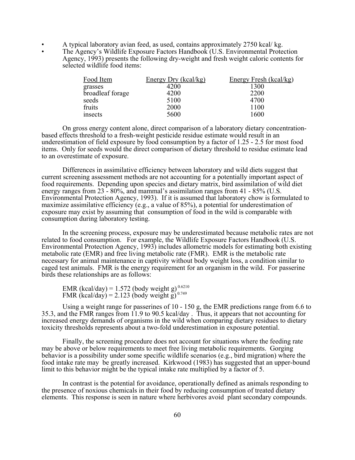- A typical laboratory avian feed, as used, contains approximately 2750 kcal/ kg.
- The Agency's Wildlife Exposure Factors Handbook (U.S. Environmental Protection Agency, 1993) presents the following dry-weight and fresh weight caloric contents for selected wildlife food items:

| Energy Dry (kcal/kg) | Energy Fresh (kcal/kg) |
|----------------------|------------------------|
| 4200                 | 1300                   |
| 4200                 | 2200                   |
| 5100                 | 4700                   |
| 2000                 | 1100                   |
| 5600                 | 1600                   |
|                      |                        |

On gross energy content alone, direct comparison of a laboratory dietary concentrationbased effects threshold to a fresh-weight pesticide residue estimate would result in an underestimation of field exposure by food consumption by a factor of 1.25 - 2.5 for most food items. Only for seeds would the direct comparison of dietary threshold to residue estimate lead to an overestimate of exposure.

Differences in assimilative efficiency between laboratory and wild diets suggest that current screening assessment methods are not accounting for a potentially important aspect of food requirements. Depending upon species and dietary matrix, bird assimilation of wild diet energy ranges from 23 - 80%, and mammal's assimilation ranges from 41 - 85% (U.S. Environmental Protection Agency, 1993). If it is assumed that laboratory chow is formulated to maximize assimilative efficiency (e.g., a value of 85%), a potential for underestimation of exposure may exist by assuming that consumption of food in the wild is comparable with consumption during laboratory testing.

In the screening process, exposure may be underestimated because metabolic rates are not related to food consumption. For example, the Wildlife Exposure Factors Handbook (U.S. Environmental Protection Agency, 1993) includes allometric models for estimating both existing metabolic rate (EMR) and free living metabolic rate (FMR). EMR is the metabolic rate necessary for animal maintenance in captivity without body weight loss, a condition similar to caged test animals. FMR is the energy requirement for an organism in the wild. For passerine birds these relationships are as follows:

EMR (kcal/day) = 1.572 (body weight g)<sup>0.6210</sup> FMR (kcal/day) = 2.123 (body weight g)<sup>0.749</sup>

Using a weight range for passerines of 10 - 150 g, the EMR predictions range from 6.6 to 35.3, and the FMR ranges from 11.9 to 90.5 kcal/day . Thus, it appears that not accounting for increased energy demands of organisms in the wild when comparing dietary residues to dietary toxicity thresholds represents about a two-fold underestimation in exposure potential.

Finally, the screening procedure does not account for situations where the feeding rate may be above or below requirements to meet free living metabolic requirements. Gorging behavior is a possibility under some specific wildlife scenarios (e.g., bird migration) where the food intake rate may be greatly increased. Kirkwood (1983) has suggested that an upper-bound limit to this behavior might be the typical intake rate multiplied by a factor of 5.

In contrast is the potential for avoidance, operationally defined as animals responding to the presence of noxious chemicals in their food by reducing consumption of treated dietary elements. This response is seen in nature where herbivores avoid plant secondary compounds.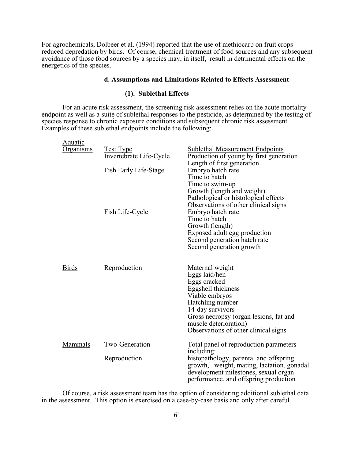For agrochemicals, Dolbeer et al. (1994) reported that the use of methiocarb on fruit crops reduced depredation by birds. Of course, chemical treatment of food sources and any subsequent avoidance of those food sources by a species may, in itself, result in detrimental effects on the energetics of the species.

### **d. Assumptions and Limitations Related to Effects Assessment**

# **(1). Sublethal Effects**

For an acute risk assessment, the screening risk assessment relies on the acute mortality endpoint as well as a suite of sublethal responses to the pesticide, as determined by the testing of species response to chronic exposure conditions and subsequent chronic risk assessment. Examples of these sublethal endpoints include the following:

| <u>Aquatic</u>   |                                             |                                                                                                                                                                                                                                                                 |
|------------------|---------------------------------------------|-----------------------------------------------------------------------------------------------------------------------------------------------------------------------------------------------------------------------------------------------------------------|
| <u>Organisms</u> | <u>Test Type</u><br>Invertebrate Life-Cycle | <b>Sublethal Measurement Endpoints</b><br>Production of young by first generation                                                                                                                                                                               |
|                  | Fish Early Life-Stage                       | Length of first generation<br>Embryo hatch rate<br>Time to hatch<br>Time to swim-up                                                                                                                                                                             |
|                  | Fish Life-Cycle                             | Growth (length and weight)<br>Pathological or histological effects<br>Observations of other clinical signs<br>Embryo hatch rate<br>Time to hatch<br>Growth (length)<br>Exposed adult egg production<br>Second generation hatch rate<br>Second generation growth |
| <b>Birds</b>     | Reproduction                                | Maternal weight<br>Eggs laid/hen<br>Eggs cracked<br>Eggshell thickness<br>Viable embryos<br>Hatchling number<br>14-day survivors<br>Gross necropsy (organ lesions, fat and<br>muscle deterioration)<br>Observations of other clinical signs                     |
| Mammals          | Two-Generation                              | Total panel of reproduction parameters                                                                                                                                                                                                                          |
|                  | Reproduction                                | including:<br>histopathology, parental and offspring<br>growth, weight, mating, lactation, gonadal<br>development milestones, sexual organ<br>performance, and offspring production                                                                             |

Of course, a risk assessment team has the option of considering additional sublethal data in the assessment. This option is exercised on a case-by-case basis and only after careful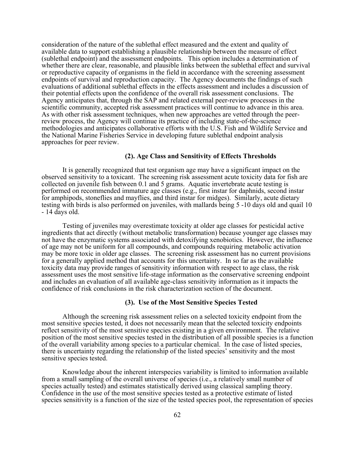consideration of the nature of the sublethal effect measured and the extent and quality of available data to support establishing a plausible relationship between the measure of effect (sublethal endpoint) and the assessment endpoints. This option includes a determination of whether there are clear, reasonable, and plausible links between the sublethal effect and survival or reproductive capacity of organisms in the field in accordance with the screening assessment endpoints of survival and reproduction capacity. The Agency documents the findings of such evaluations of additional sublethal effects in the effects assessment and includes a discussion of their potential effects upon the confidence of the overall risk assessment conclusions. The Agency anticipates that, through the SAP and related external peer-review processes in the scientific community, accepted risk assessment practices will continue to advance in this area. As with other risk assessment techniques, when new approaches are vetted through the peerreview process, the Agency will continue its practice of including state-of-the-science methodologies and anticipates collaborative efforts with the U.S. Fish and Wildlife Service and the National Marine Fisheries Service in developing future sublethal endpoint analysis approaches for peer review.

## **(2). Age Class and Sensitivity of Effects Thresholds**

It is generally recognized that test organism age may have a significant impact on the observed sensitivity to a toxicant. The screening risk assessment acute toxicity data for fish are collected on juvenile fish between 0.1 and 5 grams. Aquatic invertebrate acute testing is performed on recommended immature age classes (e.g., first instar for daphnids, second instar for amphipods, stoneflies and mayflies, and third instar for midges). Similarly, acute dietary testing with birds is also performed on juveniles, with mallards being 5 -10 days old and quail 10 - 14 days old.

Testing of juveniles may overestimate toxicity at older age classes for pesticidal active ingredients that act directly (without metabolic transformation) because younger age classes may not have the enzymatic systems associated with detoxifying xenobiotics. However, the influence of age may not be uniform for all compounds, and compounds requiring metabolic activation may be more toxic in older age classes. The screening risk assessment has no current provisions for a generally applied method that accounts for this uncertainty. In so far as the available toxicity data may provide ranges of sensitivity information with respect to age class, the risk assessment uses the most sensitive life-stage information as the conservative screening endpoint and includes an evaluation of all available age-class sensitivity information as it impacts the confidence of risk conclusions in the risk characterization section of the document.

#### **(3). Use of the Most Sensitive Species Tested**

Although the screening risk assessment relies on a selected toxicity endpoint from the most sensitive species tested, it does not necessarily mean that the selected toxicity endpoints reflect sensitivity of the most sensitive species existing in a given environment. The relative position of the most sensitive species tested in the distribution of all possible species is a function of the overall variability among species to a particular chemical. In the case of listed species, there is uncertainty regarding the relationship of the listed species' sensitivity and the most sensitive species tested.

Knowledge about the inherent interspecies variability is limited to information available from a small sampling of the overall universe of species (i.e., a relatively small number of species actually tested) and estimates statistically derived using classical sampling theory. Confidence in the use of the most sensitive species tested as a protective estimate of listed species sensitivity is a function of the size of the tested species pool, the representation of species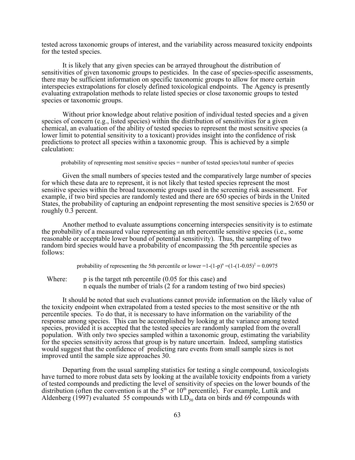tested across taxonomic groups of interest, and the variability across measured toxicity endpoints for the tested species.

It is likely that any given species can be arrayed throughout the distribution of sensitivities of given taxonomic groups to pesticides. In the case of species-specific assessments, there may be sufficient information on specific taxonomic groups to allow for more certain interspecies extrapolations for closely defined toxicological endpoints. The Agency is presently evaluating extrapolation methods to relate listed species or close taxonomic groups to tested species or taxonomic groups.

Without prior knowledge about relative position of individual tested species and a given species of concern (e.g., listed species) within the distribution of sensitivities for a given chemical, an evaluation of the ability of tested species to represent the most sensitive species (a lower limit to potential sensitivity to a toxicant) provides insight into the confidence of risk predictions to protect all species within a taxonomic group. This is achieved by a simple calculation:

probability of representing most sensitive species = number of tested species/total number of species

Given the small numbers of species tested and the comparatively large number of species for which these data are to represent, it is not likely that tested species represent the most sensitive species within the broad taxonomic groups used in the screening risk assessment. For example, if two bird species are randomly tested and there are 650 species of birds in the United States, the probability of capturing an endpoint representing the most sensitive species is 2/650 or roughly 0.3 percent.

Another method to evaluate assumptions concerning interspecies sensitivity is to estimate the probability of a measured value representing an nth percentile sensitive species (i.e., some reasonable or acceptable lower bound of potential sensitivity). Thus, the sampling of two random bird species would have a probability of encompassing the 5th percentile species as follows:

probability of representing the 5th percentile or lower =1- $(1-p)^n$  = $(1-(1-0.05)^2 = 0.0975$ 

Where: p is the target nth percentile (0.05 for this case) and n equals the number of trials (2 for a random testing of two bird species)

It should be noted that such evaluations cannot provide information on the likely value of the toxicity endpoint when extrapolated from a tested species to the most sensitive or the nth percentile species. To do that, it is necessary to have information on the variability of the response among species. This can be accomplished by looking at the variance among tested species, provided it is accepted that the tested species are randomly sampled from the overall population. With only two species sampled within a taxonomic group, estimating the variability for the species sensitivity across that group is by nature uncertain. Indeed, sampling statistics would suggest that the confidence of predicting rare events from small sample sizes is not improved until the sample size approaches 30.

Departing from the usual sampling statistics for testing a single compound, toxicologists have turned to more robust data sets by looking at the available toxicity endpoints from a variety of tested compounds and predicting the level of sensitivity of species on the lower bounds of the distribution (often the convention is at the  $5<sup>th</sup>$  or  $10<sup>th</sup>$  percentile). For example, Luttik and Aldenberg (1997) evaluated 55 compounds with  $LD_{50}$  data on birds and 69 compounds with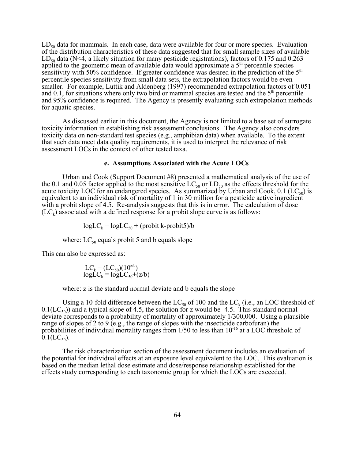$LD_{50}$  data for mammals. In each case, data were available for four or more species. Evaluation of the distribution characteristics of these data suggested that for small sample sizes of available LD<sub>50</sub> data (N<4, a likely situation for many pesticide registrations), factors of 0.175 and 0.263 applied to the geometric mean of available data would approximate a 5<sup>th</sup> percentile species sensitivity with 50% confidence. If greater confidence was desired in the prediction of the 5<sup>th</sup> percentile species sensitivity from small data sets, the extrapolation factors would be even smaller. For example, Luttik and Aldenberg (1997) recommended extrapolation factors of 0.051 and 0.1, for situations where only two bird or mammal species are tested and the  $5<sup>th</sup>$  percentile and 95% confidence is required. The Agency is presently evaluating such extrapolation methods for aquatic species.

As discussed earlier in this document, the Agency is not limited to a base set of surrogate toxicity information in establishing risk assessment conclusions. The Agency also considers toxicity data on non-standard test species (e.g., amphibian data) when available. To the extent that such data meet data quality requirements, it is used to interpret the relevance of risk assessment LOCs in the context of other tested taxa.

### **e. Assumptions Associated with the Acute LOCs**

Urban and Cook (Support Document #8) presented a mathematical analysis of the use of the 0.1 and 0.05 factor applied to the most sensitive  $LC_{50}$  or  $LD_{50}$  as the effects threshold for the acute toxicity LOC for an endangered species. As summarized by Urban and Cook,  $0.1$  (LC<sub>50</sub>) is equivalent to an individual risk of mortality of 1 in 30 million for a pesticide active ingredient with a probit slope of 4.5. Re-analysis suggests that this is in error. The calculation of dose  $(LC_k)$  associated with a defined response for a probit slope curve is as follows:

 $log LC_k = log LC_{50} + (probit k-probit5)/b$ 

where:  $LC_{50}$  equals probit 5 and b equals slope

This can also be expressed as:

$$
LC_k = (LC_{50})(10^{2/b})
$$
  
logLC<sub>k</sub> = logLC<sub>50</sub>+ (z/b)

where: z is the standard normal deviate and b equals the slope

Using a 10-fold difference between the  $LC_{50}$  of 100 and the  $LC_k$  (i.e., an LOC threshold of  $0.1(LC_{50})$  and a typical slope of 4.5, the solution for z would be -4.5. This standard normal deviate corresponds to a probability of mortality of approximately 1/300,000. Using a plausible range of slopes of 2 to 9 (e.g., the range of slopes with the insecticide carbofuran) the probabilities of individual mortality ranges from 1/50 to less than 10-16 at a LOC threshold of  $0.1( LC_{50}).$ 

The risk characterization section of the assessment document includes an evaluation of the potential for individual effects at an exposure level equivalent to the LOC. This evaluation is based on the median lethal dose estimate and dose/response relationship established for the effects study corresponding to each taxonomic group for which the LOCs are exceeded.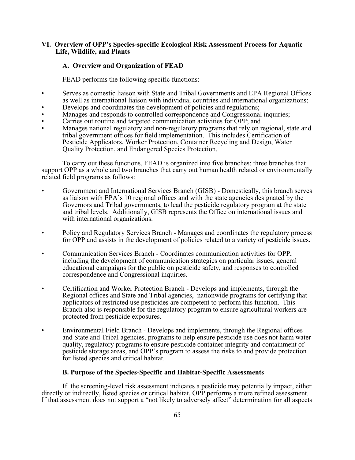## **VI. Overview of OPP's Species-specific Ecological Risk Assessment Process for Aquatic Life, Wildlife, and Plants**

# **A. Overview and Organization of FEAD**

FEAD performs the following specific functions:

- Serves as domestic liaison with State and Tribal Governments and EPA Regional Offices as well as international liaison with individual countries and international organizations;
- Develops and coordinates the development of policies and regulations;
- Manages and responds to controlled correspondence and Congressional inquiries;
- Carries out routine and targeted communication activities for OPP; and
- Manages national regulatory and non-regulatory programs that rely on regional, state and tribal government offices for field implementation. This includes Certification of Pesticide Applicators, Worker Protection, Container Recycling and Design, Water Quality Protection, and Endangered Species Protection.

To carry out these functions, FEAD is organized into five branches: three branches that support OPP as a whole and two branches that carry out human health related or environmentally related field programs as follows:

- Government and International Services Branch (GISB) Domestically, this branch serves as liaison with EPA's 10 regional offices and with the state agencies designated by the Governors and Tribal governments, to lead the pesticide regulatory program at the state and tribal levels. Additionally, GISB represents the Office on international issues and with international organizations.
- Policy and Regulatory Services Branch Manages and coordinates the regulatory process for OPP and assists in the development of policies related to a variety of pesticide issues.
- Communication Services Branch Coordinates communication activities for OPP, including the development of communication strategies on particular issues, general educational campaigns for the public on pesticide safety, and responses to controlled correspondence and Congressional inquiries.
- Certification and Worker Protection Branch Develops and implements, through the Regional offices and State and Tribal agencies, nationwide programs for certifying that applicators of restricted use pesticides are competent to perform this function. This Branch also is responsible for the regulatory program to ensure agricultural workers are protected from pesticide exposures.
- Environmental Field Branch Develops and implements, through the Regional offices and State and Tribal agencies, programs to help ensure pesticide use does not harm water quality, regulatory programs to ensure pesticide container integrity and containment of pesticide storage areas, and OPP's program to assess the risks to and provide protection for listed species and critical habitat.

## **B. Purpose of the Species-Specific and Habitat-Specific Assessments**

If the screening-level risk assessment indicates a pesticide may potentially impact, either directly or indirectly, listed species or critical habitat, OPP performs a more refined assessment. If that assessment does not support a "not likely to adversely affect" determination for all aspects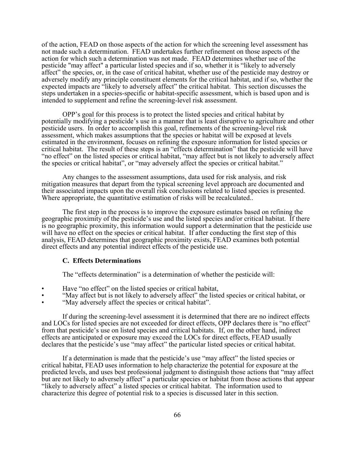of the action, FEAD on those aspects of the action for which the screening level assessment has not made such a determination. FEAD undertakes further refinement on those aspects of the action for which such a determination was not made. FEAD determines whether use of the pesticide "may affect" a particular listed species and if so, whether it is "likely to adversely affect" the species, or, in the case of critical habitat, whether use of the pesticide may destroy or adversely modify any principle constituent elements for the critical habitat, and if so, whether the expected impacts are "likely to adversely affect" the critical habitat. This section discusses the steps undertaken in a species-specific or habitat-specific assessment, which is based upon and is intended to supplement and refine the screening-level risk assessment.

OPP's goal for this process is to protect the listed species and critical habitat by potentially modifying a pesticide's use in a manner that is least disruptive to agriculture and other pesticide users. In order to accomplish this goal, refinements of the screening-level risk assessment, which makes assumptions that the species or habitat will be exposed at levels estimated in the environment, focuses on refining the exposure information for listed species or critical habitat. The result of these steps is an "effects determination" that the pesticide will have "no effect" on the listed species or critical habitat, "may affect but is not likely to adversely affect the species or critical habitat", or "may adversely affect the species or critical habitat."

Any changes to the assessment assumptions, data used for risk analysis, and risk mitigation measures that depart from the typical screening level approach are documented and their associated impacts upon the overall risk conclusions related to listed species is presented. Where appropriate, the quantitative estimation of risks will be recalculated..

The first step in the process is to improve the exposure estimates based on refining the geographic proximity of the pesticide's use and the listed species and/or critical habitat. If there is no geographic proximity, this information would support a determination that the pesticide use will have no effect on the species or critical habitat. If after conducting the first step of this analysis, FEAD determines that geographic proximity exists, FEAD examines both potential direct effects and any potential indirect effects of the pesticide use.

### **C. Effects Determinations**

The "effects determination" is a determination of whether the pesticide will:

- Have "no effect" on the listed species or critical habitat,
- "May affect but is not likely to adversely affect" the listed species or critical habitat, or
- "May adversely affect the species or critical habitat".

If during the screening-level assessment it is determined that there are no indirect effects and LOCs for listed species are not exceeded for direct effects, OPP declares there is "no effect" from that pesticide's use on listed species and critical habitats. If, on the other hand, indirect effects are anticipated or exposure may exceed the LOCs for direct effects, FEAD usually declares that the pesticide's use "may affect" the particular listed species or critical habitat.

If a determination is made that the pesticide's use "may affect" the listed species or critical habitat, FEAD uses information to help characterize the potential for exposure at the predicted levels, and uses best professional judgment to distinguish those actions that "may affect but are not likely to adversely affect" a particular species or habitat from those actions that appear "likely to adversely affect" a listed species or critical habitat. The information used to characterize this degree of potential risk to a species is discussed later in this section.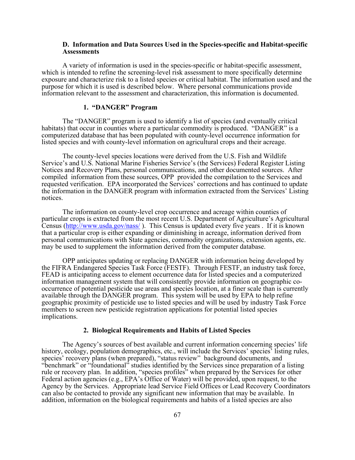### **D. Information and Data Sources Used in the Species-specific and Habitat-specific Assessments**

A variety of information is used in the species-specific or habitat-specific assessment, which is intended to refine the screening-level risk assessment to more specifically determine exposure and characterize risk to a listed species or critical habitat. The information used and the purpose for which it is used is described below. Where personal communications provide information relevant to the assessment and characterization, this information is documented.

#### **1. "DANGER" Program**

The "DANGER" program is used to identify a list of species (and eventually critical habitats) that occur in counties where a particular commodity is produced. "DANGER" is a computerized database that has been populated with county-level occurrence information for listed species and with county-level information on agricultural crops and their acreage.

The county-level species locations were derived from the U.S. Fish and Wildlife Service's and U.S. National Marine Fisheries Service's (the Services) Federal Register Listing Notices and Recovery Plans, personal communications, and other documented sources. After compiled information from these sources, OPP provided the compilation to the Services and requested verification. EPA incorporated the Services' corrections and has continued to update the information in the DANGER program with information extracted from the Services' Listing notices.

The information on county-level crop occurrence and acreage within counties of particular crops is extracted from the most recent U.S. Department of Agriculture's Agricultural Census (http://www.usda.gov/nass/). This Census is updated every five years. If it is known that a particular crop is either expanding or diminishing in acreage, information derived from personal communications with State agencies, commodity organizations, extension agents, etc. may be used to supplement the information derived from the computer database.

OPP anticipates updating or replacing DANGER with information being developed by the FIFRA Endangered Species Task Force (FESTF). Through FESTF, an industry task force, FEAD is anticipating access to element occurrence data for listed species and a computerized information management system that will consistently provide information on geographic cooccurrence of potential pesticide use areas and species location, at a finer scale than is currently available through the DANGER program. This system will be used by EPA to help refine geographic proximity of pesticide use to listed species and will be used by industry Task Force members to screen new pesticide registration applications for potential listed species implications.

## **2. Biological Requirements and Habits of Listed Species**

The Agency's sources of best available and current information concerning species' life history, ecology, population demographics, etc., will include the Services' species' listing rules, species' recovery plans (when prepared), "status review" background documents, and "benchmark" or "foundational" studies identified by the Services since preparation of a listing rule or recovery plan. In addition, "species profiles" when prepared by the Services for other Federal action agencies (e.g., EPA's Office of Water) will be provided, upon request, to the Agency by the Services. Appropriate lead Service Field Offices or Lead Recovery Coordinators can also be contacted to provide any significant new information that may be available. In addition, information on the biological requirements and habits of a listed species are also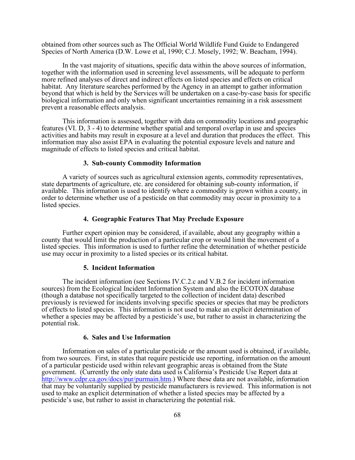obtained from other sources such as The Official World Wildlife Fund Guide to Endangered Species of North America (D.W. Lowe et al, 1990; C.J. Mosely, 1992; W. Beacham, 1994).

In the vast majority of situations, specific data within the above sources of information, together with the information used in screening level assessments, will be adequate to perform more refined analyses of direct and indirect effects on listed species and effects on critical habitat. Any literature searches performed by the Agency in an attempt to gather information beyond that which is held by the Services will be undertaken on a case-by-case basis for specific biological information and only when significant uncertainties remaining in a risk assessment prevent a reasonable effects analysis.

This information is assessed, together with data on commodity locations and geographic features (VI. D, 3 - 4) to determine whether spatial and temporal overlap in use and species activities and habits may result in exposure at a level and duration that produces the effect. This information may also assist EPA in evaluating the potential exposure levels and nature and magnitude of effects to listed species and critical habitat.

## **3. Sub-county Commodity Information**

A variety of sources such as agricultural extension agents, commodity representatives, state departments of agriculture, etc. are considered for obtaining sub-county information, if available. This information is used to identify where a commodity is grown within a county, in order to determine whether use of a pesticide on that commodity may occur in proximity to a listed species.

### **4. Geographic Features That May Preclude Exposure**

Further expert opinion may be considered, if available, about any geography within a county that would limit the production of a particular crop or would limit the movement of a listed species. This information is used to further refine the determination of whether pesticide use may occur in proximity to a listed species or its critical habitat.

### **5. Incident Information**

The incident information (see Sections IV.C.2.c and V.B.2 for incident information sources) from the Ecological Incident Information System and also the ECOTOX database (though a database not specifically targeted to the collection of incident data) described previously is reviewed for incidents involving specific species or species that may be predictors of effects to listed species. This information is not used to make an explicit determination of whether a species may be affected by a pesticide's use, but rather to assist in characterizing the potential risk.

#### **6. Sales and Use Information**

Information on sales of a particular pesticide or the amount used is obtained, if available, from two sources. First, in states that require pesticide use reporting, information on the amount of a particular pesticide used within relevant geographic areas is obtained from the State government. (Currently the only state data used is California's Pesticide Use Report data at <http://www.cdpr.ca.gov/docs/pur/purmain.htm>.) Where these data are not available, information that may be voluntarily supplied by pesticide manufacturers is reviewed. This information is not used to make an explicit determination of whether a listed species may be affected by a pesticide's use, but rather to assist in characterizing the potential risk.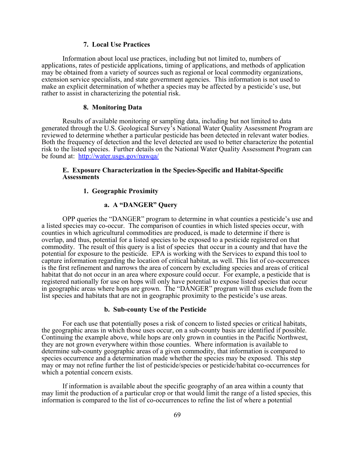### **7. Local Use Practices**

Information about local use practices, including but not limited to, numbers of applications, rates of pesticide applications, timing of applications, and methods of application may be obtained from a variety of sources such as regional or local commodity organizations, extension service specialists, and state government agencies. This information is not used to make an explicit determination of whether a species may be affected by a pesticide's use, but rather to assist in characterizing the potential risk.

#### **8. Monitoring Data**

Results of available monitoring or sampling data, including but not limited to data generated through the U.S. Geological Survey's National Water Quality Assessment Program are reviewed to determine whether a particular pesticide has been detected in relevant water bodies. Both the frequency of detection and the level detected are used to better characterize the potential risk to the listed species. Further details on the National Water Quality Assessment Program can be found at: <http://water.usgs.gov/nawqa/>

## **E. Exposure Characterization in the Species-Specific and Habitat-Specific Assessments**

## **1. Geographic Proximity**

# **a. A "DANGER" Query**

OPP queries the "DANGER" program to determine in what counties a pesticide's use and a listed species may co-occur. The comparison of counties in which listed species occur, with counties in which agricultural commodities are produced, is made to determine if there is overlap, and thus, potential for a listed species to be exposed to a pesticide registered on that commodity. The result of this query is a list of species that occur in a county and that have the potential for exposure to the pesticide. EPA is working with the Services to expand this tool to capture information regarding the location of critical habitat, as well. This list of co-occurrences is the first refinement and narrows the area of concern by excluding species and areas of critical habitat that do not occur in an area where exposure could occur. For example, a pesticide that is registered nationally for use on hops will only have potential to expose listed species that occur in geographic areas where hops are grown. The "DANGER" program will thus exclude from the list species and habitats that are not in geographic proximity to the pesticide's use areas.

### **b. Sub-county Use of the Pesticide**

For each use that potentially poses a risk of concern to listed species or critical habitats, the geographic areas in which those uses occur, on a sub-county basis are identified if possible. Continuing the example above, while hops are only grown in counties in the Pacific Northwest, they are not grown everywhere within those counties. Where information is available to determine sub-county geographic areas of a given commodity, that information is compared to species occurrence and a determination made whether the species may be exposed. This step may or may not refine further the list of pesticide/species or pesticide/habitat co-occurrences for which a potential concern exists.

If information is available about the specific geography of an area within a county that may limit the production of a particular crop or that would limit the range of a listed species, this information is compared to the list of co-occurrences to refine the list of where a potential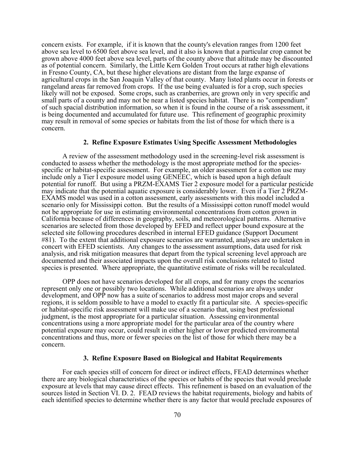concern exists. For example, if it is known that the county's elevation ranges from 1200 feet above sea level to 6500 feet above sea level, and it also is known that a particular crop cannot be grown above 4000 feet above sea level, parts of the county above that altitude may be discounted as of potential concern. Similarly, the Little Kern Golden Trout occurs at rather high elevations in Fresno County, CA, but these higher elevations are distant from the large expanse of agricultural crops in the San Joaquin Valley of that county. Many listed plants occur in forests or rangeland areas far removed from crops. If the use being evaluated is for a crop, such species likely will not be exposed. Some crops, such as cranberries, are grown only in very specific and small parts of a county and may not be near a listed species habitat. There is no "compendium" of such spacial distribution information, so when it is found in the course of a risk assessment, it is being documented and accumulated for future use. This refinement of geographic proximity may result in removal of some species or habitats from the list of those for which there is a concern.

#### **2. Refine Exposure Estimates Using Specific Assessment Methodologies**

A review of the assessment methodology used in the screening-level risk assessment is conducted to assess whether the methodology is the most appropriate method for the speciesspecific or habitat-specific assessment. For example, an older assessment for a cotton use may include only a Tier I exposure model using GENEEC, which is based upon a high default potential for runoff. But using a PRZM-EXAMS Tier 2 exposure model for a particular pesticide may indicate that the potential aquatic exposure is considerably lower. Even if a Tier 2 PRZM-EXAMS model was used in a cotton assessment, early assessments with this model included a scenario only for Mississippi cotton. But the results of a Mississippi cotton runoff model would not be appropriate for use in estimating environmental concentrations from cotton grown in California because of differences in geography, soils, and meteorological patterns. Alternative scenarios are selected from those developed by EFED and reflect upper bound exposure at the selected site following procedures described in internal EFED guidance (Support Document #81). To the extent that additional exposure scenarios are warranted, analyses are undertaken in concert with EFED scientists. Any changes to the assessment assumptions, data used for risk analysis, and risk mitigation measures that depart from the typical screening level approach are documented and their associated impacts upon the overall risk conclusions related to listed species is presented. Where appropriate, the quantitative estimate of risks will be recalculated.

OPP does not have scenarios developed for all crops, and for many crops the scenarios represent only one or possibly two locations. While additional scenarios are always under development, and OPP now has a suite of scenarios to address most major crops and several regions, it is seldom possible to have a model to exactly fit a particular site. A species-specific or habitat-specific risk assessment will make use of a scenario that, using best professional judgment, is the most appropriate for a particular situation. Assessing environmental concentrations using a more appropriate model for the particular area of the country where potential exposure may occur, could result in either higher or lower predicted environmental concentrations and thus, more or fewer species on the list of those for which there may be a concern.

### **3. Refine Exposure Based on Biological and Habitat Requirements**

For each species still of concern for direct or indirect effects, FEAD determines whether there are any biological characteristics of the species or habits of the species that would preclude exposure at levels that may cause direct effects. This refinement is based on an evaluation of the sources listed in Section VI. D. 2. FEAD reviews the habitat requirements, biology and habits of each identified species to determine whether there is any factor that would preclude exposures of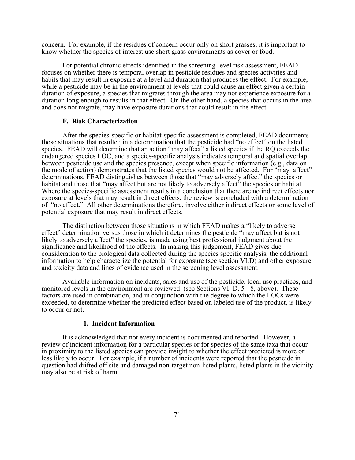concern. For example, if the residues of concern occur only on short grasses, it is important to know whether the species of interest use short grass environments as cover or food.

For potential chronic effects identified in the screening-level risk assessment, FEAD focuses on whether there is temporal overlap in pesticide residues and species activities and habits that may result in exposure at a level and duration that produces the effect. For example, while a pesticide may be in the environment at levels that could cause an effect given a certain duration of exposure, a species that migrates through the area may not experience exposure for a duration long enough to results in that effect. On the other hand, a species that occurs in the area and does not migrate, may have exposure durations that could result in the effect.

### **F. Risk Characterization**

After the species-specific or habitat-specific assessment is completed, FEAD documents those situations that resulted in a determination that the pesticide had "no effect" on the listed species. FEAD will determine that an action "may affect" a listed species if the RQ exceeds the endangered species LOC, and a species-specific analysis indicates temporal and spatial overlap between pesticide use and the species presence, except when specific information (e.g., data on the mode of action) demonstrates that the listed species would not be affected. For "may affect" determinations, FEAD distinguishes between those that "may adversely affect" the species or habitat and those that "may affect but are not likely to adversely affect" the species or habitat. Where the species-specific assessment results in a conclusion that there are no indirect effects nor exposure at levels that may result in direct effects, the review is concluded with a determination of "no effect." All other determinations therefore, involve either indirect effects or some level of potential exposure that may result in direct effects.

The distinction between those situations in which FEAD makes a "likely to adverse effect" determination versus those in which it determines the pesticide "may affect but is not likely to adversely affect" the species, is made using best professional judgment about the significance and likelihood of the effects. In making this judgement, FEAD gives due consideration to the biological data collected during the species specific analysis, the additional information to help characterize the potential for exposure (see section VI.D) and other exposure and toxicity data and lines of evidence used in the screening level assessment.

Available information on incidents, sales and use of the pesticide, local use practices, and monitored levels in the environment are reviewed (see Sections VI. D. 5 - 8, above). These factors are used in combination, and in conjunction with the degree to which the LOCs were exceeded, to determine whether the predicted effect based on labeled use of the product, is likely to occur or not.

### **1. Incident Information**

It is acknowledged that not every incident is documented and reported. However, a review of incident information for a particular species or for species of the same taxa that occur in proximity to the listed species can provide insight to whether the effect predicted is more or less likely to occur. For example, if a number of incidents were reported that the pesticide in question had drifted off site and damaged non-target non-listed plants, listed plants in the vicinity may also be at risk of harm.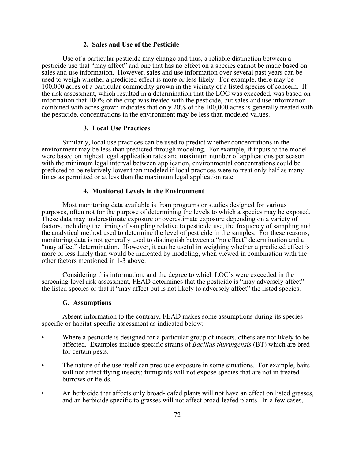## **2. Sales and Use of the Pesticide**

Use of a particular pesticide may change and thus, a reliable distinction between a pesticide use that "may affect" and one that has no effect on a species cannot be made based on sales and use information. However, sales and use information over several past years can be used to weigh whether a predicted effect is more or less likely. For example, there may be 100,000 acres of a particular commodity grown in the vicinity of a listed species of concern. If the risk assessment, which resulted in a determination that the LOC was exceeded, was based on information that 100% of the crop was treated with the pesticide, but sales and use information combined with acres grown indicates that only 20% of the 100,000 acres is generally treated with the pesticide, concentrations in the environment may be less than modeled values.

## **3. Local Use Practices**

Similarly, local use practices can be used to predict whether concentrations in the environment may be less than predicted through modeling. For example, if inputs to the model were based on highest legal application rates and maximum number of applications per season with the minimum legal interval between application, environmental concentrations could be predicted to be relatively lower than modeled if local practices were to treat only half as many times as permitted or at less than the maximum legal application rate.

## **4. Monitored Levels in the Environment**

Most monitoring data available is from programs or studies designed for various purposes, often not for the purpose of determining the levels to which a species may be exposed. These data may underestimate exposure or overestimate exposure depending on a variety of factors, including the timing of sampling relative to pesticide use, the frequency of sampling and the analytical method used to determine the level of pesticide in the samples. For these reasons, monitoring data is not generally used to distinguish between a "no effect" determination and a "may affect" determination. However, it can be useful in weighing whether a predicted effect is more or less likely than would be indicated by modeling, when viewed in combination with the other factors mentioned in 1-3 above.

Considering this information, and the degree to which LOC's were exceeded in the screening-level risk assessment, FEAD determines that the pesticide is "may adversely affect" the listed species or that it "may affect but is not likely to adversely affect" the listed species.

#### **G. Assumptions**

Absent information to the contrary, FEAD makes some assumptions during its speciesspecific or habitat-specific assessment as indicated below:

- Where a pesticide is designed for a particular group of insects, others are not likely to be affected. Examples include specific strains of *Bacillus thuringensis* (BT) which are bred for certain pests.
- The nature of the use itself can preclude exposure in some situations. For example, baits will not affect flying insects; fumigants will not expose species that are not in treated burrows or fields.
- An herbicide that affects only broad-leafed plants will not have an effect on listed grasses, and an herbicide specific to grasses will not affect broad-leafed plants. In a few cases,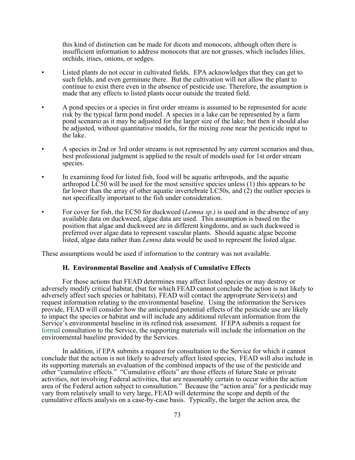this kind of distinction can be made for dicots and monocots, although often there is insufficient information to address monocots that are not grasses, which includes lilies, orchids, irises, onions, or sedges.

- Listed plants do not occur in cultivated fields. EPA acknowledges that they can get to such fields, and even germinate there. But the cultivation will not allow the plant to continue to exist there even in the absence of pesticide use. Therefore, the assumption is made that any effects to listed plants occur outside the treated field.
- A pond species or a species in first order streams is assumed to be represented for acute risk by the typical farm pond model. A species in a lake can be represented by a farm pond scenario as it may be adjusted for the larger size of the lake; but then it should also be adjusted, without quantitative models, for the mixing zone near the pesticide input to the lake.
- A species in 2nd or 3rd order streams is not represented by any current scenarios and thus, best professional judgment is applied to the result of models used for 1st order stream species.
- In examining food for listed fish, food will be aquatic arthropods, and the aquatic arthropod LC50 will be used for the most sensitive species unless (1) this appears to be far lower than the array of other aquatic invertebrate LC50s, and (2) the outlier species is not specifically important to the fish under consideration.
- For cover for fish, the EC50 for duckweed (*Lemna sp.)* is used and in the absence of any available data on duckweed, algae data are used. This assumption is based on the position that algae and duckweed are in different kingdoms, and as such duckweed is preferred over algae data to represent vascular plants. Should aquatic algae become listed, algae data rather than *Lemna* data would be used to represent the listed algae.

These assumptions would be used if information to the contrary was not available.

## **H. Environmental Baseline and Analysis of Cumulative Effects**

For those actions that FEAD determines may affect listed species or may destroy or adversely modify critical habitat, (but for which FEAD cannot conclude the action is not likely to adversely affect such species or habitats), FEAD will contact the appropriate Service(s) and request information relating to the environmental baseline. Using the information the Services provide, FEAD will consider how the anticipated potential effects of the pesticide use are likely to impact the species or habitat and will include any additional relevant information from the Service's environmental baseline in its refined risk assessment. If EPA submits a request for formal consultation to the Service, the supporting materials will include the information on the environmental baseline provided by the Services.

In addition, if EPA submits a request for consultation to the Service for which it cannot conclude that the action is not likely to adversely affect listed species, FEAD will also include in its supporting materials an evaluation of the combined impacts of the use of the pesticide and other "cumulative effects." "Cumulative effects" are those effects of future State or private activities, not involving Federal activities, that are reasonably certain to occur within the action area of the Federal action subject to consultation." Because the "action area" for a pesticide may vary from relatively small to very large, FEAD will determine the scope and depth of the cumulative effects analysis on a case-by-case basis. Typically, the larger the action area, the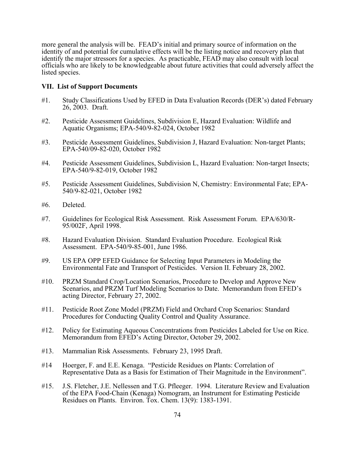more general the analysis will be. FEAD's initial and primary source of information on the identity of and potential for cumulative effects will be the listing notice and recovery plan that identify the major stressors for a species. As practicable, FEAD may also consult with local officials who are likely to be knowledgeable about future activities that could adversely affect the listed species.

## **VII. List of Support Documents**

- #1. Study Classifications Used by EFED in Data Evaluation Records (DER's) dated February 26, 2003. Draft.
- #2. Pesticide Assessment Guidelines, Subdivision E, Hazard Evaluation: Wildlife and Aquatic Organisms; EPA-540/9-82-024, October 1982
- #3. Pesticide Assessment Guidelines, Subdivision J, Hazard Evaluation: Non-target Plants; EPA-540/09-82-020, October 1982
- #4. Pesticide Assessment Guidelines, Subdivision L, Hazard Evaluation: Non-target Insects; EPA-540/9-82-019, October 1982
- #5. Pesticide Assessment Guidelines, Subdivision N, Chemistry: Environmental Fate; EPA-540/9-82-021, October 1982
- #6. Deleted.
- #7. Guidelines for Ecological Risk Assessment. Risk Assessment Forum. EPA/630/R-95/002F, April 1998.
- #8. Hazard Evaluation Division. Standard Evaluation Procedure. Ecological Risk Assessment. EPA-540/9-85-001, June 1986.
- #9. US EPA OPP EFED Guidance for Selecting Input Parameters in Modeling the Environmental Fate and Transport of Pesticides. Version II. February 28, 2002.
- #10. PRZM Standard Crop/Location Scenarios, Procedure to Develop and Approve New Scenarios, and PRZM Turf Modeling Scenarios to Date. Memorandum from EFED's acting Director, February 27, 2002.
- #11. Pesticide Root Zone Model (PRZM) Field and Orchard Crop Scenarios: Standard Procedures for Conducting Quality Control and Quality Assurance.
- #12. Policy for Estimating Aqueous Concentrations from Pesticides Labeled for Use on Rice. Memorandum from EFED's Acting Director, October 29, 2002.
- #13. Mammalian Risk Assessments. February 23, 1995 Draft.
- #14 Hoerger, F. and E.E. Kenaga. "Pesticide Residues on Plants: Correlation of Representative Data as a Basis for Estimation of Their Magnitude in the Environment".
- #15. J.S. Fletcher, J.E. Nellessen and T.G. Pfleeger. 1994. Literature Review and Evaluation of the EPA Food-Chain (Kenaga) Nomogram, an Instrument for Estimating Pesticide Residues on Plants. Environ. Tox. Chem. 13(9): 1383-1391.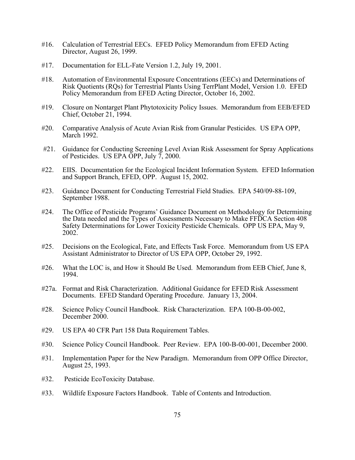- #16. Calculation of Terrestrial EECs. EFED Policy Memorandum from EFED Acting Director, August 26, 1999.
- #17. Documentation for ELL-Fate Version 1.2, July 19, 2001.
- #18. Automation of Environmental Exposure Concentrations (EECs) and Determinations of Risk Quotients (RQs) for Terrestrial Plants Using TerrPlant Model, Version 1.0. EFED Policy Memorandum from EFED Acting Director, October 16, 2002.
- #19. Closure on Nontarget Plant Phytotoxicity Policy Issues. Memorandum from EEB/EFED Chief, October 21, 1994.
- #20. Comparative Analysis of Acute Avian Risk from Granular Pesticides. US EPA OPP, March 1992.
- #21. Guidance for Conducting Screening Level Avian Risk Assessment for Spray Applications of Pesticides. US EPA OPP, July 7, 2000.
- #22. EIIS. Documentation for the Ecological Incident Information System. EFED Information and Support Branch, EFED, OPP. August 15, 2002.
- #23. Guidance Document for Conducting Terrestrial Field Studies. EPA 540/09-88-109, September 1988.
- #24. The Office of Pesticide Programs' Guidance Document on Methodology for Determining the Data needed and the Types of Assessments Necessary to Make FFDCA Section 408 Safety Determinations for Lower Toxicity Pesticide Chemicals. OPP US EPA, May 9, 2002.
- #25. Decisions on the Ecological, Fate, and Effects Task Force. Memorandum from US EPA Assistant Administrator to Director of US EPA OPP, October 29, 1992.
- #26. What the LOC is, and How it Should Be Used. Memorandum from EEB Chief, June 8, 1994.
- #27a. Format and Risk Characterization. Additional Guidance for EFED Risk Assessment Documents. EFED Standard Operating Procedure. January 13, 2004.
- #28. Science Policy Council Handbook. Risk Characterization. EPA 100-B-00-002, December 2000.
- #29. US EPA 40 CFR Part 158 Data Requirement Tables.
- #30. Science Policy Council Handbook. Peer Review. EPA 100-B-00-001, December 2000.
- #31. Implementation Paper for the New Paradigm. Memorandum from OPP Office Director, August 25, 1993.
- #32. Pesticide EcoToxicity Database.
- #33. Wildlife Exposure Factors Handbook. Table of Contents and Introduction.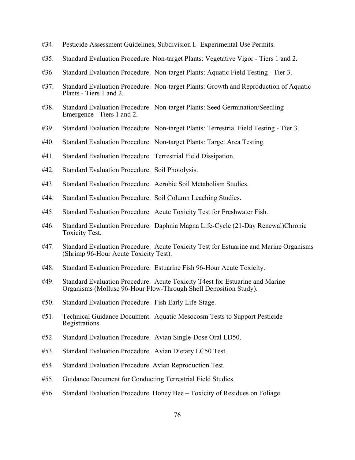- #34. Pesticide Assessment Guidelines, Subdivision I. Experimental Use Permits.
- #35. Standard Evaluation Procedure. Non-target Plants: Vegetative Vigor Tiers 1 and 2.
- #36. Standard Evaluation Procedure. Non-target Plants: Aquatic Field Testing Tier 3.
- #37. Standard Evaluation Procedure. Non-target Plants: Growth and Reproduction of Aquatic Plants - Tiers 1 and 2.
- #38. Standard Evaluation Procedure. Non-target Plants: Seed Germination/Seedling Emergence - Tiers 1 and 2.
- #39. Standard Evaluation Procedure. Non-target Plants: Terrestrial Field Testing Tier 3.
- #40. Standard Evaluation Procedure. Non-target Plants: Target Area Testing.
- #41. Standard Evaluation Procedure. Terrestrial Field Dissipation.
- #42. Standard Evaluation Procedure. Soil Photolysis.
- #43. Standard Evaluation Procedure. Aerobic Soil Metabolism Studies.
- #44. Standard Evaluation Procedure. Soil Column Leaching Studies.
- #45. Standard Evaluation Procedure. Acute Toxicity Test for Freshwater Fish.
- #46. Standard Evaluation Procedure. Daphnia Magna Life-Cycle (21-Day Renewal)Chronic Toxicity Test.
- #47. Standard Evaluation Procedure. Acute Toxicity Test for Estuarine and Marine Organisms (Shrimp 96-Hour Acute Toxicity Test).
- #48. Standard Evaluation Procedure. Estuarine Fish 96-Hour Acute Toxicity.
- #49. Standard Evaluation Procedure. Acute Toxicity T4est for Estuarine and Marine Organisms (Mollusc 96-Hour Flow-Through Shell Deposition Study).
- #50. Standard Evaluation Procedure. Fish Early Life-Stage.
- #51. Technical Guidance Document. Aquatic Mesocosm Tests to Support Pesticide Registrations.
- #52. Standard Evaluation Procedure. Avian Single-Dose Oral LD50.
- #53. Standard Evaluation Procedure. Avian Dietary LC50 Test.
- #54. Standard Evaluation Procedure. Avian Reproduction Test.
- #55. Guidance Document for Conducting Terrestrial Field Studies.
- #56. Standard Evaluation Procedure. Honey Bee Toxicity of Residues on Foliage.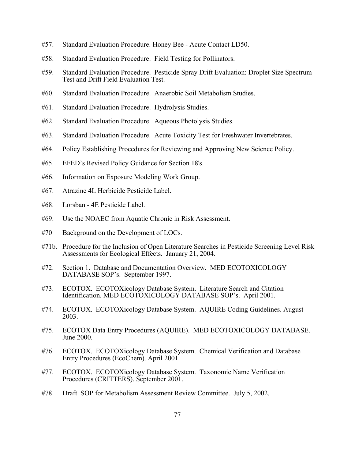- #57. Standard Evaluation Procedure. Honey Bee Acute Contact LD50.
- #58. Standard Evaluation Procedure. Field Testing for Pollinators.
- #59. Standard Evaluation Procedure. Pesticide Spray Drift Evaluation: Droplet Size Spectrum Test and Drift Field Evaluation Test.
- #60. Standard Evaluation Procedure. Anaerobic Soil Metabolism Studies.
- #61. Standard Evaluation Procedure. Hydrolysis Studies.
- #62. Standard Evaluation Procedure. Aqueous Photolysis Studies.
- #63. Standard Evaluation Procedure. Acute Toxicity Test for Freshwater Invertebrates.
- #64. Policy Establishing Procedures for Reviewing and Approving New Science Policy.
- #65. EFED's Revised Policy Guidance for Section 18's.
- #66. Information on Exposure Modeling Work Group.
- #67. Atrazine 4L Herbicide Pesticide Label.
- #68. Lorsban 4E Pesticide Label.
- #69. Use the NOAEC from Aquatic Chronic in Risk Assessment.
- #70 Background on the Development of LOCs.
- #71b. Procedure for the Inclusion of Open Literature Searches in Pesticide Screening Level Risk Assessments for Ecological Effects. January 21, 2004.
- #72. Section 1. Database and Documentation Overview. MED ECOTOXICOLOGY DATABASE SOP's. September 1997.
- #73. ECOTOX. ECOTOXicology Database System. Literature Search and Citation Identification. MED ECOTOXICOLOGY DATABASE SOP's. April 2001.
- #74. ECOTOX. ECOTOXicology Database System. AQUIRE Coding Guidelines. August 2003.
- #75. ECOTOX Data Entry Procedures (AQUIRE). MED ECOTOXICOLOGY DATABASE. June 2000.
- #76. ECOTOX. ECOTOXicology Database System. Chemical Verification and Database Entry Procedures (EcoChem). April 2001.
- #77. ECOTOX. ECOTOXicology Database System. Taxonomic Name Verification Procedures (CRITTERS). September 2001.
- #78. Draft. SOP for Metabolism Assessment Review Committee. July 5, 2002.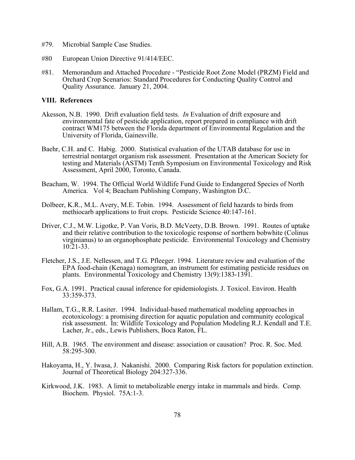- #79. Microbial Sample Case Studies.
- #80 European Union Directive 91/414/EEC.
- #81. Memorandum and Attached Procedure "Pesticide Root Zone Model (PRZM) Field and Orchard Crop Scenarios: Standard Procedures for Conducting Quality Control and Quality Assurance. January 21, 2004.

## **VIII. References**

- Akesson, N.B. 1990. Drift evaluation field tests. *In* Evaluation of drift exposure and environmental fate of pesticide application, report prepared in compliance with drift contract WM175 between the Florida department of Environmental Regulation and the University of Florida, Gainesville.
- Baehr, C.H. and C. Habig. 2000. Statistical evaluation of the UTAB database for use in terrestrial nontarget organism risk assessment. Presentation at the American Society for testing and Materials (ASTM) Tenth Symposium on Environmental Toxicology and Risk Assessment, April 2000, Toronto, Canada.
- Beacham, W. 1994. The Official World Wildlife Fund Guide to Endangered Species of North America. Vol 4; Beacham Publishing Company, Washington D.C.
- Dolbeer, K.R., M.L. Avery, M.E. Tobin. 1994. Assessment of field hazards to birds from methiocarb applications to fruit crops. Pesticide Science 40:147-161.
- Driver, C.J., M.W. Ligotke, P. Van Voris, B.D. McVeety, D.B. Brown. 1991. Routes of uptake and their relative contribution to the toxicologic response of northern bobwhite (Colinus virginianus) to an organophosphate pesticide. Environmental Toxicology and Chemistry 10:21-33.
- Fletcher, J.S., J.E. Nellessen, and T.G. Pfleeger. 1994. Literature review and evaluation of the EPA food-chain (Kenaga) nomogram, an instrument for estimating pesticide residues on plants. Environmental Toxicology and Chemistry 13(9):1383-1391.
- Fox, G.A. 1991. Practical causal inference for epidemiologists. J. Toxicol. Environ. Health 33:359-373.
- Hallam, T.G., R.R. Lasiter. 1994. Individual-based mathematical modeling approaches in ecotoxicology: a promising direction for aquatic population and community ecological risk assessment. In: Wildlife Toxicology and Population Modeling R.J. Kendall and T.E. Lacher, Jr., eds., Lewis Publishers, Boca Raton, FL.
- Hill, A.B. 1965. The environment and disease: association or causation? Proc. R. Soc. Med. 58:295-300.
- Hakoyama, H., Y. Iwasa, J. Nakanishi. 2000. Comparing Risk factors for population extinction. Journal of Theoretical Biology 204:327-336.
- Kirkwood, J.K. 1983. A limit to metabolizable energy intake in mammals and birds. Comp. Biochem. Physiol. 75A:1-3.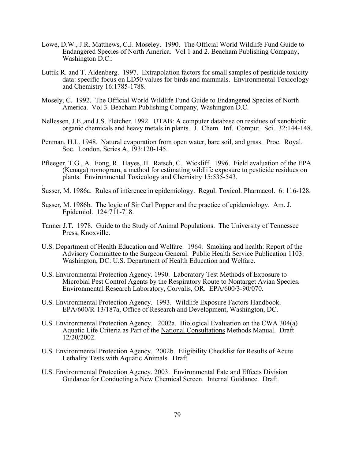- Lowe, D.W., J.R. Matthews, C.J. Moseley. 1990. The Official World Wildlife Fund Guide to Endangered Species of North America. Vol 1 and 2. Beacham Publishing Company, Washington D.C.:
- Luttik R. and T. Aldenberg. 1997. Extrapolation factors for small samples of pesticide toxicity data: specific focus on LD50 values for birds and mammals. Environmental Toxicology and Chemistry 16:1785-1788.
- Mosely, C. 1992. The Official World Wildlife Fund Guide to Endangered Species of North America. Vol 3. Beacham Publishing Company, Washington D.C.
- Nellessen, J.E.,and J.S. Fletcher. 1992. UTAB: A computer database on residues of xenobiotic organic chemicals and heavy metals in plants. J. Chem. Inf. Comput. Sci. 32:144-148.
- Penman, H.L. 1948. Natural evaporation from open water, bare soil, and grass. Proc. Royal. Soc. London, Series A, 193:120-145.
- Pfleeger, T.G., A. Fong, R. Hayes, H. Ratsch, C. Wickliff. 1996. Field evaluation of the EPA (Kenaga) nomogram, a method for estimating wildlife exposure to pesticide residues on plants. Environmental Toxicology and Chemistry 15:535-543. .
- Susser, M. 1986a. Rules of inference in epidemiology. Regul. Toxicol. Pharmacol. 6: 116-128.
- Susser, M. 1986b. The logic of Sir Carl Popper and the practice of epidemiology. Am. J. Epidemiol. 124:711-718.
- Tanner J.T. 1978. Guide to the Study of Animal Populations. The University of Tennessee Press, Knoxville.
- U.S. Department of Health Education and Welfare. 1964. Smoking and health: Report of the Advisory Committee to the Surgeon General. Public Health Service Publication 1103. Washington, DC: U.S. Department of Health Education and Welfare.
- U.S. Environmental Protection Agency. 1990. Laboratory Test Methods of Exposure to Microbial Pest Control Agents by the Respiratory Route to Nontarget Avian Species. Environmental Research Laboratory, Corvalis, OR. EPA/600/3-90/070.
- U.S. Environmental Protection Agency. 1993. Wildlife Exposure Factors Handbook. EPA/600/R-13/187a, Office of Research and Development, Washington, DC.
- U.S. Environmental Protection Agency. 2002a. Biological Evaluation on the CWA 304(a) Aquatic Life Criteria as Part of the National Consultations Methods Manual. Draft 12/20/2002.
- U.S. Environmental Protection Agency. 2002b. Eligibility Checklist for Results of Acute Lethality Tests with Aquatic Animals. Draft.
- U.S. Environmental Protection Agency. 2003. Environmental Fate and Effects Division Guidance for Conducting a New Chemical Screen. Internal Guidance. Draft.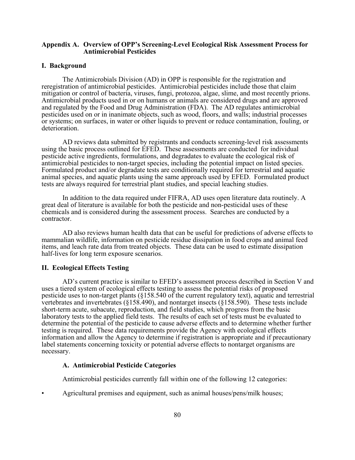## **Appendix A. Overview of OPP's Screening-Level Ecological Risk Assessment Process for Antimicrobial Pesticides**

#### **I. Background**

The Antimicrobials Division (AD) in OPP is responsible for the registration and reregistration of antimicrobial pesticides. Antimicrobial pesticides include those that claim mitigation or control of bacteria, viruses, fungi, protozoa, algae, slime, and most recently prions. Antimicrobial products used in or on humans or animals are considered drugs and are approved and regulated by the Food and Drug Administration (FDA). The AD regulates antimicrobial pesticides used on or in inanimate objects, such as wood, floors, and walls; industrial processes or systems; on surfaces, in water or other liquids to prevent or reduce contamination, fouling, or deterioration.

AD reviews data submitted by registrants and conducts screening-level risk assessments using the basic process outlined for EFED. These assessments are conducted for individual pesticide active ingredients, formulations, and degradates to evaluate the ecological risk of antimicrobial pesticides to non-target species, including the potential impact on listed species. Formulated product and/or degradate tests are conditionally required for terrestrial and aquatic animal species, and aquatic plants using the same approach used by EFED. Formulated product tests are always required for terrestrial plant studies, and special leaching studies.

In addition to the data required under FIFRA, AD uses open literature data routinely. A great deal of literature is available for both the pesticide and non-pesticidal uses of these chemicals and is considered during the assessment process. Searches are conducted by a contractor.

AD also reviews human health data that can be useful for predictions of adverse effects to mammalian wildlife, information on pesticide residue dissipation in food crops and animal feed items, and leach rate data from treated objects. These data can be used to estimate dissipation half-lives for long term exposure scenarios.

## **II. Ecological Effects Testing**

AD's current practice is similar to EFED's assessment process described in Section V and uses a tiered system of ecological effects testing to assess the potential risks of proposed pesticide uses to non-target plants (§158.540 of the current regulatory text), aquatic and terrestrial vertebrates and invertebrates (§158.490), and nontarget insects (§158.590). These tests include short-term acute, subacute, reproduction, and field studies, which progress from the basic laboratory tests to the applied field tests. The results of each set of tests must be evaluated to determine the potential of the pesticide to cause adverse effects and to determine whether further testing is required. These data requirements provide the Agency with ecological effects information and allow the Agency to determine if registration is appropriate and if precautionary label statements concerning toxicity or potential adverse effects to nontarget organisms are necessary.

## **A. Antimicrobial Pesticide Categories**

Antimicrobial pesticides currently fall within one of the following 12 categories:

• Agricultural premises and equipment, such as animal houses/pens/milk houses;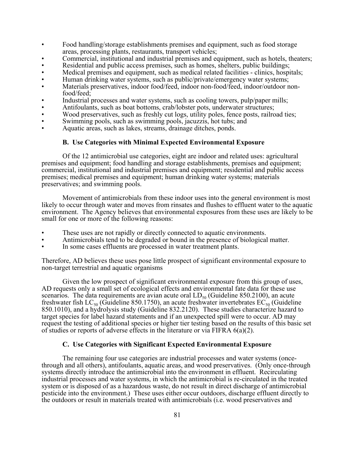- Food handling/storage establishments premises and equipment, such as food storage areas, processing plants, restaurants, transport vehicles;
- Commercial, institutional and industrial premises and equipment, such as hotels, theaters;
- Residential and public access premises, such as homes, shelters, public buildings;
- Medical premises and equipment, such as medical related facilities clinics, hospitals;
- Human drinking water systems, such as public/private/emergency water systems;
- Materials preservatives, indoor food/feed, indoor non-food/feed, indoor/outdoor nonfood/feed;
- Industrial processes and water systems, such as cooling towers, pulp/paper mills;
- Antifoulants, such as boat bottoms, crab/lobster pots, underwater structures;
- Wood preservatives, such as freshly cut logs, utility poles, fence posts, railroad ties;
- Swimming pools, such as swimming pools, jacuzzis, hot tubs; and
- Aquatic areas, such as lakes, streams, drainage ditches, ponds.

## **B. Use Categories with Minimal Expected Environmental Exposure**

Of the 12 antimicrobial use categories, eight are indoor and related uses: agricultural premises and equipment; food handling and storage establishments, premises and equipment; commercial, institutional and industrial premises and equipment; residential and public access premises; medical premises and equipment; human drinking water systems; materials preservatives; and swimming pools.

Movement of antimicrobials from these indoor uses into the general environment is most likely to occur through water and moves from rinsates and flushes to effluent water to the aquatic environment. The Agency believes that environmental exposures from these uses are likely to be small for one or more of the following reasons:

- These uses are not rapidly or directly connected to aquatic environments.
- Antimicrobials tend to be degraded or bound in the presence of biological matter.
- In some cases effluents are processed in water treatment plants.

Therefore, AD believes these uses pose little prospect of significant environmental exposure to non-target terrestrial and aquatic organisms

Given the low prospect of significant environmental exposure from this group of uses, AD requests only a small set of ecological effects and environmental fate data for these use scenarios. The data requirements are avian acute oral  $LD_{50}$  (Guideline 850.2100), an acute freshwater fish LC<sub>50</sub> (Guideline 850.1750), an acute freshwater invertebrates  $EC_{50}$  (Guideline 850.1010), and a hydrolysis study (Guideline 832.2120). These studies characterize hazard to target species for label hazard statements and if an unexpected spill were to occur. AD may request the testing of additional species or higher tier testing based on the results of this basic set of studies or reports of adverse effects in the literature or via FIFRA 6(a)(2).

## **C. Use Categories with Significant Expected Environmental Exposure**

The remaining four use categories are industrial processes and water systems (oncethrough and all others), antifoulants, aquatic areas, and wood preservatives. (Only once-through systems directly introduce the antimicrobial into the environment in effluent. Recirculating industrial processes and water systems, in which the antimicrobial is re-circulated in the treated system or is disposed of as a hazardous waste, do not result in direct discharge of antimicrobial pesticide into the environment.) These uses either occur outdoors, discharge effluent directly to the outdoors or result in materials treated with antimicrobials (i.e. wood preservatives and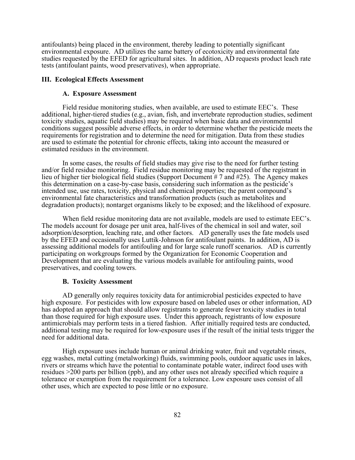antifoulants) being placed in the environment, thereby leading to potentially significant environmental exposure. AD utilizes the same battery of ecotoxicity and environmental fate studies requested by the EFED for agricultural sites. In addition, AD requests product leach rate tests (antifoulant paints, wood preservatives), when appropriate.

## **III. Ecological Effects Assessment**

#### **A. Exposure Assessment**

Field residue monitoring studies, when available, are used to estimate EEC's. These additional, higher-tiered studies (e.g., avian, fish, and invertebrate reproduction studies, sediment toxicity studies, aquatic field studies) may be required when basic data and environmental conditions suggest possible adverse effects, in order to determine whether the pesticide meets the requirements for registration and to determine the need for mitigation. Data from these studies are used to estimate the potential for chronic effects, taking into account the measured or estimated residues in the environment.

In some cases, the results of field studies may give rise to the need for further testing and/or field residue monitoring. Field residue monitoring may be requested of the registrant in lieu of higher tier biological field studies (Support Document # 7 and #25). The Agency makes this determination on a case-by-case basis, considering such information as the pesticide's intended use, use rates, toxicity, physical and chemical properties; the parent compound's environmental fate characteristics and transformation products (such as metabolites and degradation products); nontarget organisms likely to be exposed; and the likelihood of exposure.

When field residue monitoring data are not available, models are used to estimate EEC's. The models account for dosage per unit area, half-lives of the chemical in soil and water, soil adsorption/desorption, leaching rate, and other factors. AD generally uses the fate models used by the EFED and occasionally uses Luttik-Johnson for antifoulant paints. In addition, AD is assessing additional models for antifouling and for large scale runoff scenarios. AD is currently participating on workgroups formed by the Organization for Economic Cooperation and Development that are evaluating the various models available for antifouling paints, wood preservatives, and cooling towers.

#### **B. Toxicity Assessment**

AD generally only requires toxicity data for antimicrobial pesticides expected to have high exposure. For pesticides with low exposure based on labeled uses or other information, AD has adopted an approach that should allow registrants to generate fewer toxicity studies in total than those required for high exposure uses. Under this approach, registrants of low exposure antimicrobials may perform tests in a tiered fashion. After initially required tests are conducted, additional testing may be required for low-exposure uses if the result of the initial tests trigger the need for additional data.

High exposure uses include human or animal drinking water, fruit and vegetable rinses, egg washes, metal cutting (metalworking) fluids, swimming pools, outdoor aquatic uses in lakes, rivers or streams which have the potential to contaminate potable water, indirect food uses with residues >200 parts per billion (ppb), and any other uses not already specified which require a tolerance or exemption from the requirement for a tolerance. Low exposure uses consist of all other uses, which are expected to pose little or no exposure.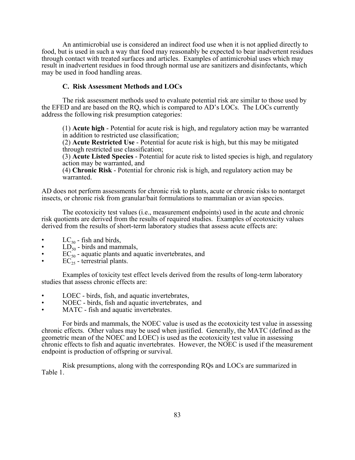An antimicrobial use is considered an indirect food use when it is not applied directly to food, but is used in such a way that food may reasonably be expected to bear inadvertent residues through contact with treated surfaces and articles. Examples of antimicrobial uses which may result in inadvertent residues in food through normal use are sanitizers and disinfectants, which may be used in food handling areas.

## **C. Risk Assessment Methods and LOCs**

The risk assessment methods used to evaluate potential risk are similar to those used by the EFED and are based on the RQ, which is compared to AD's LOCs. The LOCs currently address the following risk presumption categories:

(1) **Acute high** - Potential for acute risk is high, and regulatory action may be warranted in addition to restricted use classification;

(2) **Acute Restricted Use** - Potential for acute risk is high, but this may be mitigated through restricted use classification;

(3) **Acute Listed Species** - Potential for acute risk to listed species is high, and regulatory action may be warranted, and

(4) **Chronic Risk** - Potential for chronic risk is high, and regulatory action may be warranted.

AD does not perform assessments for chronic risk to plants, acute or chronic risks to nontarget insects, or chronic risk from granular/bait formulations to mammalian or avian species.

The ecotoxicity test values (i.e., measurement endpoints) used in the acute and chronic risk quotients are derived from the results of required studies. Examples of ecotoxicity values derived from the results of short-term laboratory studies that assess acute effects are:

- $LC_{50}$  fish and birds,
- $LD_{50}$  birds and mammals,
- $EC_{50}^{\sim}$  aquatic plants and aquatic invertebrates, and
- $\overline{EC}_{25}^{30}$  terrestrial plants.

Examples of toxicity test effect levels derived from the results of long-term laboratory studies that assess chronic effects are:

- LOEC birds, fish, and aquatic invertebrates,
- NOEC birds, fish and aquatic invertebrates, and
- MATC fish and aquatic invertebrates.

For birds and mammals, the NOEC value is used as the ecotoxicity test value in assessing chronic effects. Other values may be used when justified. Generally, the MATC (defined as the geometric mean of the NOEC and LOEC) is used as the ecotoxicity test value in assessing chronic effects to fish and aquatic invertebrates. However, the NOEC is used if the measurement endpoint is production of offspring or survival.

Risk presumptions, along with the corresponding RQs and LOCs are summarized in Table 1.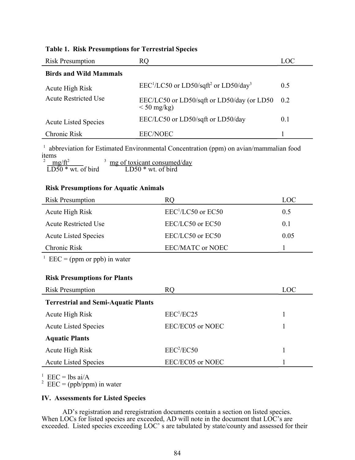|  |  |  | <b>Table 1. Risk Presumptions for Terrestrial Species</b> |
|--|--|--|-----------------------------------------------------------|
|--|--|--|-----------------------------------------------------------|

| <b>Risk Presumption</b>       | RQ                                                             | LOC: |
|-------------------------------|----------------------------------------------------------------|------|
| <b>Birds and Wild Mammals</b> |                                                                |      |
| Acute High Risk               | $EEC1/LC50$ or LD50/sqft <sup>2</sup> or LD50/day <sup>3</sup> | 0.5  |
| <b>Acute Restricted Use</b>   | EEC/LC50 or LD50/sqft or LD50/day (or LD50<br>$<$ 50 mg/kg)    | 0.2  |
| <b>Acute Listed Species</b>   | EEC/LC50 or LD50/sqft or LD50/day                              | 0.1  |
| Chronic Risk                  | <b>EEC/NOEC</b>                                                |      |

<sup>1</sup> abbreviation for Estimated Environmental Concentration (ppm) on avian/mammalian food items<br> $\frac{2 \text{ mg/ft}^2}{LD50 \cdot wt}$  of bird  $\frac{2 \text{ mg/ft}^2}{2}$  mg of toxicant consumed/day

LD50  $*$  wt. of bird LD50  $*$  wt. of bird

# **Risk Presumptions for Aquatic Animals**

| <b>Risk Presumption</b>     | RQ                      | LOC            |
|-----------------------------|-------------------------|----------------|
| Acute High Risk             | $EEC1/LC50$ or $EC50$   | 0.5            |
| <b>Acute Restricted Use</b> | EEC/LC50 or EC50        | 0 <sup>1</sup> |
| <b>Acute Listed Species</b> | EEC/LC50 or EC50        | 0.05           |
| Chronic Risk                | <b>EEC/MATC or NOEC</b> |                |

 $^1$  EEC = (ppm or ppb) in water

## **Risk Presumptions for Plants**

| <b>Risk Presumption</b>                    | RO                     | LOC |  |  |
|--------------------------------------------|------------------------|-----|--|--|
| <b>Terrestrial and Semi-Aquatic Plants</b> |                        |     |  |  |
| Acute High Risk                            | EEC <sup>1</sup> /EC25 |     |  |  |
| <b>Acute Listed Species</b>                | EEC/EC05 or NOEC       |     |  |  |
| <b>Aquatic Plants</b>                      |                        |     |  |  |
| Acute High Risk                            | EEC <sup>2</sup> /EC50 |     |  |  |
| <b>Acute Listed Species</b>                | EEC/EC05 or NOEC       |     |  |  |

<sup>1</sup> EEC = lbs ai/A<br><sup>2</sup> EEC = (ppb/ppm) in water

## **IV. Assessments for Listed Species**

AD's registration and reregistration documents contain a section on listed species. When LOCs for listed species are exceeded, AD will note in the document that LOC's are exceeded. Listed species exceeding LOC's are tabulated by state/county and assessed for their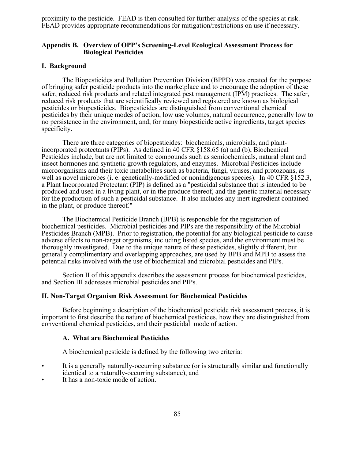proximity to the pesticide. FEAD is then consulted for further analysis of the species at risk. FEAD provides appropriate recommendations for mitigation/restrictions on use if necessary.

## **Appendix B. Overview of OPP's Screening-Level Ecological Assessment Process for Biological Pesticides**

#### **I. Background**

The Biopesticides and Pollution Prevention Division (BPPD) was created for the purpose of bringing safer pesticide products into the marketplace and to encourage the adoption of these safer, reduced risk products and related integrated pest management (IPM) practices. The safer, reduced risk products that are scientifically reviewed and registered are known as biological pesticides or biopesticides. Biopesticides are distinguished from conventional chemical pesticides by their unique modes of action, low use volumes, natural occurrence, generally low to no persistence in the environment, and, for many biopesticide active ingredients, target species specificity.

There are three categories of biopesticides: biochemicals, microbials, and plantincorporated protectants (PIPs). As defined in 40 CFR §158.65 (a) and (b), Biochemical Pesticides include, but are not limited to compounds such as semiochemicals, natural plant and insect hormones and synthetic growth regulators, and enzymes. Microbial Pesticides include microorganisms and their toxic metabolites such as bacteria, fungi, viruses, and protozoans, as well as novel microbes (i. e. genetically-modified or nonindigenous species). In 40 CFR §152.3, a Plant Incorporated Protectant (PIP) is defined as a "pesticidal substance that is intended to be produced and used in a living plant, or in the produce thereof, and the genetic material necessary for the production of such a pesticidal substance. It also includes any inert ingredient contained in the plant, or produce thereof."

The Biochemical Pesticide Branch (BPB) is responsible for the registration of biochemical pesticides. Microbial pesticides and PIPs are the responsibility of the Microbial Pesticides Branch (MPB). Prior to registration, the potential for any biological pesticide to cause adverse effects to non-target organisms, including listed species, and the environment must be thoroughly investigated. Due to the unique nature of these pesticides, slightly different, but generally complimentary and overlapping approaches, are used by BPB and MPB to assess the potential risks involved with the use of biochemical and microbial pesticides and PIPs.

Section II of this appendix describes the assessment process for biochemical pesticides, and Section III addresses microbial pesticides and PIPs.

#### **II. Non-Target Organism Risk Assessment for Biochemical Pesticides**

Before beginning a description of the biochemical pesticide risk assessment process, it is important to first describe the nature of biochemical pesticides, how they are distinguished from conventional chemical pesticides, and their pesticidal mode of action.

### **A. What are Biochemical Pesticides**

A biochemical pesticide is defined by the following two criteria:

- It is a generally naturally-occurring substance (or is structurally similar and functionally identical to a naturally-occurring substance), and
- It has a non-toxic mode of action.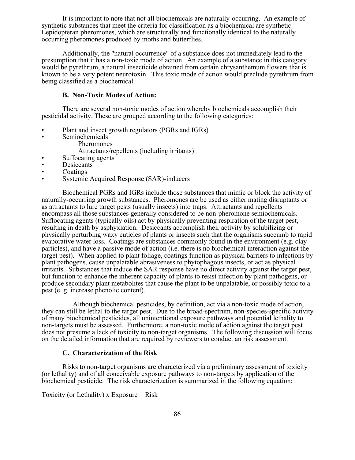It is important to note that not all biochemicals are naturally-occurring. An example of synthetic substances that meet the criteria for classification as a biochemical are synthetic Lepidopteran pheromones, which are structurally and functionally identical to the naturally occurring pheromones produced by moths and butterflies.

Additionally, the "natural occurrence" of a substance does not immediately lead to the presumption that it has a non-toxic mode of action. An example of a substance in this category would be pyrethrum, a natural insecticide obtained from certain chrysanthemum flowers that is known to be a very potent neurotoxin. This toxic mode of action would preclude pyrethrum from being classified as a biochemical.

## **B. Non-Toxic Modes of Action:**

There are several non-toxic modes of action whereby biochemicals accomplish their pesticidal activity. These are grouped according to the following categories:

- Plant and insect growth regulators (PGRs and IGRs)
- Semiochemicals
	- Pheromones

Attractants/repellents (including irritants)

- Suffocating agents
- Desiccants
- **Coatings**
- Systemic Acquired Response (SAR)-inducers

Biochemical PGRs and IGRs include those substances that mimic or block the activity of naturally-occurring growth substances. Pheromones are be used as either mating disruptants or as attractants to lure target pests (usually insects) into traps. Attractants and repellents encompass all those substances generally considered to be non-pheromone semiochemicals. Suffocating agents (typically oils) act by physically preventing respiration of the target pest, resulting in death by asphyxiation. Desiccants accomplish their activity by solubilizing or physically perturbing waxy cuticles of plants or insects such that the organisms succumb to rapid evaporative water loss. Coatings are substances commonly found in the environment (e.g. clay particles), and have a passive mode of action (i.e. there is no biochemical interaction against the target pest). When applied to plant foliage, coatings function as physical barriers to infections by plant pathogens, cause unpalatable abrasiveness to phytophagous insects, or act as physical irritants. Substances that induce the SAR response have no direct activity against the target pest, but function to enhance the inherent capacity of plants to resist infection by plant pathogens, or produce secondary plant metabolites that cause the plant to be unpalatable, or possibly toxic to a pest (e. g. increase phenolic content).

Although biochemical pesticides, by definition, act via a non-toxic mode of action, they can still be lethal to the target pest. Due to the broad-spectrum, non-species-specific activity of many biochemical pesticides, all unintentional exposure pathways and potential lethality to non-targets must be assessed. Furthermore, a non-toxic mode of action against the target pest does not presume a lack of toxicity to non-target organisms. The following discussion will focus on the detailed information that are required by reviewers to conduct an risk assessment.

## **C. Characterization of the Risk**

Risks to non-target organisms are characterized via a preliminary assessment of toxicity (or lethality) and of all conceivable exposure pathways to non-targets by application of the biochemical pesticide. The risk characterization is summarized in the following equation:

Toxicity (or Lethality) x Exposure  $=$  Risk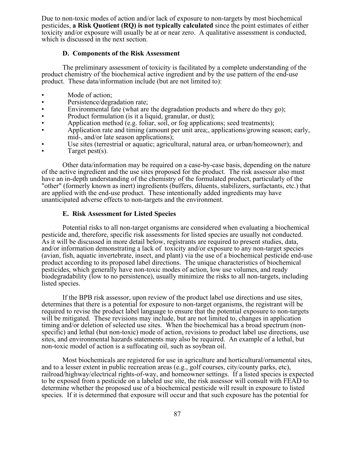Due to non-toxic modes of action and/or lack of exposure to non-targets by most biochemical pesticides, **a Risk Quotient (RQ) is not typically calculated** since the point estimates of either toxicity and/or exposure will usually be at or near zero. A qualitative assessment is conducted, which is discussed in the next section.

#### **D. Components of the Risk Assessment**

The preliminary assessment of toxicity is facilitated by a complete understanding of the product chemistry of the biochemical active ingredient and by the use pattern of the end-use product. These data/information include (but are not limited to):

- Mode of action;
- Persistence/degradation rate;
- Environmental fate (what are the degradation products and where do they go);
- Product formulation (is it a liquid, granular, or dust);
- Application method (e.g. foliar, soil, or fog applications; seed treatments);
- Application rate and timing (amount per unit area;, applications/growing season; early, mid-, and/or late season applications);
- Use sites (terrestrial or aquatic; agricultural, natural area, or urban/homeowner); and
- Target pest(s).

Other data/information may be required on a case-by-case basis, depending on the nature of the active ingredient and the use sites proposed for the product. The risk assessor also must have an in-depth understanding of the chemistry of the formulated product, particularly of the "other" (formerly known as inert) ingredients (buffers, diluents, stabilizers, surfactants, etc.) that are applied with the end-use product. These intentionally added ingredients may have unanticipated adverse effects to non-targets and the environment.

## **E. Risk Assessment for Listed Species**

Potential risks to all non-target organisms are considered when evaluating a biochemical pesticide and, therefore, specific risk assessments for listed species are usually not conducted. As it will be discussed in more detail below, registrants are required to present studies, data, and/or information demonstrating a lack of toxicity and/or exposure to any non-target species (avian, fish, aquatic invertebrate, insect, and plant) via the use of a biochemical pesticide end-use product according to its proposed label directions. The unique characteristics of biochemical pesticides, which generally have non-toxic modes of action, low use volumes, and ready biodegradability (low to no persistence), usually minimize the risks to all non-targets, including listed species.

If the BPB risk assessor, upon review of the product label use directions and use sites, determines that there is a potential for exposure to non-target organisms, the registrant will be required to revise the product label language to ensure that the potential exposure to non-targets will be mitigated. These revisions may include, but are not limited to, changes in application timing and/or deletion of selected use sites. When the biochemical has a broad spectrum (nonspecific) and lethal (but non-toxic) mode of action, revisions to product label use directions, use sites, and environmental hazards statements may also be required. An example of a lethal, but non-toxic model of action is a suffocating oil, such as soybean oil.

Most biochemicals are registered for use in agriculture and horticultural/ornamental sites, and to a lesser extent in public recreation areas (e.g., golf courses, city/county parks, etc), railroad/highway/electrical rights-of-way, and homeowner settings. If a listed species is expected to be exposed from a pesticide on a labeled use site, the risk assessor will consult with FEAD to determine whether the proposed use of a biochemical pesticide will result in exposure to listed species. If it is determined that exposure will occur and that such exposure has the potential for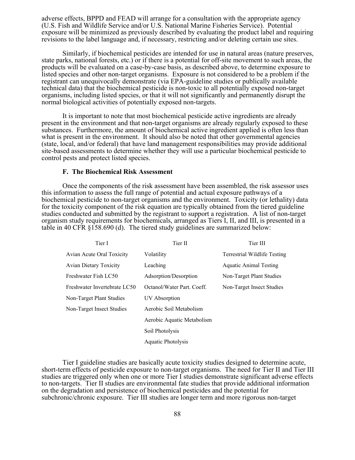adverse effects, BPPD and FEAD will arrange for a consultation with the appropriate agency (U.S. Fish and Wildlife Service and/or U.S. National Marine Fisheries Service). Potential exposure will be minimized as previously described by evaluating the product label and requiring revisions to the label language and, if necessary, restricting and/or deleting certain use sites.

Similarly, if biochemical pesticides are intended for use in natural areas (nature preserves, state parks, national forests, etc.) or if there is a potential for off-site movement to such areas, the products will be evaluated on a case-by-case basis, as described above, to determine exposure to listed species and other non-target organisms. Exposure is not considered to be a problem if the registrant can unequivocally demonstrate (via EPA-guideline studies or publically available technical data) that the biochemical pesticide is non-toxic to all potentially exposed non-target organisms, including listed species, or that it will not significantly and permanently disrupt the normal biological activities of potentially exposed non-targets.

It is important to note that most biochemical pesticide active ingredients are already present in the environment and that non-target organisms are already regularly exposed to these substances. Furthermore, the amount of biochemical active ingredient applied is often less than what is present in the environment. It should also be noted that other governmental agencies (state, local, and/or federal) that have land management responsibilities may provide additional site-based assessments to determine whether they will use a particular biochemical pesticide to control pests and protect listed species.

## **F. The Biochemical Risk Assessment**

Once the components of the risk assessment have been assembled, the risk assessor uses this information to assess the full range of potential and actual exposure pathways of a biochemical pesticide to non-target organisms and the environment. Toxicity (or lethality) data for the toxicity component of the risk equation are typically obtained from the tiered guideline studies conducted and submitted by the registrant to support a registration. A list of non-target organism study requirements for biochemicals, arranged as Tiers I, II, and III, is presented in a table in 40 CFR §158.690 (d). The tiered study guidelines are summarized below:

| Tier I                        | Tier II                    | Tier III                            |
|-------------------------------|----------------------------|-------------------------------------|
| Avian Acute Oral Toxicity     | Volatility                 | <b>Terrestrial Wildlife Testing</b> |
| <b>Avian Dietary Toxicity</b> | Leaching                   | <b>Aquatic Animal Testing</b>       |
| Freshwater Fish LC50          | Adsorption/Desorption      | Non-Target Plant Studies            |
| Freshwater Invertebrate LC50  | Octanol/Water Part, Coeff. | Non-Target Insect Studies           |
| Non-Target Plant Studies      | UV Absorption              |                                     |
| Non-Target Insect Studies     | Aerobic Soil Metabolism    |                                     |
|                               | Aerobic Aquatic Metabolism |                                     |
|                               | Soil Photolysis            |                                     |
|                               | <b>Aquatic Photolysis</b>  |                                     |

Tier I guideline studies are basically acute toxicity studies designed to determine acute, short-term effects of pesticide exposure to non-target organisms. The need for Tier II and Tier III studies are triggered only when one or more Tier I studies demonstrate significant adverse effects to non-targets. Tier II studies are environmental fate studies that provide additional information on the degradation and persistence of biochemical pesticides and the potential for subchronic/chronic exposure. Tier III studies are longer term and more rigorous non-target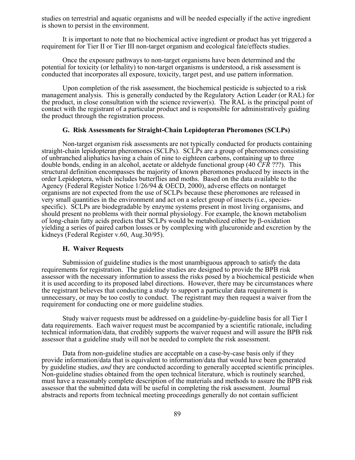studies on terrestrial and aquatic organisms and will be needed especially if the active ingredient is shown to persist in the environment.

It is important to note that no biochemical active ingredient or product has yet triggered a requirement for Tier II or Tier III non-target organism and ecological fate/effects studies.

Once the exposure pathways to non-target organisms have been determined and the potential for toxicity (or lethality) to non-target organisms is understood, a risk assessment is conducted that incorporates all exposure, toxicity, target pest, and use pattern information.

Upon completion of the risk assessment, the biochemical pesticide is subjected to a risk management analysis. This is generally conducted by the Regulatory Action Leader (or RAL) for the product, in close consultation with the science reviewer(s). The RAL is the principal point of contact with the registrant of a particular product and is responsible for administratively guiding the product through the registration process.

#### **G. Risk Assessments for Straight-Chain Lepidopteran Pheromones (SCLPs)**

Non-target organism risk assessments are not typically conducted for products containing straight-chain lepidopteran pheromones (SCLPs). SCLPs are a group of pheromones consisting of unbranched aliphatics having a chain of nine to eighteen carbons, containing up to three double bonds, ending in an alcohol, acetate or aldehyde functional group (40 *CFR* ???). This structural definition encompasses the majority of known pheromones produced by insects in the order Lepidoptera, which includes butterflies and moths. Based on the data available to the Agency (Federal Register Notice 1/26/94 & OECD, 2000), adverse effects on nontarget organisms are not expected from the use of SCLPs because these pheromones are released in very small quantities in the environment and act on a select group of insects (i.e., speciesspecific). SCLPs are biodegradable by enzyme systems present in most living organisms, and should present no problems with their normal physiology. For example, the known metabolism of long-chain fatty acids predicts that SCLPs would be metabolized either by β-oxidation yielding a series of paired carbon losses or by complexing with glucuronide and excretion by the kidneys (Federal Register v.60, Aug.30/95).

## **H. Waiver Requests**

Submission of guideline studies is the most unambiguous approach to satisfy the data requirements for registration. The guideline studies are designed to provide the BPB risk assessor with the necessary information to assess the risks posed by a biochemical pesticide when it is used according to its proposed label directions. However, there may be circumstances where the registrant believes that conducting a study to support a particular data requirement is unnecessary, or may be too costly to conduct. The registrant may then request a waiver from the requirement for conducting one or more guideline studies.

Study waiver requests must be addressed on a guideline-by-guideline basis for all Tier I data requirements. Each waiver request must be accompanied by a scientific rationale, including technical information/data, that credibly supports the waiver request and will assure the BPB risk assessor that a guideline study will not be needed to complete the risk assessment.

Data from non-guideline studies are acceptable on a case-by-case basis only if they provide information/data that is equivalent to information/data that would have been generated by guideline studies, *and* they are conducted according to generally accepted scientific principles. Non-guideline studies obtained from the open technical literature, which is routinely searched, must have a reasonably complete description of the materials and methods to assure the BPB risk assessor that the submitted data will be useful in completing the risk assessment. Journal abstracts and reports from technical meeting proceedings generally do not contain sufficient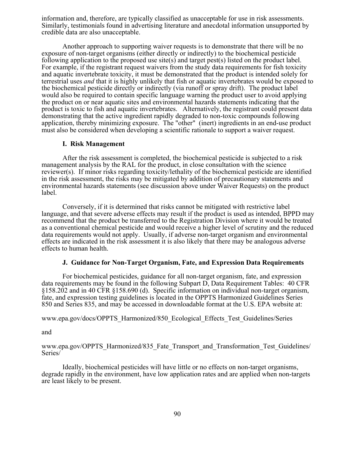information and, therefore, are typically classified as unacceptable for use in risk assessments. Similarly, testimonials found in advertising literature and anecdotal information unsupported by credible data are also unacceptable.

Another approach to supporting waiver requests is to demonstrate that there will be no exposure of non-target organisms (either directly or indirectly) to the biochemical pesticide following application to the proposed use site(s) and target pest(s) listed on the product label. For example, if the registrant request waivers from the study data requirements for fish toxicity and aquatic invertebrate toxicity, it must be demonstrated that the product is intended solely for terrestrial uses *and* that it is highly unlikely that fish or aquatic invertebrates would be exposed to the biochemical pesticide directly or indirectly (via runoff or spray drift). The product label would also be required to contain specific language warning the product user to avoid applying the product on or near aquatic sites and environmental hazards statements indicating that the product is toxic to fish and aquatic invertebrates. Alternatively, the registrant could present data demonstrating that the active ingredient rapidly degraded to non-toxic compounds following application, thereby minimizing exposure. The "other" (inert) ingredients in an end-use product must also be considered when developing a scientific rationale to support a waiver request.

### **I. Risk Management**

After the risk assessment is completed, the biochemical pesticide is subjected to a risk management analysis by the RAL for the product, in close consultation with the science reviewer(s). If minor risks regarding toxicity/lethality of the biochemical pesticide are identified in the risk assessment, the risks may be mitigated by addition of precautionary statements and environmental hazards statements (see discussion above under Waiver Requests) on the product label.

Conversely, if it is determined that risks cannot be mitigated with restrictive label language, and that severe adverse effects may result if the product is used as intended, BPPD may recommend that the product be transferred to the Registration Division where it would be treated as a conventional chemical pesticide and would receive a higher level of scrutiny and the reduced data requirements would not apply. Usually, if adverse non-target organism and environmental effects are indicated in the risk assessment it is also likely that there may be analogous adverse effects to human health.

## **J. Guidance for Non-Target Organism, Fate, and Expression Data Requirements**

For biochemical pesticides, guidance for all non-target organism, fate, and expression data requirements may be found in the following Subpart D, Data Requirement Tables: 40 CFR §158.202 and in 40 CFR §158.690 (d). Specific information on individual non-target organism, fate, and expression testing guidelines is located in the OPPTS Harmonized Guidelines Series 850 and Series 835, and may be accessed in downloadable format at the U.S. EPA website at:

www.epa.gov/docs/OPPTS\_Harmonized/850\_Ecological\_Effects\_Test\_Guidelines/Series

and

www.epa.gov/OPPTS\_Harmonized/835\_Fate\_Transport\_and\_Transformation\_Test\_Guidelines/ Series/

Ideally, biochemical pesticides will have little or no effects on non-target organisms, degrade rapidly in the environment, have low application rates and are applied when non-targets are least likely to be present.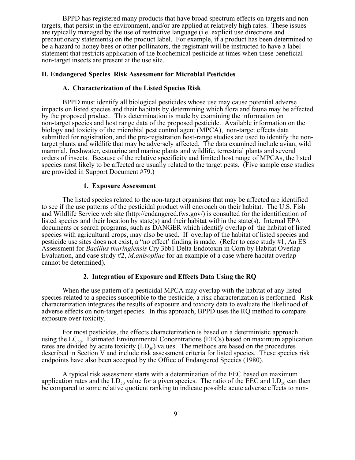BPPD has registered many products that have broad spectrum effects on targets and nontargets, that persist in the environment, and/or are applied at relatively high rates. These issues are typically managed by the use of restrictive language (i.e. explicit use directions and precautionary statements) on the product label. For example, if a product has been determined to be a hazard to honey bees or other pollinators, the registrant will be instructed to have a label statement that restricts application of the biochemical pesticide at times when these beneficial non-target insects are present at the use site.

## **II. Endangered Species Risk Assessment for Microbial Pesticides**

## **A. Characterization of the Listed Species Risk**

BPPD must identify all biological pesticides whose use may cause potential adverse impacts on listed species and their habitats by determining which flora and fauna may be affected by the proposed product. This determination is made by examining the information on non-target species and host range data of the proposed pesticide. Available information on the biology and toxicity of the microbial pest control agent (MPCA), non-target effects data submitted for registration, and the pre-registration host-range studies are used to identify the nontarget plants and wildlife that may be adversely affected. The data examined include avian, wild mammal, freshwater, estuarine and marine plants and wildlife, terrestrial plants and several orders of insects. Because of the relative specificity and limited host range of MPCAs, the listed species most likely to be affected are usually related to the target pests. (Five sample case studies are provided in Support Document #79.)

## **1. Exposure Assessment**

The listed species related to the non-target organisms that may be affected are identified to see if the use patterns of the pesticidal product will encroach on their habitat. The U.S. Fish and Wildlife Service web site ([http://endangered.fws.gov/\)](http://endangered.fws.gov/) is consulted for the identification of listed species and their location by state(s) and their habitat within the state(s). Internal EPA documents or search programs, such as DANGER which identify overlap of the habitat of listed species with agricultural crops, may also be used. If overlap of the habitat of listed species and pesticide use sites does not exist, a "no effect' finding is made. (Refer to case study  $#1$ , An ES Assessment for *Bacillus thuringiensis* Cry 3bb1 Delta Endotoxin in Corn by Habitat Overlap Evaluation, and case study #2, *M.anisopliae* for an example of a case where habitat overlap cannot be determined).

## **2. Integration of Exposure and Effects Data Using the RQ**

When the use pattern of a pesticidal MPCA may overlap with the habitat of any listed species related to a species susceptible to the pesticide, a risk characterization is performed. Risk characterization integrates the results of exposure and toxicity data to evaluate the likelihood of adverse effects on non-target species. In this approach, BPPD uses the RQ method to compare exposure over toxicity.

For most pesticides, the effects characterization is based on a deterministic approach using the  $LC_{50}$ . Estimated Environmental Concentrations (EECs) based on maximum application rates are divided by acute toxicity  $(LD_{50})$  values. The methods are based on the procedures described in Section V and include risk assessment criteria for listed species. These species risk endpoints have also been accepted by the Office of Endangered Species (1980).

A typical risk assessment starts with a determination of the EEC based on maximum application rates and the  $LD_{50}$  value for a given species. The ratio of the EEC and  $LD_{50}$  can then be compared to some relative quotient ranking to indicate possible acute adverse effects to non